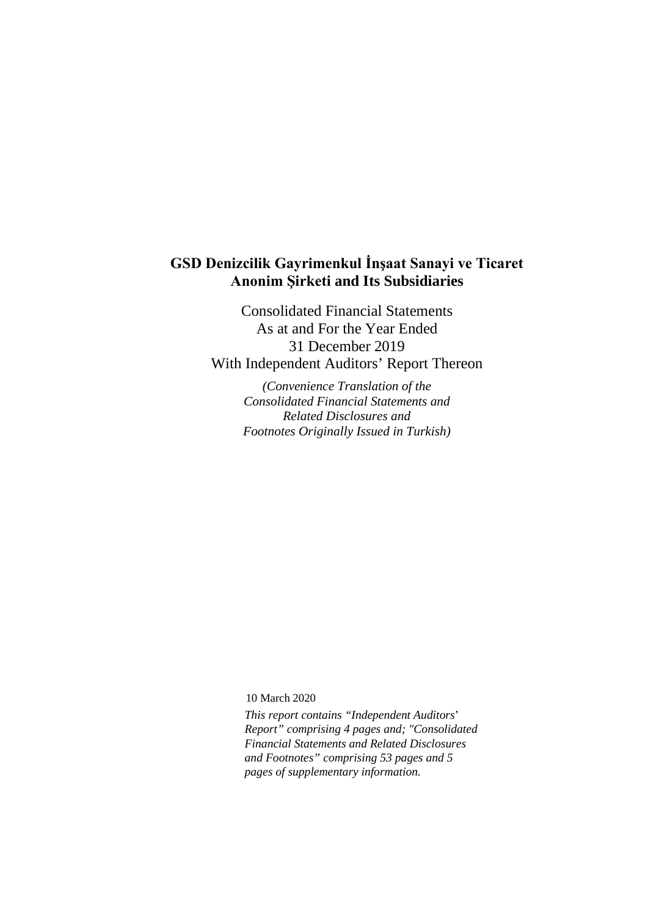# **GSD Denizcilik Gayrimenkul İnşaat Sanayi ve Ticaret Anonim Şirketi and Its Subsidiaries**

Consolidated Financial Statements As at and For the Year Ended 31 December 2019 With Independent Auditors' Report Thereon

> *(Convenience Translation of the Consolidated Financial Statements and Related Disclosures and Footnotes Originally Issued in Turkish)*

10 March 2020

*This report contains "Independent Auditors*' *Report" comprising 4 pages and; "Consolidated Financial Statements and Related Disclosures and Footnotes" comprising 53 pages and 5 pages of supplementary information.*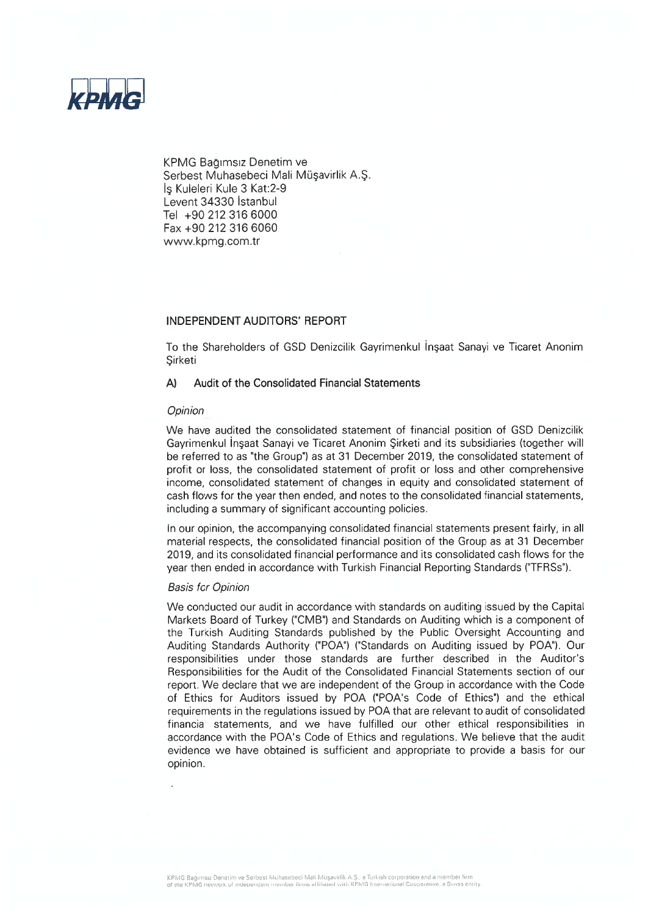

KPMG Bağımsız Denetim ve Serbest Muhasebeci Mali Müşavirlik A.Ş. Is Kuleleri Kule 3 Kat: 2-9 Levent 34330 Istanbul Tel +90 212 316 6000 Fax +90 212 316 6060 www.kpmg.com.tr

### INDEPENDENT AUDITORS' REPORT

To the Shareholders of GSD Denizcilik Gayrimenkul Insaat Sanayi ve Ticaret Anonim Sirketi

#### $\mathsf{A}$ Audit of the Consolidated Financial Statements

#### Opinion

We have audited the consolidated statement of financial position of GSD Denizcilik Gayrimenkul İnşaat Sanayi ve Ticaret Anonim Şirketi and its subsidiaries (together will be referred to as "the Group") as at 31 December 2019, the consolidated statement of profit or loss, the consolidated statement of profit or loss and other comprehensive income, consolidated statement of changes in equity and consolidated statement of cash flows for the year then ended, and notes to the consolidated financial statements, including a summary of significant accounting policies.

In our opinion, the accompanying consolidated financial statements present fairly, in all material respects, the consolidated financial position of the Group as at 31 December 2019, and its consolidated financial performance and its consolidated cash flows for the year then ended in accordance with Turkish Financial Reporting Standards ("TFRSs").

#### **Basis for Opinion**

We conducted our audit in accordance with standards on auditing issued by the Capital Markets Board of Turkey ("CMB") and Standards on Auditing which is a component of the Turkish Auditing Standards published by the Public Oversight Accounting and Auditing Standards Authority ("POA") ("Standards on Auditing issued by POA"). Our responsibilities under those standards are further described in the Auditor's Responsibilities for the Audit of the Consolidated Financial Statements section of our report. We declare that we are independent of the Group in accordance with the Code of Ethics for Auditors issued by POA ("POA's Code of Ethics") and the ethical requirements in the requlations issued by POA that are relevant to audit of consolidated financial statements, and we have fulfilled our other ethical responsibilities in accordance with the POA's Code of Ethics and regulations. We believe that the audit evidence we have obtained is sufficient and appropriate to provide a basis for our opinion.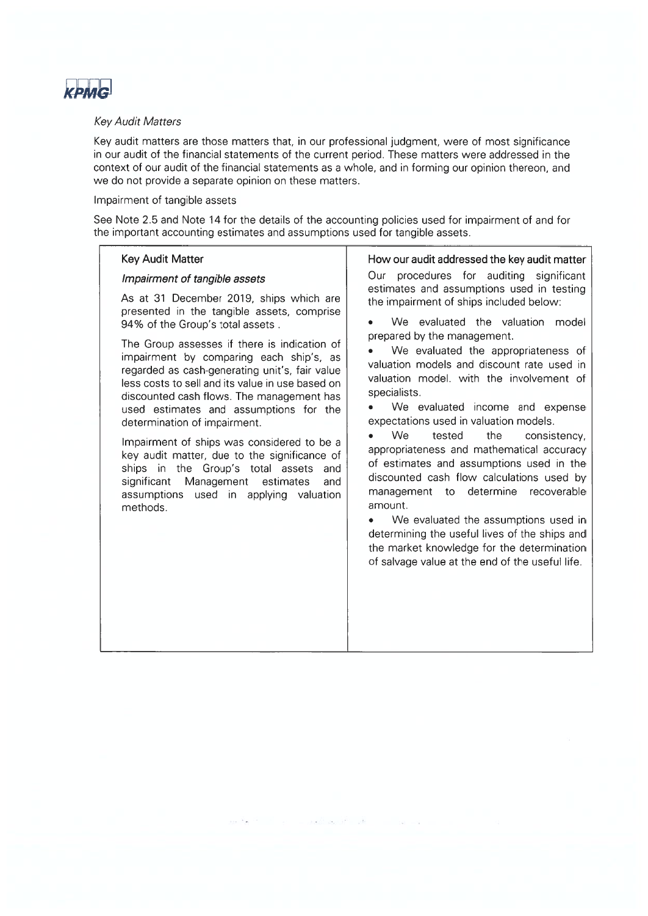

#### **Kev Audit Matters**

Key audit matters are those matters that, in our professional judgment, were of most significance in our audit of the financial statements of the current period. These matters were addressed in the context of our audit of the financial statements as a whole, and in forming our opinion thereon, and we do not provide a separate opinion on these matters.

### Impairment of tangible assets

See Note 2.5 and Note 14 for the details of the accounting policies used for impairment of and for the important accounting estimates and assumptions used for tangible assets.

#### **Kev Audit Matter**

### Impairment of tangible assets

As at 31 December 2019, ships which are presented in the tangible assets, comprise 94% of the Group's total assets.

The Group assesses if there is indication of impairment by comparing each ship's, as regarded as cash-generating unit's, fair value less costs to sell and its value in use based on discounted cash flows. The management has used estimates and assumptions for the determination of impairment.

Impairment of ships was considered to be a key audit matter, due to the significance of ships in the Group's total assets and significant Management estimates and assumptions used in applying valuation methods.

How our audit addressed the key audit matter

Our procedures for auditing significant estimates and assumptions used in testing the impairment of ships included below:

We evaluated the valuation model prepared by the management.

We evaluated the appropriateness of valuation models and discount rate used in valuation model, with the involvement of specialists.

We evaluated income and expense expectations used in valuation models.

We tested the consistency.  $\bullet$ appropriateness and mathematical accuracy of estimates and assumptions used in the discounted cash flow calculations used by management to determine recoverable amount.

We evaluated the assumptions used in  $\bullet$ determining the useful lives of the ships and the market knowledge for the determination of salvage value at the end of the useful life.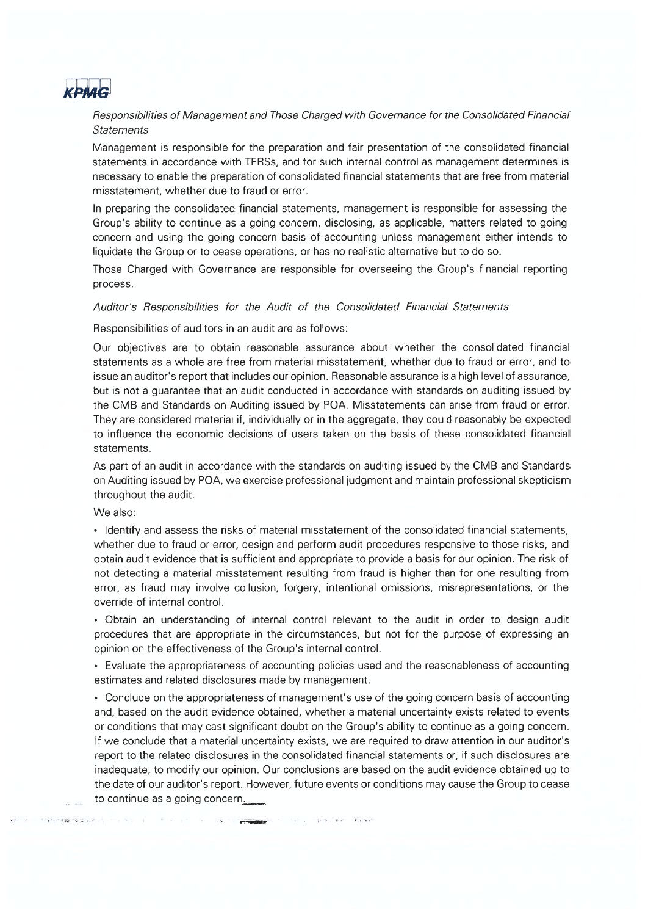

Responsibilities of Management and Those Charged with Governance for the Consolidated Financial **Statements** 

Management is responsible for the preparation and fair presentation of the consolidated financial statements in accordance with TFRSs, and for such internal control as management determines is necessary to enable the preparation of consolidated financial statements that are free from material misstatement, whether due to fraud or error.

In preparing the consolidated financial statements, management is responsible for assessing the Group's ability to continue as a going concern, disclosing, as applicable, matters related to going concern and using the going concern basis of accounting unless management either intends to liquidate the Group or to cease operations, or has no realistic alternative but to do so.

Those Charged with Governance are responsible for overseeing the Group's financial reporting process.

#### Auditor's Responsibilities for the Audit of the Consolidated Financial Statements

Responsibilities of auditors in an audit are as follows:

Our objectives are to obtain reasonable assurance about whether the consolidated financial statements as a whole are free from material misstatement, whether due to fraud or error, and to issue an auditor's report that includes our opinion. Reasonable assurance is a high level of assurance, but is not a quarantee that an audit conducted in accordance with standards on auditing issued by the CMB and Standards on Auditing issued by POA. Misstatements can arise from fraud or error. They are considered material if, individually or in the aggregate, they could reasonably be expected to influence the economic decisions of users taken on the basis of these consolidated financial statements.

As part of an audit in accordance with the standards on auditing issued by the CMB and Standards on Auditing issued by POA, we exercise professional judgment and maintain professional skepticism throughout the audit.

We also:

• Identify and assess the risks of material misstatement of the consolidated financial statements, whether due to fraud or error, design and perform audit procedures responsive to those risks, and obtain audit evidence that is sufficient and appropriate to provide a basis for our opinion. The risk of not detecting a material misstatement resulting from fraud is higher than for one resulting from error, as fraud may involve collusion, forgery, intentional omissions, misrepresentations, or the override of internal control.

. Obtain an understanding of internal control relevant to the audit in order to design audit procedures that are appropriate in the circumstances, but not for the purpose of expressing an opinion on the effectiveness of the Group's internal control.

• Evaluate the appropriateness of accounting policies used and the reasonableness of accounting estimates and related disclosures made by management.

• Conclude on the appropriateness of management's use of the going concern basis of accounting and, based on the audit evidence obtained, whether a material uncertainty exists related to events or conditions that may cast significant doubt on the Group's ability to continue as a going concern. If we conclude that a material uncertainty exists, we are required to draw attention in our auditor's report to the related disclosures in the consolidated financial statements or, if such disclosures are inadequate, to modify our opinion. Our conclusions are based on the audit evidence obtained up to the date of our auditor's report. However, future events or conditions may cause the Group to cease to continue as a going concern.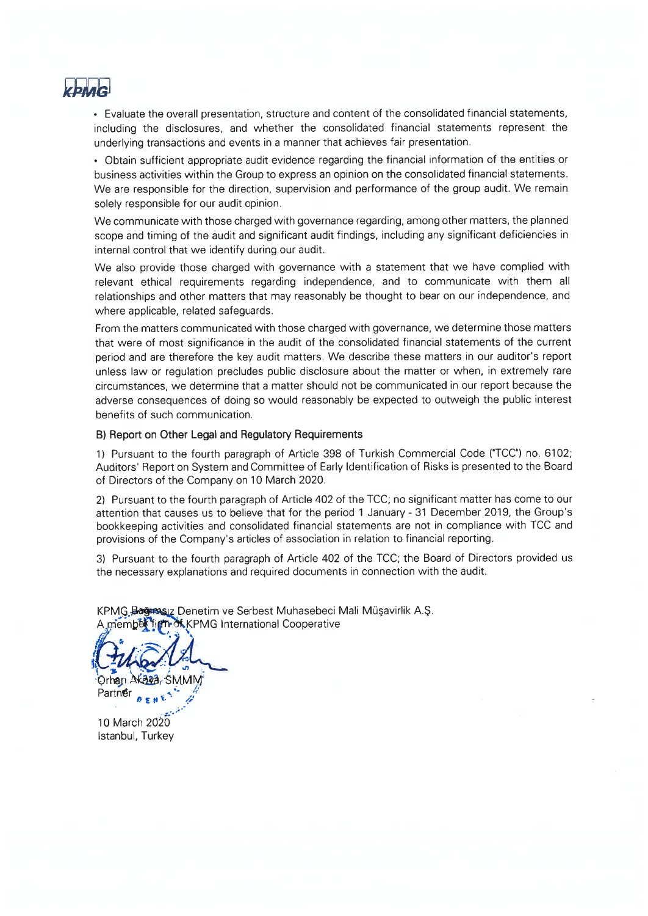

• Evaluate the overall presentation, structure and content of the consolidated financial statements, including the disclosures, and whether the consolidated financial statements represent the underlying transactions and events in a manner that achieves fair presentation.

• Obtain sufficient appropriate audit evidence regarding the financial information of the entities or business activities within the Group to express an opinion on the consolidated financial statements. We are responsible for the direction, supervision and performance of the group audit. We remain solely responsible for our audit opinion.

We communicate with those charged with governance regarding, among other matters, the planned scope and timing of the audit and significant audit findings, including any significant deficiencies in internal control that we identify during our audit.

We also provide those charged with governance with a statement that we have complied with relevant ethical requirements regarding independence, and to communicate with them all relationships and other matters that may reasonably be thought to bear on our independence, and where applicable, related safeguards.

From the matters communicated with those charged with governance, we determine those matters that were of most significance in the audit of the consolidated financial statements of the current period and are therefore the key audit matters. We describe these matters in our auditor's report unless law or regulation precludes public disclosure about the matter or when, in extremely rare circumstances, we determine that a matter should not be communicated in our report because the adverse consequences of doing so would reasonably be expected to outweigh the public interest benefits of such communication.

### B) Report on Other Legal and Regulatory Requirements

1) Pursuant to the fourth paragraph of Article 398 of Turkish Commercial Code ("TCC") no. 6102; Auditors' Report on System and Committee of Early Identification of Risks is presented to the Board of Directors of the Company on 10 March 2020.

2) Pursuant to the fourth paragraph of Article 402 of the TCC; no significant matter has come to our attention that causes us to believe that for the period 1 January - 31 December 2019, the Group's bookkeeping activities and consolidated financial statements are not in compliance with TCC and provisions of the Company's articles of association in relation to financial reporting.

3) Pursuant to the fourth paragraph of Article 402 of the TCC; the Board of Directors provided us the necessary explanations and required documents in connection with the audit.

KPMG Bağımışız Denetim ve Serbest Muhasebeci Mali Müşavirlik A.Ş. **Of KPMG** International Cooperative membi

Orhan

Partner

10 March 2020 Istanbul, Turkey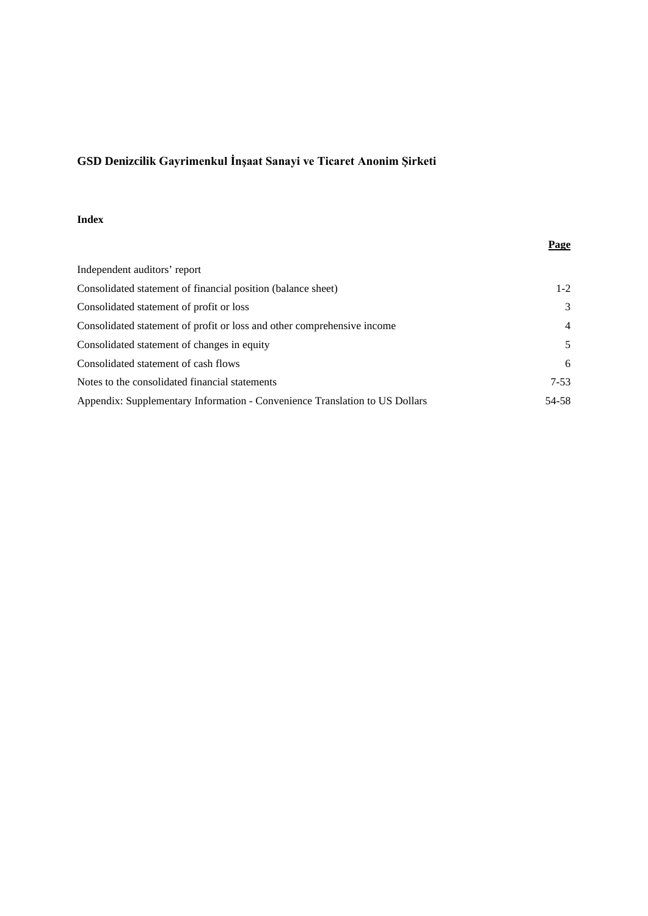# **Index**

|                                                                             | <b>Page</b>   |
|-----------------------------------------------------------------------------|---------------|
| Independent auditors' report                                                |               |
| Consolidated statement of financial position (balance sheet)                | $1 - 2$       |
| Consolidated statement of profit or loss                                    | $\mathcal{F}$ |
| Consolidated statement of profit or loss and other comprehensive income     | 4             |
| Consolidated statement of changes in equity                                 | 5             |
| Consolidated statement of cash flows                                        | 6             |
| Notes to the consolidated financial statements                              | $7 - 53$      |
| Appendix: Supplementary Information - Convenience Translation to US Dollars | 54-58         |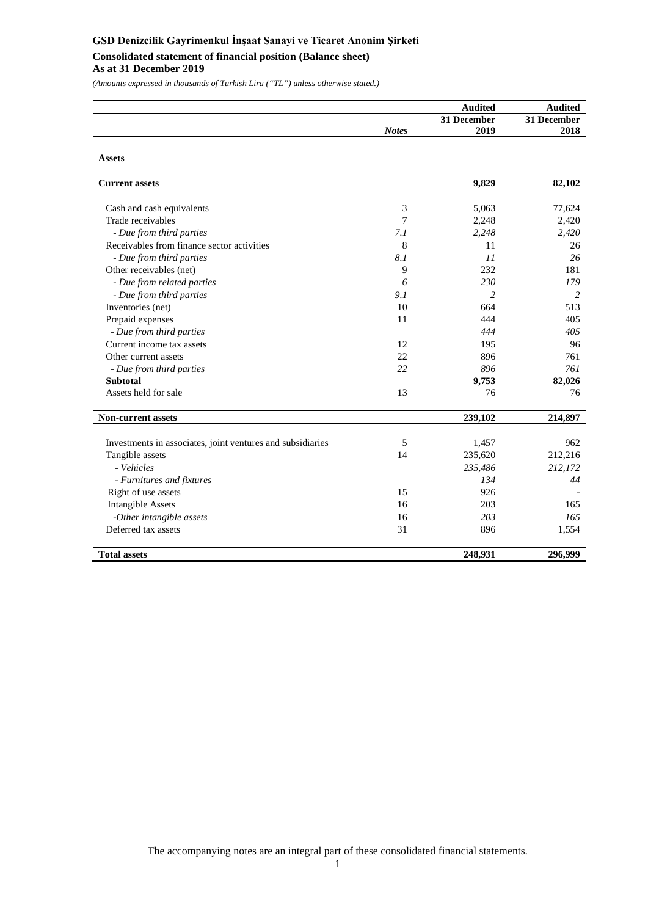# **GSD Denizcilik Gayrimenkul İnşaat Sanayi ve Ticaret Anonim Şirketi Consolidated statement of financial position (Balance sheet)**

### **As at 31 December 2019**

*(Amounts expressed in thousands of Turkish Lira ("TL") unless otherwise stated.)*

|              | Audited     | <b>Audited</b> |
|--------------|-------------|----------------|
|              | 31 December | 31 December    |
| <b>Notes</b> | 2019        | 2018           |

| <b>Assets</b>                                              |     |         |         |
|------------------------------------------------------------|-----|---------|---------|
| <b>Current assets</b>                                      |     | 9,829   | 82,102  |
|                                                            |     |         |         |
| Cash and cash equivalents                                  | 3   | 5,063   | 77,624  |
| Trade receivables                                          | 7   | 2,248   | 2,420   |
| - Due from third parties                                   | 7.1 | 2,248   | 2,420   |
| Receivables from finance sector activities                 | 8   | 11      | 26      |
| - Due from third parties                                   | 8.1 | 11      | 26      |
| Other receivables (net)                                    | 9   | 232     | 181     |
| - Due from related parties                                 | 6   | 230     | 179     |
| - Due from third parties                                   | 9.1 | 2       | 2       |
| Inventories (net)                                          | 10  | 664     | 513     |
| Prepaid expenses                                           | 11  | 444     | 405     |
| - Due from third parties                                   |     | 444     | 405     |
| Current income tax assets                                  | 12  | 195     | 96      |
| Other current assets                                       | 22  | 896     | 761     |
| - Due from third parties                                   | 22  | 896     | 761     |
| <b>Subtotal</b>                                            |     | 9,753   | 82,026  |
| Assets held for sale                                       | 13  | 76      | 76      |
| <b>Non-current assets</b>                                  |     | 239,102 | 214,897 |
| Investments in associates, joint ventures and subsidiaries | 5   | 1,457   | 962     |
| Tangible assets                                            | 14  | 235,620 | 212,216 |
| - Vehicles                                                 |     | 235,486 | 212,172 |
| - Furnitures and fixtures                                  |     | 134     | 44      |
| Right of use assets                                        | 15  | 926     |         |
| <b>Intangible Assets</b>                                   | 16  | 203     | 165     |
| -Other intangible assets                                   | 16  | 203     | 165     |
| Deferred tax assets                                        | 31  | 896     | 1,554   |
| <b>Total assets</b>                                        |     | 248,931 | 296,999 |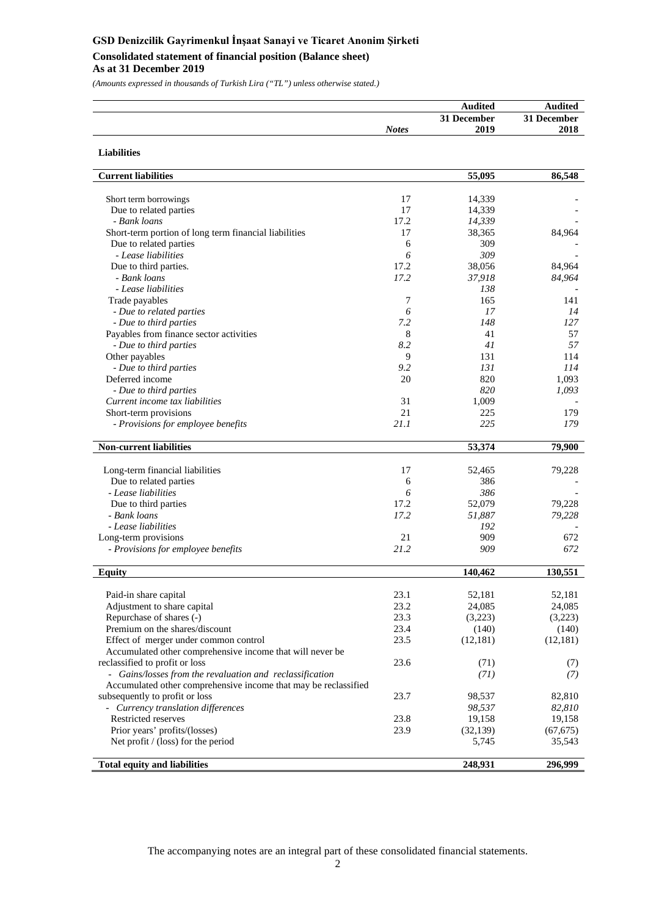# **GSD Denizcilik Gayrimenkul İnşaat Sanayi ve Ticaret Anonim Şirketi Consolidated statement of financial position (Balance sheet)**

### **As at 31 December 2019**

**Liabilities**

*(Amounts expressed in thousands of Turkish Lira ("TL") unless otherwise stated.)*

| Audited              | <b>Audited</b> |
|----------------------|----------------|
| 31 December          | 31 December    |
| 2019<br><b>Notes</b> | 2018           |

| <b>Current liabilities</b>                                      |      | 55,095    | 86,548    |
|-----------------------------------------------------------------|------|-----------|-----------|
|                                                                 |      |           |           |
| Short term borrowings                                           | 17   | 14,339    |           |
| Due to related parties                                          | 17   | 14,339    |           |
| - Bank loans                                                    | 17.2 | 14,339    |           |
| Short-term portion of long term financial liabilities           | 17   | 38,365    | 84,964    |
| Due to related parties                                          | 6    | 309       |           |
| - Lease liabilities                                             | 6    | 309       |           |
| Due to third parties.                                           | 17.2 | 38,056    | 84,964    |
| - Bank loans                                                    | 17.2 | 37,918    | 84,964    |
| - Lease liabilities                                             |      | 138       |           |
| Trade payables                                                  | 7    | 165       | 141       |
| - Due to related parties                                        | 6    | 17        | 14        |
| - Due to third parties                                          | 7.2  | 148       | 127       |
| Payables from finance sector activities                         | 8    | 41        | 57        |
| - Due to third parties                                          | 8.2  | 41        | 57        |
| Other payables                                                  | 9    | 131       | 114       |
| - Due to third parties                                          | 9.2  | 131       | 114       |
| Deferred income                                                 | 20   | 820       | 1,093     |
| - Due to third parties                                          |      | 820       | 1,093     |
| Current income tax liabilities                                  | 31   | 1,009     |           |
| Short-term provisions                                           | 21   | 225       | 179       |
| - Provisions for employee benefits                              | 21.1 | 225       | 179       |
|                                                                 |      |           |           |
| <b>Non-current liabilities</b>                                  |      | 53,374    | 79,900    |
|                                                                 |      |           |           |
| Long-term financial liabilities                                 | 17   | 52,465    | 79,228    |
| Due to related parties                                          | 6    | 386       |           |
| - Lease liabilities                                             | 6    | 386       |           |
| Due to third parties                                            | 17.2 | 52,079    | 79,228    |
| - Bank loans                                                    | 17.2 | 51,887    | 79,228    |
| - Lease liabilities                                             |      | 192       |           |
| Long-term provisions                                            | 21   | 909       | 672       |
| - Provisions for employee benefits                              | 21.2 | 909       | 672       |
| <b>Equity</b>                                                   |      | 140,462   | 130,551   |
|                                                                 |      |           |           |
| Paid-in share capital                                           | 23.1 | 52,181    | 52,181    |
| Adjustment to share capital                                     | 23.2 | 24,085    | 24,085    |
| Repurchase of shares (-)                                        | 23.3 | (3,223)   | (3,223)   |
| Premium on the shares/discount                                  | 23.4 | (140)     | (140)     |
| Effect of merger under common control                           | 23.5 | (12, 181) | (12, 181) |
| Accumulated other comprehensive income that will never be       |      |           |           |
| reclassified to profit or loss                                  | 23.6 | (71)      | (7)       |
| - Gains/losses from the revaluation and reclassification        |      | (71)      | (7)       |
| Accumulated other comprehensive income that may be reclassified |      |           |           |
| subsequently to profit or loss                                  | 23.7 | 98,537    | 82,810    |
| - Currency translation differences                              |      | 98,537    | 82,810    |
| Restricted reserves                                             | 23.8 | 19,158    | 19,158    |
| Prior years' profits/(losses)                                   | 23.9 | (32, 139) | (67, 675) |
| Net profit / (loss) for the period                              |      | 5,745     |           |
|                                                                 |      |           | 35,543    |
| <b>Total equity and liabilities</b>                             |      | 248,931   | 296,999   |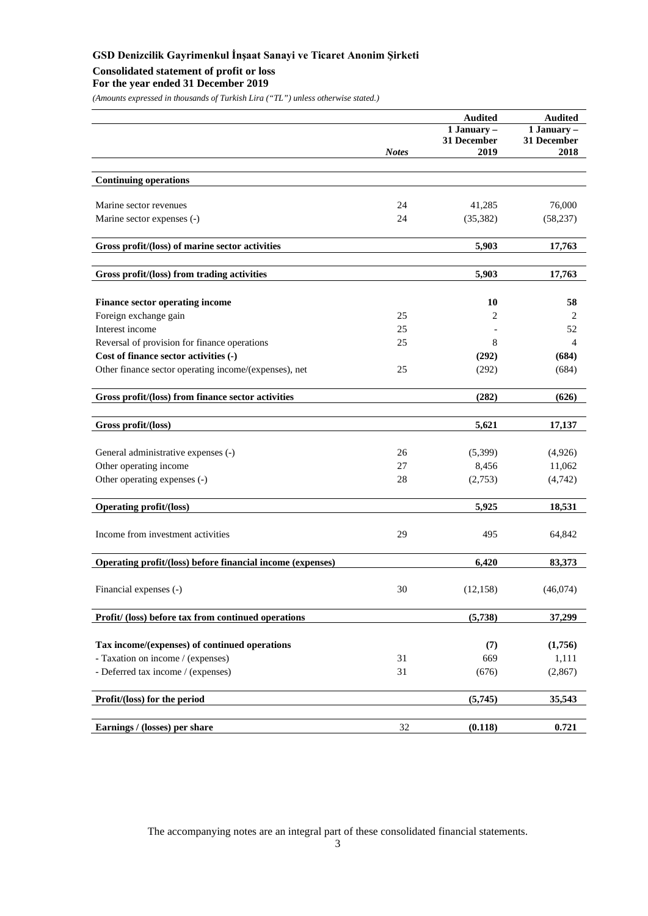# **Consolidated statement of profit or loss**

**For the year ended 31 December 2019**

*(Amounts expressed in thousands of Turkish Lira ("TL") unless otherwise stated.)*

|                                                                   |              | <b>Audited</b>           | <b>Audited</b>           |
|-------------------------------------------------------------------|--------------|--------------------------|--------------------------|
|                                                                   |              | $\overline{1}$ January – | $\overline{1}$ January – |
|                                                                   | <b>Notes</b> | 31 December<br>2019      | 31 December<br>2018      |
|                                                                   |              |                          |                          |
| <b>Continuing operations</b>                                      |              |                          |                          |
|                                                                   |              |                          |                          |
| Marine sector revenues                                            | 24           | 41,285                   | 76,000                   |
| Marine sector expenses (-)                                        | 24           | (35, 382)                | (58, 237)                |
| Gross profit/(loss) of marine sector activities                   |              | 5,903                    | 17,763                   |
|                                                                   |              |                          |                          |
| Gross profit/(loss) from trading activities                       |              | 5,903                    | 17,763                   |
| <b>Finance sector operating income</b>                            |              | 10                       | 58                       |
| Foreign exchange gain                                             | 25           | 2                        | 2                        |
| Interest income                                                   | 25           |                          | 52                       |
| Reversal of provision for finance operations                      | 25           | 8                        | 4                        |
| Cost of finance sector activities (-)                             |              | (292)                    | (684)                    |
| Other finance sector operating income/(expenses), net             | 25           | (292)                    | (684)                    |
| Gross profit/(loss) from finance sector activities                |              | (282)                    | (626)                    |
|                                                                   |              |                          |                          |
| Gross profit/(loss)                                               |              | 5,621                    | 17,137                   |
| General administrative expenses (-)                               | 26           | (5,399)                  | (4,926)                  |
| Other operating income                                            | 27           | 8,456                    | 11,062                   |
| Other operating expenses (-)                                      | 28           | (2,753)                  | (4, 742)                 |
| <b>Operating profit/(loss)</b>                                    |              | 5,925                    | 18,531                   |
|                                                                   |              |                          |                          |
| Income from investment activities                                 | 29           | 495                      | 64,842                   |
| <b>Operating profit/(loss) before financial income (expenses)</b> |              | 6,420                    | 83,373                   |
|                                                                   |              |                          |                          |
| Financial expenses (-)                                            | 30           | (12, 158)                | (46,074)                 |
| Profit/ (loss) before tax from continued operations               |              | (5,738)                  | 37,299                   |
|                                                                   |              |                          |                          |
| Tax income/(expenses) of continued operations                     |              | (7)                      | (1,756)                  |
| - Taxation on income / (expenses)                                 | 31           | 669                      | 1,111                    |
| - Deferred tax income / (expenses)                                | 31           | (676)                    | (2,867)                  |
| Profit/(loss) for the period                                      |              | (5,745)                  | 35,543                   |
|                                                                   |              |                          |                          |
| Earnings / (losses) per share                                     | 32           | (0.118)                  | 0.721                    |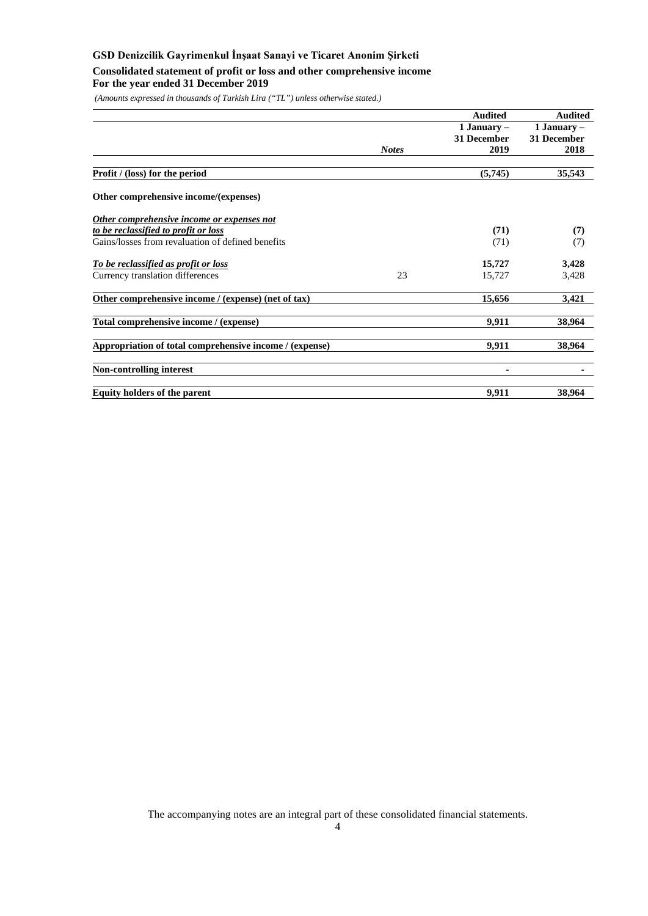# **GSD Denizcilik Gayrimenkul İnşaat Sanayi ve Ticaret Anonim Şirketi Consolidated statement of profit or loss and other comprehensive income For the year ended 31 December 2019**

*(Amounts expressed in thousands of Turkish Lira ("TL") unless otherwise stated.)*

|                                                         | <b>Audited</b> | <b>Audited</b> |
|---------------------------------------------------------|----------------|----------------|
|                                                         | 1 January $-$  | 1 January $-$  |
|                                                         | 31 December    | 31 December    |
| <b>Notes</b>                                            | 2019           | 2018           |
| <b>Profit</b> / (loss) for the period                   | (5,745)        | 35,543         |
| Other comprehensive income/(expenses)                   |                |                |
| Other comprehensive income or expenses not              |                |                |
| to be reclassified to profit or loss                    | (71)           | (7)            |
| Gains/losses from revaluation of defined benefits       | (71)           | (7)            |
| To be reclassified as profit or loss                    | 15,727         | 3,428          |
| 23<br>Currency translation differences                  | 15,727         | 3,428          |
| Other comprehensive income / (expense) (net of tax)     | 15,656         | 3,421          |
| Total comprehensive income / (expense)                  | 9,911          | 38,964         |
| Appropriation of total comprehensive income / (expense) | 9,911          | 38,964         |
| <b>Non-controlling interest</b>                         | ۰              |                |
| <b>Equity holders of the parent</b>                     | 9,911          | 38,964         |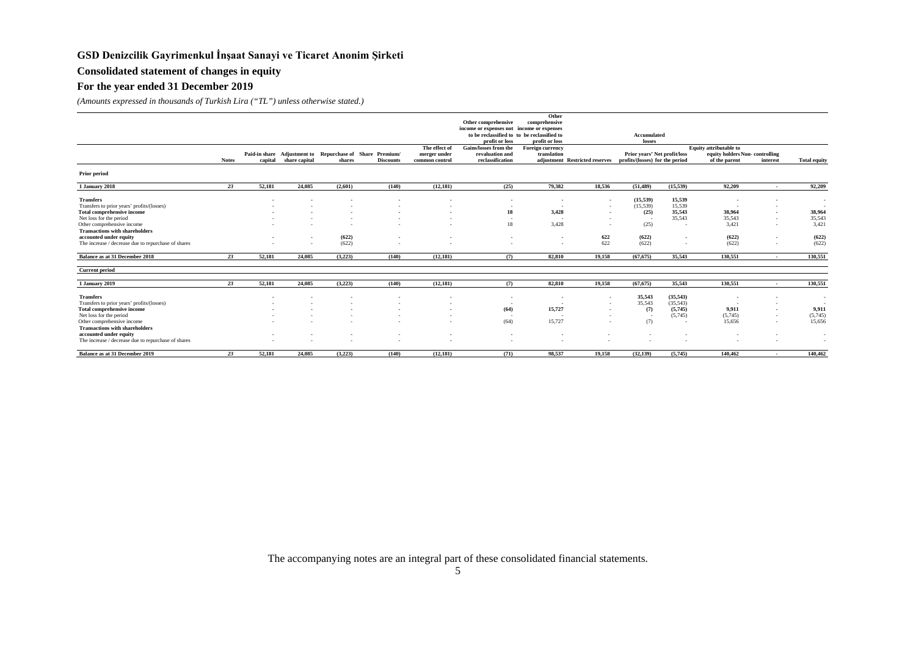# **Consolidated statement of changes in equity**

### **For the year ended 31 December 2019**

*(Amounts expressed in thousands of Turkish Lira ("TL") unless otherwise stated.)*

|                                                     |              |                          |               |         |                                                          |                          |                                             | Other                    |                                |                                 |           |                                |                          |                          |
|-----------------------------------------------------|--------------|--------------------------|---------------|---------|----------------------------------------------------------|--------------------------|---------------------------------------------|--------------------------|--------------------------------|---------------------------------|-----------|--------------------------------|--------------------------|--------------------------|
|                                                     |              |                          |               |         |                                                          |                          | Other comprehensive                         | comprehensive            |                                |                                 |           |                                |                          |                          |
|                                                     |              |                          |               |         |                                                          |                          | income or expenses not income or expenses   |                          |                                |                                 |           |                                |                          |                          |
|                                                     |              |                          |               |         |                                                          |                          | to be reclassified to to be reclassified to |                          |                                | Accumulated                     |           |                                |                          |                          |
|                                                     |              |                          |               |         |                                                          |                          | profit or loss                              | profit or loss           |                                | losses                          |           |                                |                          |                          |
|                                                     |              |                          |               |         |                                                          | The effect of            | <b>Gains/losses from the</b>                | <b>Foreign currency</b>  |                                |                                 |           | <b>Equity</b> attributable to  |                          |                          |
|                                                     |              |                          |               |         | Paid-in share Adjustment to Repurchase of Share Premium/ | merger under             | revaluation and                             | translation              |                                | Prior years' Net profit/loss    |           | equity holders Non-controlling |                          |                          |
|                                                     | <b>Notes</b> | capital                  | share capital | shares  | <b>Discounts</b>                                         | common control           | reclassification                            |                          | adjustment Restricted reserves | profits/(losses) for the period |           | of the parent                  | interest                 | <b>Total equity</b>      |
| <b>Prior period</b>                                 |              |                          |               |         |                                                          |                          |                                             |                          |                                |                                 |           |                                |                          |                          |
| 1 January 2018                                      | 23           | 52,181                   | 24,085        | (2,601) | (140)                                                    | (12, 181)                | (25)                                        | 79,382                   | 18,536                         | (51.489)                        | (15, 539) | 92,209                         | $\sim$                   | 92,209                   |
|                                                     |              |                          |               |         |                                                          |                          |                                             |                          |                                |                                 |           |                                |                          |                          |
| <b>Transfers</b>                                    |              | $\overline{\phantom{a}}$ |               |         |                                                          | ۰                        | $\sim$                                      |                          | $\overline{\phantom{a}}$       | (15, 539)                       | 15,539    |                                | $\overline{\phantom{a}}$ | $\sim$                   |
| Transfers to prior years' profits/(losses)          |              |                          |               |         |                                                          |                          | $\sim$                                      |                          | $\sim$                         | (15, 539)                       | 15,539    |                                | $\sim$                   | <b><i><u>ALC</u></i></b> |
| Total comprehensive income                          |              |                          |               |         |                                                          |                          | 18                                          | 3,428                    | $\overline{\phantom{a}}$       | (25)                            | 35,543    | 38,964                         |                          | 38,964                   |
| Net loss for the period                             |              |                          |               |         |                                                          |                          |                                             |                          |                                |                                 | 35,543    | 35,543                         | $\overline{\phantom{a}}$ | 35,543                   |
| Other comprehensive income                          |              |                          |               |         |                                                          |                          | 18                                          | 3,428                    |                                | (25)                            | $\sim$    | 3,421                          |                          | 3,421                    |
| <b>Transactions with shareholders</b>               |              |                          |               |         |                                                          |                          |                                             |                          |                                |                                 |           |                                |                          |                          |
| accounted under equity                              |              |                          | $\sim$        | (622)   |                                                          |                          | $\sim$                                      | $\overline{\phantom{a}}$ | 622                            | (622)                           |           | (622)                          | $\overline{\phantom{a}}$ | (622)                    |
| The increase / decrease due to repurchase of shares |              |                          |               | (622)   |                                                          |                          | <b>1999</b>                                 |                          | 622                            | (622)                           |           | (622)                          | $\overline{\phantom{a}}$ | (622)                    |
| Balance as at 31 December 2018                      | 23           | 52,181                   | 24,085        | (3,223) | (140)                                                    | (12, 181)                | (7)                                         | 82.810                   | 19.158                         | (67.675)                        | 35.543    | 130.551                        | $\overline{\phantom{a}}$ | 130,551                  |
|                                                     |              |                          |               |         |                                                          |                          |                                             |                          |                                |                                 |           |                                |                          |                          |
| <b>Current period</b>                               |              |                          |               |         |                                                          |                          |                                             |                          |                                |                                 |           |                                |                          |                          |
| 1 January 2019                                      | 23           | 52,181                   | 24,085        | (3,223) | (140)                                                    | (12, 181)                | (7)                                         | 82,810                   | 19,158                         | (67, 675)                       | 35,543    | 130,551                        | $\sim$                   | 130,551                  |
| <b>Transfers</b>                                    |              |                          |               |         |                                                          |                          |                                             |                          |                                | 35,543                          | (35, 543) |                                |                          |                          |
|                                                     |              |                          |               |         |                                                          |                          | $\overline{\phantom{a}}$                    | ٠.                       |                                | 35,543                          | (35, 543) |                                |                          | $\sim$                   |
| Transfers to prior years' profits/(losses)          |              |                          |               |         |                                                          |                          |                                             |                          | $\sim$                         |                                 |           |                                |                          | $\sim$                   |
| Total comprehensive income                          |              |                          |               |         |                                                          | $\overline{\phantom{a}}$ | (64)                                        | 15,727                   | $\sim$                         | (7)                             | (5,745)   | 9.911                          |                          | 9,911                    |
| Net loss for the period                             |              |                          |               |         |                                                          |                          |                                             |                          |                                | - 1                             | (5,745)   | (5,745)                        |                          | (5,745)                  |
| Other comprehensive income                          |              |                          |               |         |                                                          | $\sim$                   | (64)                                        | 15,727                   |                                | (7)                             |           | 15.656                         |                          | 15,656                   |
| <b>Transactions with shareholders</b>               |              |                          |               |         |                                                          |                          |                                             |                          |                                |                                 |           |                                |                          |                          |
| accounted under equity                              |              |                          |               |         |                                                          | $\overline{\phantom{a}}$ | ۰.                                          |                          |                                |                                 |           |                                |                          | $\sim$                   |
| The increase / decrease due to repurchase of shares |              |                          |               |         |                                                          |                          |                                             |                          |                                |                                 |           |                                |                          | $\sim$                   |
| Balance as at 31 December 2019                      | 23           | 52,181                   | 24,085        | (3,223) | (140)                                                    | (12, 181)                | (71)                                        | 98.537                   | 19,158                         | (32, 139)                       | (5.745)   | 140,462                        | $\overline{\phantom{a}}$ | 140,462                  |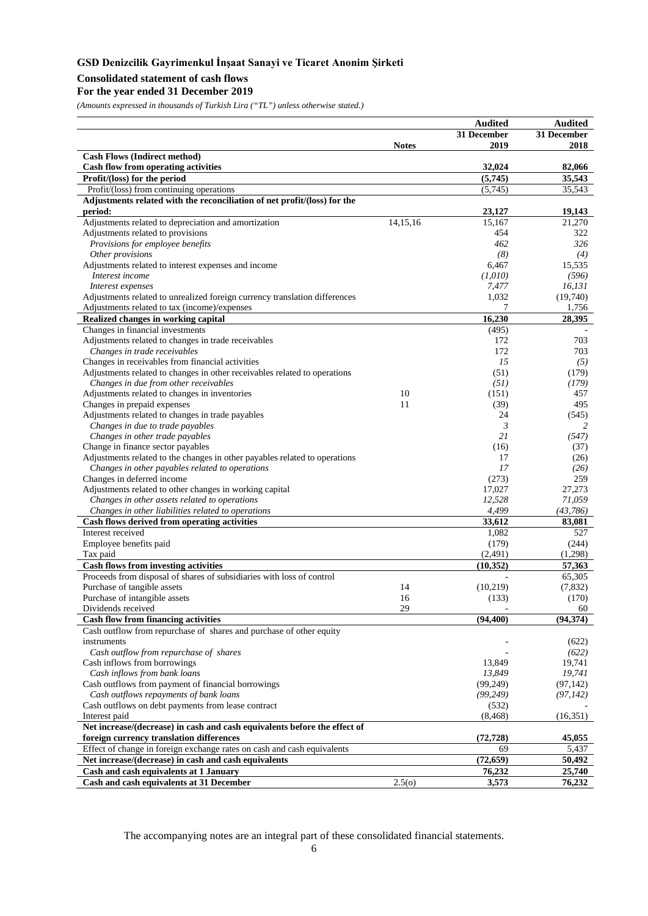# **Consolidated statement of cash flows**

### **For the year ended 31 December 2019**

*(Amounts expressed in thousands of Turkish Lira ("TL") unless otherwise stated.)*

|                                                                                        |              | <b>Audited</b>    | <b>Audited</b>   |
|----------------------------------------------------------------------------------------|--------------|-------------------|------------------|
|                                                                                        |              | 31 December       | 31 December      |
|                                                                                        | <b>Notes</b> | 2019              | 2018             |
| <b>Cash Flows (Indirect method)</b>                                                    |              |                   |                  |
| <b>Cash flow from operating activities</b>                                             |              | 32,024            | 82,066           |
| Profit/(loss) for the period                                                           |              | (5,745)           | 35,543           |
| Profit/(loss) from continuing operations                                               |              | (5,745)           | 35,543           |
| Adjustments related with the reconciliation of net profit/(loss) for the<br>period:    |              | 23,127            | 19,143           |
| Adjustments related to depreciation and amortization                                   | 14,15,16     | 15,167            | 21,270           |
| Adjustments related to provisions                                                      |              | 454               | 322              |
| Provisions for employee benefits                                                       |              | 462               | 326              |
| Other provisions                                                                       |              | (8)               | (4)              |
| Adjustments related to interest expenses and income                                    |              | 6,467             | 15,535           |
| Interest income                                                                        |              | (1,010)           | (596)            |
| Interest expenses                                                                      |              | 7,477             | 16, 131          |
| Adjustments related to unrealized foreign currency translation differences             |              | 1,032             | (19,740)         |
| Adjustments related to tax (income)/expenses                                           |              | 7                 | 1,756            |
| Realized changes in working capital                                                    |              | 16,230            | 28,395           |
| Changes in financial investments                                                       |              | (495)             |                  |
| Adjustments related to changes in trade receivables                                    |              | 172               | 703              |
| Changes in trade receivables                                                           |              | 172               | 703              |
| Changes in receivables from financial activities                                       |              | 15                | (5)              |
| Adjustments related to changes in other receivables related to operations              |              | (51)              | (179)            |
| Changes in due from other receivables<br>Adjustments related to changes in inventories | 10           | (51)<br>(151)     | (179)<br>457     |
| Changes in prepaid expenses                                                            | 11           | (39)              | 495              |
| Adjustments related to changes in trade payables                                       |              | 24                | (545)            |
| Changes in due to trade payables                                                       |              | 3                 | 2                |
| Changes in other trade payables                                                        |              | 21                | (547)            |
| Change in finance sector payables                                                      |              | (16)              | (37)             |
| Adjustments related to the changes in other payables related to operations             |              | 17                | (26)             |
| Changes in other payables related to operations                                        |              | 17                | (26)             |
| Changes in deferred income                                                             |              | (273)             | 259              |
| Adjustments related to other changes in working capital                                |              | 17,027            | 27,273           |
| Changes in other assets related to operations                                          |              | 12,528            | 71,059           |
| Changes in other liabilities related to operations                                     |              | 4,499             | (43,786)         |
| Cash flows derived from operating activities                                           |              | 33,612            | 83,081           |
| Interest received                                                                      |              | 1,082             | 527              |
| Employee benefits paid                                                                 |              | (179)             | (244)            |
| Tax paid                                                                               |              | (2,491)           | (1,298)          |
| <b>Cash flows from investing activities</b>                                            |              | (10, 352)         | 57,363           |
| Proceeds from disposal of shares of subsidiaries with loss of control                  |              |                   | 65,305           |
| Purchase of tangible assets                                                            | 14<br>16     | (10,219)<br>(133) | (7,832)<br>(170) |
| Purchase of intangible assets<br>Dividends received                                    | 29           |                   | 60               |
| <b>Cash flow from financing activities</b>                                             |              | (94, 400)         | (94, 374)        |
| Cash outflow from repurchase of shares and purchase of other equity                    |              |                   |                  |
| instruments                                                                            |              |                   | (622)            |
| Cash outflow from repurchase of shares                                                 |              |                   | (622)            |
| Cash inflows from borrowings                                                           |              | 13,849            | 19,741           |
| Cash inflows from bank loans                                                           |              | 13,849            | 19,741           |
| Cash outflows from payment of financial borrowings                                     |              | (99, 249)         | (97, 142)        |
| Cash outflows repayments of bank loans                                                 |              | (99, 249)         | (97, 142)        |
| Cash outflows on debt payments from lease contract                                     |              | (532)             |                  |
| Interest paid                                                                          |              | (8, 468)          | (16,351)         |
| Net increase/(decrease) in cash and cash equivalents before the effect of              |              |                   |                  |
| foreign currency translation differences                                               |              | (72, 728)         | 45,055           |
| Effect of change in foreign exchange rates on cash and cash equivalents                |              | 69                | 5,437            |
| Net increase/(decrease) in cash and cash equivalents                                   |              | (72, 659)         | 50,492           |
| Cash and cash equivalents at 1 January                                                 |              | 76,232            | 25,740           |
| Cash and cash equivalents at 31 December                                               | 2.5(0)       | 3,573             | 76,232           |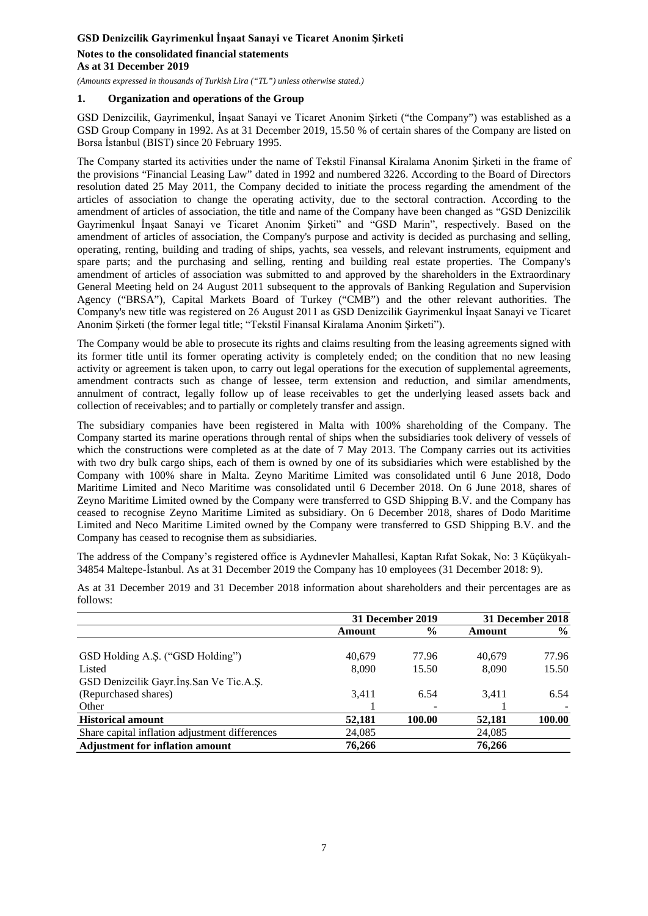**Notes to the consolidated financial statements As at 31 December 2019**

*(Amounts expressed in thousands of Turkish Lira ("TL") unless otherwise stated.)*

#### **1. Organization and operations of the Group**

GSD Denizcilik, Gayrimenkul, İnşaat Sanayi ve Ticaret Anonim Şirketi ("the Company") was established as a GSD Group Company in 1992. As at 31 December 2019, 15.50 % of certain shares of the Company are listed on Borsa İstanbul (BIST) since 20 February 1995.

The Company started its activities under the name of Tekstil Finansal Kiralama Anonim Şirketi in the frame of the provisions "Financial Leasing Law" dated in 1992 and numbered 3226. According to the Board of Directors resolution dated 25 May 2011, the Company decided to initiate the process regarding the amendment of the articles of association to change the operating activity, due to the sectoral contraction. According to the amendment of articles of association, the title and name of the Company have been changed as "GSD Denizcilik Gayrimenkul İnşaat Sanayi ve Ticaret Anonim Şirketi" and "GSD Marin", respectively. Based on the amendment of articles of association, the Company's purpose and activity is decided as purchasing and selling, operating, renting, building and trading of ships, yachts, sea vessels, and relevant instruments, equipment and spare parts; and the purchasing and selling, renting and building real estate properties. The Company's amendment of articles of association was submitted to and approved by the shareholders in the Extraordinary General Meeting held on 24 August 2011 subsequent to the approvals of Banking Regulation and Supervision Agency ("BRSA"), Capital Markets Board of Turkey ("CMB") and the other relevant authorities. The Company's new title was registered on 26 August 2011 as GSD Denizcilik Gayrimenkul İnşaat Sanayi ve Ticaret Anonim Şirketi (the former legal title; "Tekstil Finansal Kiralama Anonim Şirketi").

The Company would be able to prosecute its rights and claims resulting from the leasing agreements signed with its former title until its former operating activity is completely ended; on the condition that no new leasing activity or agreement is taken upon, to carry out legal operations for the execution of supplemental agreements, amendment contracts such as change of lessee, term extension and reduction, and similar amendments, annulment of contract, legally follow up of lease receivables to get the underlying leased assets back and collection of receivables; and to partially or completely transfer and assign.

The subsidiary companies have been registered in Malta with 100% shareholding of the Company. The Company started its marine operations through rental of ships when the subsidiaries took delivery of vessels of which the constructions were completed as at the date of 7 May 2013. The Company carries out its activities with two dry bulk cargo ships, each of them is owned by one of its subsidiaries which were established by the Company with 100% share in Malta. Zeyno Maritime Limited was consolidated until 6 June 2018, Dodo Maritime Limited and Neco Maritime was consolidated until 6 December 2018. On 6 June 2018, shares of Zeyno Maritime Limited owned by the Company were transferred to GSD Shipping B.V. and the Company has ceased to recognise Zeyno Maritime Limited as subsidiary. On 6 December 2018, shares of Dodo Maritime Limited and Neco Maritime Limited owned by the Company were transferred to GSD Shipping B.V. and the Company has ceased to recognise them as subsidiaries.

The address of the Company's registered office is Aydınevler Mahallesi, Kaptan Rıfat Sokak, No: 3 Küçükyalı-34854 Maltepe-İstanbul. As at 31 December 2019 the Company has 10 employees (31 December 2018: 9).

|                                                |        | 31 December 2019 | 31 December 2018 |               |  |
|------------------------------------------------|--------|------------------|------------------|---------------|--|
|                                                | Amount | $\frac{0}{0}$    | Amount           | $\frac{6}{9}$ |  |
| GSD Holding A.S. ("GSD Holding")               | 40.679 | 77.96            | 40.679           | 77.96         |  |
| Listed                                         | 8.090  | 15.50            | 8.090            | 15.50         |  |
| GSD Denizcilik Gayr.Ins.San Ve Tic.A.S.        |        |                  |                  |               |  |
| (Repurchased shares)                           | 3.411  | 6.54             | 3.411            | 6.54          |  |
| Other                                          |        |                  |                  |               |  |
| <b>Historical amount</b>                       | 52,181 | 100.00           | 52,181           | 100.00        |  |
| Share capital inflation adjustment differences | 24,085 |                  | 24,085           |               |  |
| <b>Adjustment for inflation amount</b>         | 76.266 |                  | 76,266           |               |  |

As at 31 December 2019 and 31 December 2018 information about shareholders and their percentages are as follows: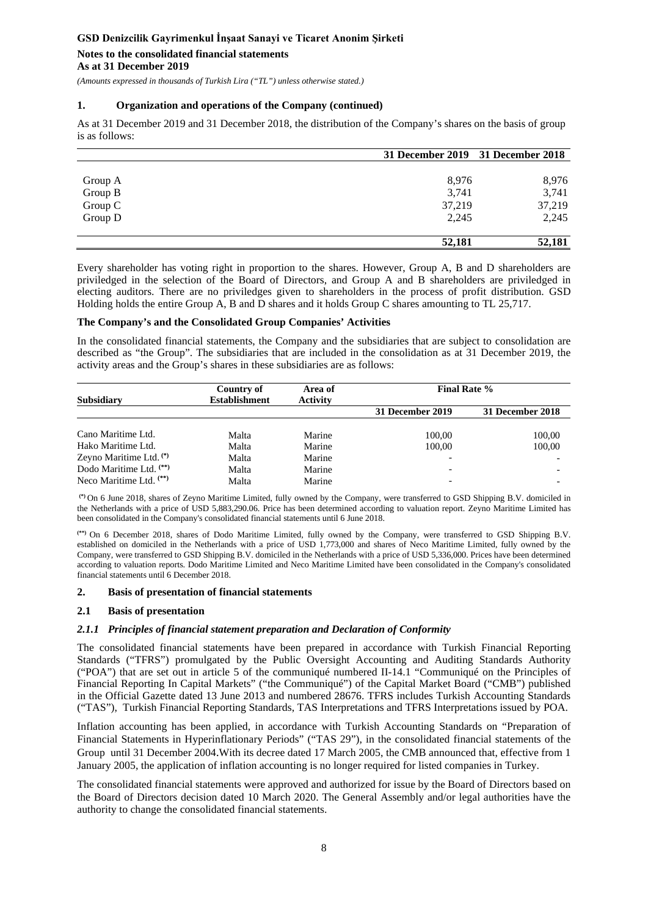**Notes to the consolidated financial statements As at 31 December 2019**

*(Amounts expressed in thousands of Turkish Lira ("TL") unless otherwise stated.)*

#### **1. Organization and operations of the Company (continued)**

As at 31 December 2019 and 31 December 2018, the distribution of the Company's shares on the basis of group is as follows:

|         | 31 December 2019 31 December 2018 |        |
|---------|-----------------------------------|--------|
|         |                                   |        |
| Group A | 8,976                             | 8,976  |
| Group B | 3,741                             | 3,741  |
| Group C | 37,219                            | 37,219 |
| Group D | 2,245                             | 2,245  |
|         | 52,181                            | 52,181 |

Every shareholder has voting right in proportion to the shares. However, Group A, B and D shareholders are priviledged in the selection of the Board of Directors, and Group A and B shareholders are priviledged in electing auditors. There are no priviledges given to shareholders in the process of profit distribution. GSD Holding holds the entire Group A, B and D shares and it holds Group C shares amounting to TL 25,717.

### **The Company's and the Consolidated Group Companies' Activities**

In the consolidated financial statements, the Company and the subsidiaries that are subject to consolidation are described as "the Group". The subsidiaries that are included in the consolidation as at 31 December 2019, the activity areas and the Group's shares in these subsidiaries are as follows:

| Subsidiary                         | Country of<br><b>Establishment</b> | Area of<br><b>Activity</b> | <b>Final Rate %</b>      |                  |  |  |  |
|------------------------------------|------------------------------------|----------------------------|--------------------------|------------------|--|--|--|
|                                    |                                    |                            | 31 December 2019         | 31 December 2018 |  |  |  |
|                                    |                                    |                            |                          |                  |  |  |  |
| Cano Maritime Ltd.                 | Malta                              | Marine                     | 100.00                   | 100,00           |  |  |  |
| Hako Maritime Ltd.                 | Malta                              | Marine                     | 100.00                   | 100,00           |  |  |  |
| Zeyno Maritime Ltd. <sup>(*)</sup> | Malta                              | Marine                     |                          |                  |  |  |  |
| Dodo Maritime Ltd. <sup>(**)</sup> | Malta                              | Marine                     | $\overline{\phantom{a}}$ |                  |  |  |  |
| Neco Maritime Ltd. $(**)$          | Malta                              | Marine                     |                          |                  |  |  |  |

**(\*)** On 6 June 2018, shares of Zeyno Maritime Limited, fully owned by the Company, were transferred to GSD Shipping B.V. domiciled in the Netherlands with a price of USD 5,883,290.06. Price has been determined according to valuation report. Zeyno Maritime Limited has been consolidated in the Company's consolidated financial statements until 6 June 2018.

**(\*\*)** On 6 December 2018, shares of Dodo Maritime Limited, fully owned by the Company, were transferred to GSD Shipping B.V. established on domiciled in the Netherlands with a price of USD 1,773,000 and shares of Neco Maritime Limited, fully owned by the Company, were transferred to GSD Shipping B.V. domiciled in the Netherlands with a price of USD 5,336,000. Prices have been determined according to valuation reports. Dodo Maritime Limited and Neco Maritime Limited have been consolidated in the Company's consolidated financial statements until 6 December 2018.

### **2. Basis of presentation of financial statements**

#### **2.1 Basis of presentation**

#### *2.1.1 Principles of financial statement preparation and Declaration of Conformity*

The consolidated financial statements have been prepared in accordance with Turkish Financial Reporting Standards ("TFRS") promulgated by the Public Oversight Accounting and Auditing Standards Authority ("POA") that are set out in article 5 of the communiqué numbered II-14.1 "Communiqué on the Principles of Financial Reporting In Capital Markets" ("the Communiqué") of the Capital Market Board ("CMB") published in the Official Gazette dated 13 June 2013 and numbered 28676. TFRS includes Turkish Accounting Standards ("TAS"), Turkish Financial Reporting Standards, TAS Interpretations and TFRS Interpretations issued by POA.

Inflation accounting has been applied, in accordance with Turkish Accounting Standards on "Preparation of Financial Statements in Hyperinflationary Periods" ("TAS 29"), in the consolidated financial statements of the Group until 31 December 2004.With its decree dated 17 March 2005, the CMB announced that, effective from 1 January 2005, the application of inflation accounting is no longer required for listed companies in Turkey.

The consolidated financial statements were approved and authorized for issue by the Board of Directors based on the Board of Directors decision dated 10 March 2020. The General Assembly and/or legal authorities have the authority to change the consolidated financial statements.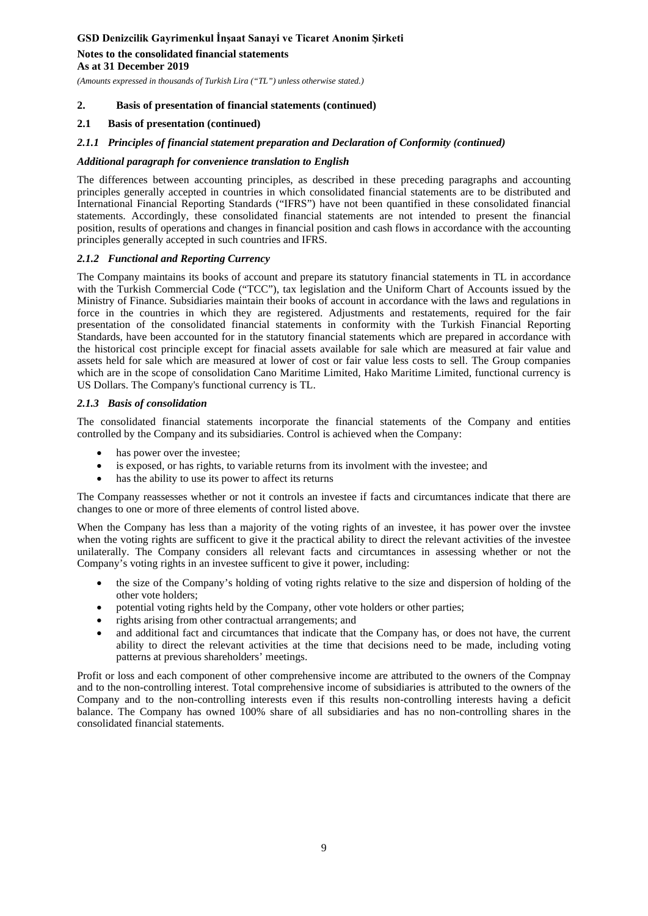## **Notes to the consolidated financial statements As at 31 December 2019**

*(Amounts expressed in thousands of Turkish Lira ("TL") unless otherwise stated.)*

### **2. Basis of presentation of financial statements (continued)**

### **2.1 Basis of presentation (continued)**

### *2.1.1 Principles of financial statement preparation and Declaration of Conformity (continued)*

#### *Additional paragraph for convenience translation to English*

The differences between accounting principles, as described in these preceding paragraphs and accounting principles generally accepted in countries in which consolidated financial statements are to be distributed and International Financial Reporting Standards ("IFRS") have not been quantified in these consolidated financial statements. Accordingly, these consolidated financial statements are not intended to present the financial position, results of operations and changes in financial position and cash flows in accordance with the accounting principles generally accepted in such countries and IFRS.

### *2.1.2 Functional and Reporting Currency*

The Company maintains its books of account and prepare its statutory financial statements in TL in accordance with the Turkish Commercial Code ("TCC"), tax legislation and the Uniform Chart of Accounts issued by the Ministry of Finance. Subsidiaries maintain their books of account in accordance with the laws and regulations in force in the countries in which they are registered. Adjustments and restatements, required for the fair presentation of the consolidated financial statements in conformity with the Turkish Financial Reporting Standards, have been accounted for in the statutory financial statements which are prepared in accordance with the historical cost principle except for finacial assets available for sale which are measured at fair value and assets held for sale which are measured at lower of cost or fair value less costs to sell. The Group companies which are in the scope of consolidation Cano Maritime Limited, Hako Maritime Limited, functional currency is US Dollars. The Company's functional currency is TL.

#### *2.1.3 Basis of consolidation*

The consolidated financial statements incorporate the financial statements of the Company and entities controlled by the Company and its subsidiaries. Control is achieved when the Company:

- has power over the investee;
- is exposed, or has rights, to variable returns from its involment with the investee; and
- has the ability to use its power to affect its returns

The Company reassesses whether or not it controls an investee if facts and circumtances indicate that there are changes to one or more of three elements of control listed above.

When the Company has less than a majority of the voting rights of an investee, it has power over the invstee when the voting rights are sufficent to give it the practical ability to direct the relevant activities of the investee unilaterally. The Company considers all relevant facts and circumtances in assessing whether or not the Company's voting rights in an investee sufficent to give it power, including:

- the size of the Company's holding of voting rights relative to the size and dispersion of holding of the other vote holders;
- potential voting rights held by the Company, other vote holders or other parties;
- rights arising from other contractual arrangements; and
- and additional fact and circumtances that indicate that the Company has, or does not have, the current ability to direct the relevant activities at the time that decisions need to be made, including voting patterns at previous shareholders' meetings.

Profit or loss and each component of other comprehensive income are attributed to the owners of the Compnay and to the non-controlling interest. Total comprehensive income of subsidiaries is attributed to the owners of the Company and to the non-controlling interests even if this results non-controlling interests having a deficit balance. The Company has owned 100% share of all subsidiaries and has no non-controlling shares in the consolidated financial statements.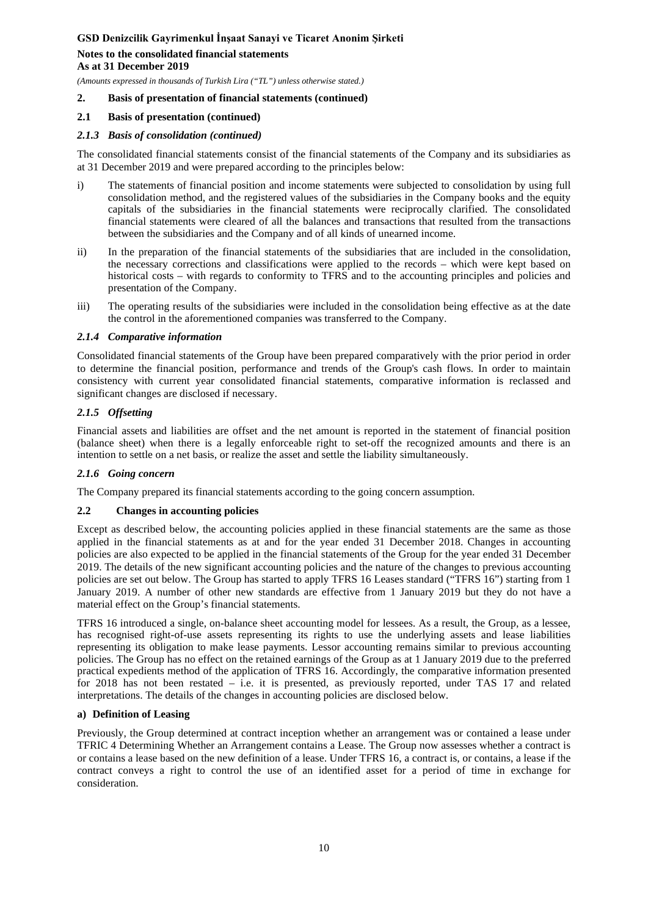### **Notes to the consolidated financial statements As at 31 December 2019**

*(Amounts expressed in thousands of Turkish Lira ("TL") unless otherwise stated.)*

### **2. Basis of presentation of financial statements (continued)**

### **2.1 Basis of presentation (continued)**

### *2.1.3 Basis of consolidation (continued)*

The consolidated financial statements consist of the financial statements of the Company and its subsidiaries as at 31 December 2019 and were prepared according to the principles below:

- i) The statements of financial position and income statements were subjected to consolidation by using full consolidation method, and the registered values of the subsidiaries in the Company books and the equity capitals of the subsidiaries in the financial statements were reciprocally clarified. The consolidated financial statements were cleared of all the balances and transactions that resulted from the transactions between the subsidiaries and the Company and of all kinds of unearned income.
- ii) In the preparation of the financial statements of the subsidiaries that are included in the consolidation, the necessary corrections and classifications were applied to the records – which were kept based on historical costs – with regards to conformity to TFRS and to the accounting principles and policies and presentation of the Company.
- iii) The operating results of the subsidiaries were included in the consolidation being effective as at the date the control in the aforementioned companies was transferred to the Company.

#### *2.1.4 Comparative information*

Consolidated financial statements of the Group have been prepared comparatively with the prior period in order to determine the financial position, performance and trends of the Group's cash flows. In order to maintain consistency with current year consolidated financial statements, comparative information is reclassed and significant changes are disclosed if necessary.

### *2.1.5 Offsetting*

Financial assets and liabilities are offset and the net amount is reported in the statement of financial position (balance sheet) when there is a legally enforceable right to set-off the recognized amounts and there is an intention to settle on a net basis, or realize the asset and settle the liability simultaneously.

### *2.1.6 Going concern*

The Company prepared its financial statements according to the going concern assumption.

### **2.2 Changes in accounting policies**

Except as described below, the accounting policies applied in these financial statements are the same as those applied in the financial statements as at and for the year ended 31 December 2018. Changes in accounting policies are also expected to be applied in the financial statements of the Group for the year ended 31 December 2019. The details of the new significant accounting policies and the nature of the changes to previous accounting policies are set out below. The Group has started to apply TFRS 16 Leases standard ("TFRS 16") starting from 1 January 2019. A number of other new standards are effective from 1 January 2019 but they do not have a material effect on the Group's financial statements.

TFRS 16 introduced a single, on-balance sheet accounting model for lessees. As a result, the Group, as a lessee, has recognised right-of-use assets representing its rights to use the underlying assets and lease liabilities representing its obligation to make lease payments. Lessor accounting remains similar to previous accounting policies. The Group has no effect on the retained earnings of the Group as at 1 January 2019 due to the preferred practical expedients method of the application of TFRS 16. Accordingly, the comparative information presented for 2018 has not been restated – i.e. it is presented, as previously reported, under TAS 17 and related interpretations. The details of the changes in accounting policies are disclosed below.

### **a) Definition of Leasing**

Previously, the Group determined at contract inception whether an arrangement was or contained a lease under TFRIC 4 Determining Whether an Arrangement contains a Lease. The Group now assesses whether a contract is or contains a lease based on the new definition of a lease. Under TFRS 16, a contract is, or contains, a lease if the contract conveys a right to control the use of an identified asset for a period of time in exchange for consideration.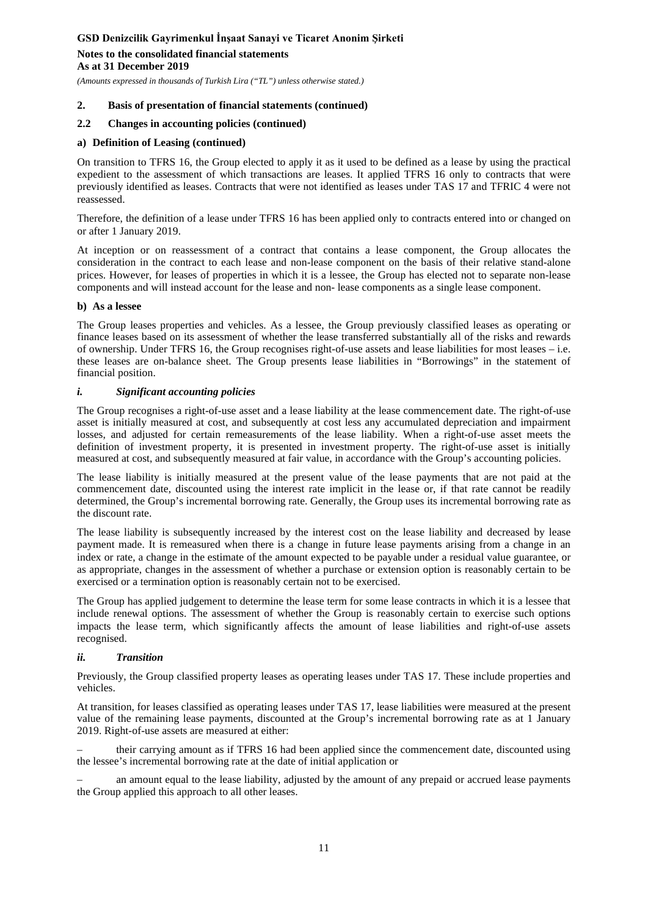**Notes to the consolidated financial statements As at 31 December 2019**

*(Amounts expressed in thousands of Turkish Lira ("TL") unless otherwise stated.)*

### **2. Basis of presentation of financial statements (continued)**

### **2.2 Changes in accounting policies (continued)**

### **a) Definition of Leasing (continued)**

On transition to TFRS 16, the Group elected to apply it as it used to be defined as a lease by using the practical expedient to the assessment of which transactions are leases. It applied TFRS 16 only to contracts that were previously identified as leases. Contracts that were not identified as leases under TAS 17 and TFRIC 4 were not reassessed.

Therefore, the definition of a lease under TFRS 16 has been applied only to contracts entered into or changed on or after 1 January 2019.

At inception or on reassessment of a contract that contains a lease component, the Group allocates the consideration in the contract to each lease and non-lease component on the basis of their relative stand-alone prices. However, for leases of properties in which it is a lessee, the Group has elected not to separate non-lease components and will instead account for the lease and non- lease components as a single lease component.

#### **b) As a lessee**

The Group leases properties and vehicles. As a lessee, the Group previously classified leases as operating or finance leases based on its assessment of whether the lease transferred substantially all of the risks and rewards of ownership. Under TFRS 16, the Group recognises right-of-use assets and lease liabilities for most leases – i.e. these leases are on-balance sheet. The Group presents lease liabilities in "Borrowings" in the statement of financial position.

#### *i. Significant accounting policies*

The Group recognises a right-of-use asset and a lease liability at the lease commencement date. The right-of-use asset is initially measured at cost, and subsequently at cost less any accumulated depreciation and impairment losses, and adjusted for certain remeasurements of the lease liability. When a right-of-use asset meets the definition of investment property, it is presented in investment property. The right-of-use asset is initially measured at cost, and subsequently measured at fair value, in accordance with the Group's accounting policies.

The lease liability is initially measured at the present value of the lease payments that are not paid at the commencement date, discounted using the interest rate implicit in the lease or, if that rate cannot be readily determined, the Group's incremental borrowing rate. Generally, the Group uses its incremental borrowing rate as the discount rate.

The lease liability is subsequently increased by the interest cost on the lease liability and decreased by lease payment made. It is remeasured when there is a change in future lease payments arising from a change in an index or rate, a change in the estimate of the amount expected to be payable under a residual value guarantee, or as appropriate, changes in the assessment of whether a purchase or extension option is reasonably certain to be exercised or a termination option is reasonably certain not to be exercised.

The Group has applied judgement to determine the lease term for some lease contracts in which it is a lessee that include renewal options. The assessment of whether the Group is reasonably certain to exercise such options impacts the lease term, which significantly affects the amount of lease liabilities and right-of-use assets recognised.

### *ii. Transition*

Previously, the Group classified property leases as operating leases under TAS 17. These include properties and vehicles.

At transition, for leases classified as operating leases under TAS 17, lease liabilities were measured at the present value of the remaining lease payments, discounted at the Group's incremental borrowing rate as at 1 January 2019. Right-of-use assets are measured at either:

– their carrying amount as if TFRS 16 had been applied since the commencement date, discounted using the lessee's incremental borrowing rate at the date of initial application or

– an amount equal to the lease liability, adjusted by the amount of any prepaid or accrued lease payments the Group applied this approach to all other leases.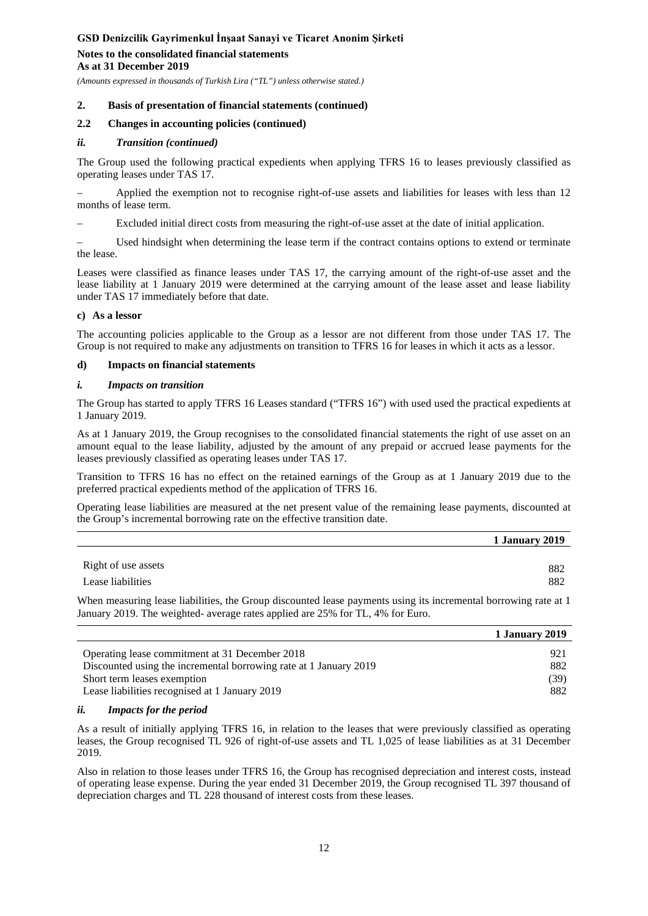### **Notes to the consolidated financial statements As at 31 December 2019**

*(Amounts expressed in thousands of Turkish Lira ("TL") unless otherwise stated.)*

#### **2. Basis of presentation of financial statements (continued)**

### **2.2 Changes in accounting policies (continued)**

#### *ii. Transition (continued)*

The Group used the following practical expedients when applying TFRS 16 to leases previously classified as operating leases under TAS 17.

– Applied the exemption not to recognise right-of-use assets and liabilities for leases with less than 12 months of lease term.

– Excluded initial direct costs from measuring the right-of-use asset at the date of initial application.

– Used hindsight when determining the lease term if the contract contains options to extend or terminate the lease.

Leases were classified as finance leases under TAS 17, the carrying amount of the right-of-use asset and the lease liability at 1 January 2019 were determined at the carrying amount of the lease asset and lease liability under TAS 17 immediately before that date.

#### **c) As a lessor**

The accounting policies applicable to the Group as a lessor are not different from those under TAS 17. The Group is not required to make any adjustments on transition to TFRS 16 for leases in which it acts as a lessor.

#### **d) Impacts on financial statements**

#### *i. Impacts on transition*

The Group has started to apply TFRS 16 Leases standard ("TFRS 16") with used used the practical expedients at 1 January 2019.

As at 1 January 2019, the Group recognises to the consolidated financial statements the right of use asset on an amount equal to the lease liability, adjusted by the amount of any prepaid or accrued lease payments for the leases previously classified as operating leases under TAS 17.

Transition to TFRS 16 has no effect on the retained earnings of the Group as at 1 January 2019 due to the preferred practical expedients method of the application of TFRS 16.

Operating lease liabilities are measured at the net present value of the remaining lease payments, discounted at the Group's incremental borrowing rate on the effective transition date.

|                     | 1 January 2019 |
|---------------------|----------------|
| Right of use assets | 882            |
| Lease liabilities   | 882            |

When measuring lease liabilities, the Group discounted lease payments using its incremental borrowing rate at 1 January 2019. The weighted- average rates applied are 25% for TL, 4% for Euro.

|                                                                   | 1 January 2019 |
|-------------------------------------------------------------------|----------------|
| Operating lease commitment at 31 December 2018                    | 921            |
| Discounted using the incremental borrowing rate at 1 January 2019 | 882            |
| Short term leases exemption                                       | (39)           |
| Lease liabilities recognised at 1 January 2019                    | 882            |

#### *ii. Impacts for the period*

As a result of initially applying TFRS 16, in relation to the leases that were previously classified as operating leases, the Group recognised TL 926 of right-of-use assets and TL 1,025 of lease liabilities as at 31 December 2019.

Also in relation to those leases under TFRS 16, the Group has recognised depreciation and interest costs, instead of operating lease expense. During the year ended 31 December 2019, the Group recognised TL 397 thousand of depreciation charges and TL 228 thousand of interest costs from these leases.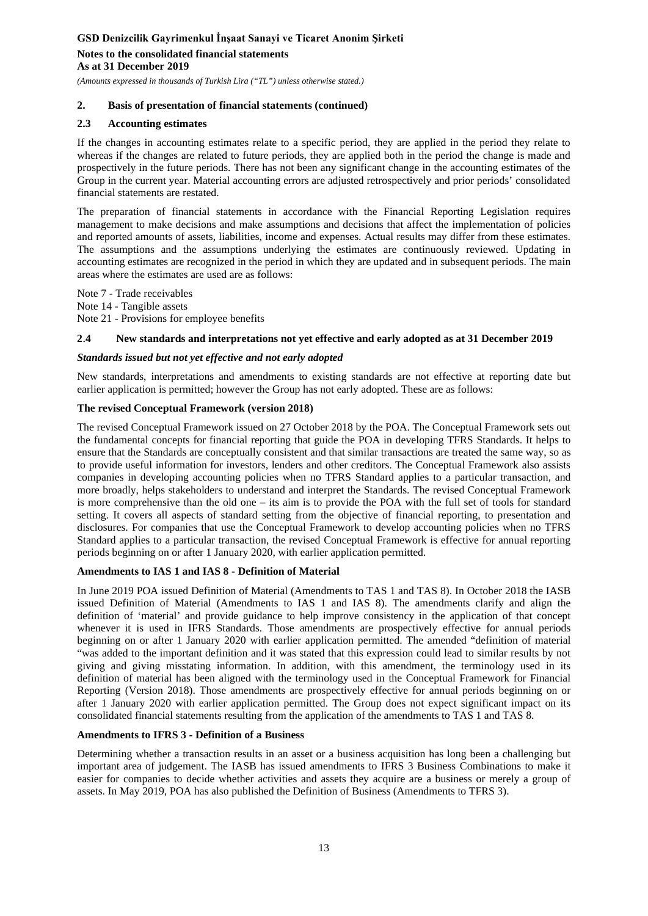**Notes to the consolidated financial statements As at 31 December 2019**

*(Amounts expressed in thousands of Turkish Lira ("TL") unless otherwise stated.)*

## **2. Basis of presentation of financial statements (continued)**

### **2.3 Accounting estimates**

If the changes in accounting estimates relate to a specific period, they are applied in the period they relate to whereas if the changes are related to future periods, they are applied both in the period the change is made and prospectively in the future periods. There has not been any significant change in the accounting estimates of the Group in the current year. Material accounting errors are adjusted retrospectively and prior periods' consolidated financial statements are restated.

The preparation of financial statements in accordance with the Financial Reporting Legislation requires management to make decisions and make assumptions and decisions that affect the implementation of policies and reported amounts of assets, liabilities, income and expenses. Actual results may differ from these estimates. The assumptions and the assumptions underlying the estimates are continuously reviewed. Updating in accounting estimates are recognized in the period in which they are updated and in subsequent periods. The main areas where the estimates are used are as follows:

Note 7 - Trade receivables Note 14 - Tangible assets

Note 21 - Provisions for employee benefits

### **2**.**4 New standards and interpretations not yet effective and early adopted as at 31 December 2019**

### *Standards issued but not yet effective and not early adopted*

New standards, interpretations and amendments to existing standards are not effective at reporting date but earlier application is permitted; however the Group has not early adopted. These are as follows:

#### **The revised Conceptual Framework (version 2018)**

The revised Conceptual Framework issued on 27 October 2018 by the POA. The Conceptual Framework sets out the fundamental concepts for financial reporting that guide the POA in developing TFRS Standards. It helps to ensure that the Standards are conceptually consistent and that similar transactions are treated the same way, so as to provide useful information for investors, lenders and other creditors. The Conceptual Framework also assists companies in developing accounting policies when no TFRS Standard applies to a particular transaction, and more broadly, helps stakeholders to understand and interpret the Standards. The revised Conceptual Framework is more comprehensive than the old one – its aim is to provide the POA with the full set of tools for standard setting. It covers all aspects of standard setting from the objective of financial reporting, to presentation and disclosures. For companies that use the Conceptual Framework to develop accounting policies when no TFRS Standard applies to a particular transaction, the revised Conceptual Framework is effective for annual reporting periods beginning on or after 1 January 2020, with earlier application permitted.

### **Amendments to IAS 1 and IAS 8 - Definition of Material**

In June 2019 POA issued Definition of Material (Amendments to TAS 1 and TAS 8). In October 2018 the IASB issued Definition of Material (Amendments to IAS 1 and IAS 8). The amendments clarify and align the definition of 'material' and provide guidance to help improve consistency in the application of that concept whenever it is used in IFRS Standards. Those amendments are prospectively effective for annual periods beginning on or after 1 January 2020 with earlier application permitted. The amended "definition of material "was added to the important definition and it was stated that this expression could lead to similar results by not giving and giving misstating information. In addition, with this amendment, the terminology used in its definition of material has been aligned with the terminology used in the Conceptual Framework for Financial Reporting (Version 2018). Those amendments are prospectively effective for annual periods beginning on or after 1 January 2020 with earlier application permitted. The Group does not expect significant impact on its consolidated financial statements resulting from the application of the amendments to TAS 1 and TAS 8.

### **Amendments to IFRS 3 - Definition of a Business**

Determining whether a transaction results in an asset or a business acquisition has long been a challenging but important area of judgement. The IASB has issued amendments to IFRS 3 Business Combinations to make it easier for companies to decide whether activities and assets they acquire are a business or merely a group of assets. In May 2019, POA has also published the Definition of Business (Amendments to TFRS 3).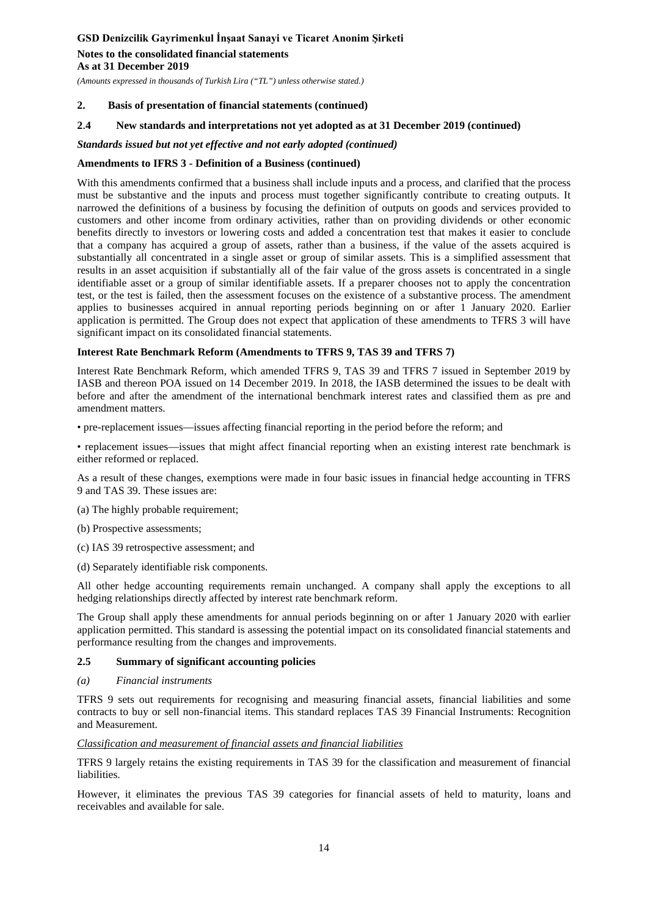**Notes to the consolidated financial statements As at 31 December 2019**

*(Amounts expressed in thousands of Turkish Lira ("TL") unless otherwise stated.)*

#### **2. Basis of presentation of financial statements (continued)**

#### **2**.**4 New standards and interpretations not yet adopted as at 31 December 2019 (continued)**

#### *Standards issued but not yet effective and not early adopted (continued)*

#### **Amendments to IFRS 3 - Definition of a Business (continued)**

With this amendments confirmed that a business shall include inputs and a process, and clarified that the process must be substantive and the inputs and process must together significantly contribute to creating outputs. It narrowed the definitions of a business by focusing the definition of outputs on goods and services provided to customers and other income from ordinary activities, rather than on providing dividends or other economic benefits directly to investors or lowering costs and added a concentration test that makes it easier to conclude that a company has acquired a group of assets, rather than a business, if the value of the assets acquired is substantially all concentrated in a single asset or group of similar assets. This is a simplified assessment that results in an asset acquisition if substantially all of the fair value of the gross assets is concentrated in a single identifiable asset or a group of similar identifiable assets. If a preparer chooses not to apply the concentration test, or the test is failed, then the assessment focuses on the existence of a substantive process. The amendment applies to businesses acquired in annual reporting periods beginning on or after 1 January 2020. Earlier application is permitted. The Group does not expect that application of these amendments to TFRS 3 will have significant impact on its consolidated financial statements.

#### **Interest Rate Benchmark Reform (Amendments to TFRS 9, TAS 39 and TFRS 7)**

Interest Rate Benchmark Reform, which amended TFRS 9, TAS 39 and TFRS 7 issued in September 2019 by IASB and thereon POA issued on 14 December 2019. In 2018, the IASB determined the issues to be dealt with before and after the amendment of the international benchmark interest rates and classified them as pre and amendment matters.

• pre-replacement issues—issues affecting financial reporting in the period before the reform; and

• replacement issues—issues that might affect financial reporting when an existing interest rate benchmark is either reformed or replaced.

As a result of these changes, exemptions were made in four basic issues in financial hedge accounting in TFRS 9 and TAS 39. These issues are:

(a) The highly probable requirement;

- (b) Prospective assessments;
- (c) IAS 39 retrospective assessment; and
- (d) Separately identifiable risk components.

All other hedge accounting requirements remain unchanged. A company shall apply the exceptions to all hedging relationships directly affected by interest rate benchmark reform.

The Group shall apply these amendments for annual periods beginning on or after 1 January 2020 with earlier application permitted. This standard is assessing the potential impact on its consolidated financial statements and performance resulting from the changes and improvements.

#### **2.5 Summary of significant accounting policies**

#### *(a) Financial instruments*

TFRS 9 sets out requirements for recognising and measuring financial assets, financial liabilities and some contracts to buy or sell non-financial items. This standard replaces TAS 39 Financial Instruments: Recognition and Measurement.

#### *Classification and measurement of financial assets and financial liabilities*

TFRS 9 largely retains the existing requirements in TAS 39 for the classification and measurement of financial liabilities.

However, it eliminates the previous TAS 39 categories for financial assets of held to maturity, loans and receivables and available for sale.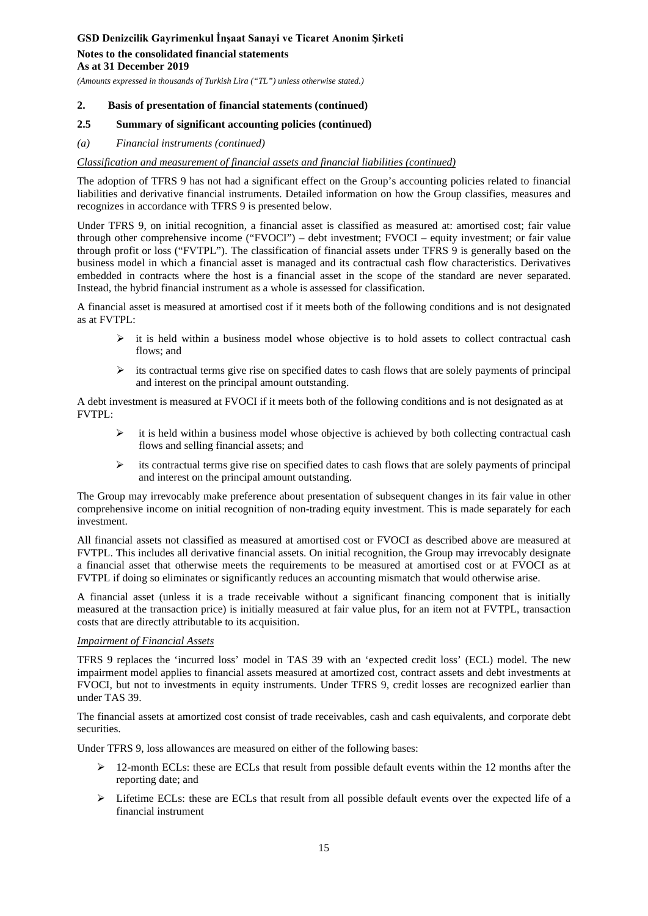#### **Notes to the consolidated financial statements As at 31 December 2019**

*(Amounts expressed in thousands of Turkish Lira ("TL") unless otherwise stated.)*

### **2. Basis of presentation of financial statements (continued)**

### **2.5 Summary of significant accounting policies (continued)**

*(a) Financial instruments (continued)*

### *Classification and measurement of financial assets and financial liabilities (continued)*

The adoption of TFRS 9 has not had a significant effect on the Group's accounting policies related to financial liabilities and derivative financial instruments. Detailed information on how the Group classifies, measures and recognizes in accordance with TFRS 9 is presented below.

Under TFRS 9, on initial recognition, a financial asset is classified as measured at: amortised cost; fair value through other comprehensive income ("FVOCI") – debt investment; FVOCI – equity investment; or fair value through profit or loss ("FVTPL"). The classification of financial assets under TFRS 9 is generally based on the business model in which a financial asset is managed and its contractual cash flow characteristics. Derivatives embedded in contracts where the host is a financial asset in the scope of the standard are never separated. Instead, the hybrid financial instrument as a whole is assessed for classification.

A financial asset is measured at amortised cost if it meets both of the following conditions and is not designated as at FVTPL:

- $\triangleright$  it is held within a business model whose objective is to hold assets to collect contractual cash flows; and
- $\triangleright$  its contractual terms give rise on specified dates to cash flows that are solely payments of principal and interest on the principal amount outstanding.

A debt investment is measured at FVOCI if it meets both of the following conditions and is not designated as at FVTPL:

- $\triangleright$  it is held within a business model whose objective is achieved by both collecting contractual cash flows and selling financial assets; and
- $\triangleright$  its contractual terms give rise on specified dates to cash flows that are solely payments of principal and interest on the principal amount outstanding.

The Group may irrevocably make preference about presentation of subsequent changes in its fair value in other comprehensive income on initial recognition of non-trading equity investment. This is made separately for each investment.

All financial assets not classified as measured at amortised cost or FVOCI as described above are measured at FVTPL. This includes all derivative financial assets. On initial recognition, the Group may irrevocably designate a financial asset that otherwise meets the requirements to be measured at amortised cost or at FVOCI as at FVTPL if doing so eliminates or significantly reduces an accounting mismatch that would otherwise arise.

A financial asset (unless it is a trade receivable without a significant financing component that is initially measured at the transaction price) is initially measured at fair value plus, for an item not at FVTPL, transaction costs that are directly attributable to its acquisition.

### *Impairment of Financial Assets*

TFRS 9 replaces the 'incurred loss' model in TAS 39 with an 'expected credit loss' (ECL) model. The new impairment model applies to financial assets measured at amortized cost, contract assets and debt investments at FVOCI, but not to investments in equity instruments. Under TFRS 9, credit losses are recognized earlier than under TAS 39.

The financial assets at amortized cost consist of trade receivables, cash and cash equivalents, and corporate debt securities.

Under TFRS 9, loss allowances are measured on either of the following bases:

- $\geq 12$ -month ECLs: these are ECLs that result from possible default events within the 12 months after the reporting date; and
- $\triangleright$  Lifetime ECLs: these are ECLs that result from all possible default events over the expected life of a financial instrument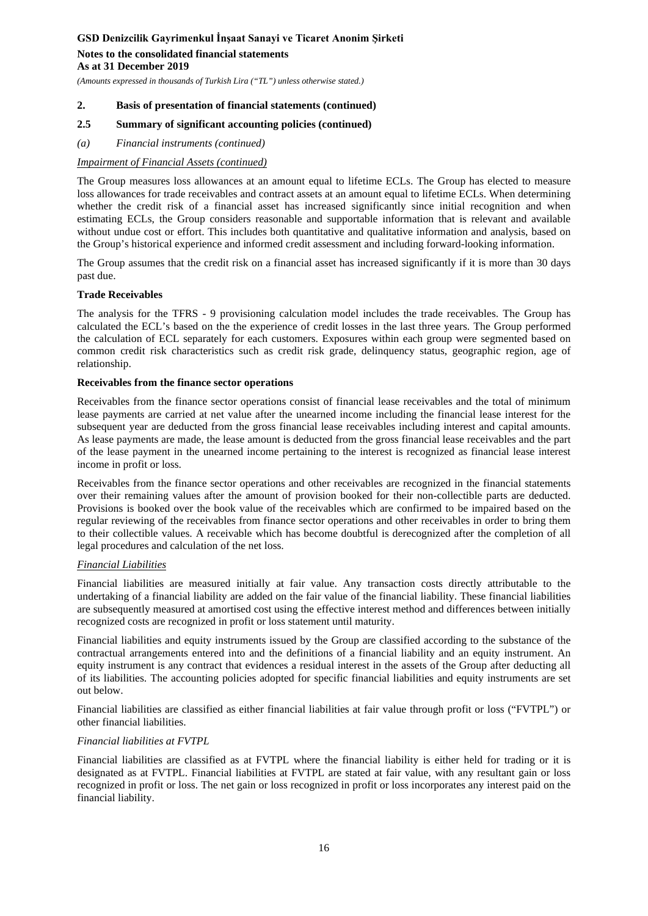### **Notes to the consolidated financial statements As at 31 December 2019**

*(Amounts expressed in thousands of Turkish Lira ("TL") unless otherwise stated.)*

### **2. Basis of presentation of financial statements (continued)**

### **2.5 Summary of significant accounting policies (continued)**

*(a) Financial instruments (continued)*

### *Impairment of Financial Assets (continued)*

The Group measures loss allowances at an amount equal to lifetime ECLs. The Group has elected to measure loss allowances for trade receivables and contract assets at an amount equal to lifetime ECLs. When determining whether the credit risk of a financial asset has increased significantly since initial recognition and when estimating ECLs, the Group considers reasonable and supportable information that is relevant and available without undue cost or effort. This includes both quantitative and qualitative information and analysis, based on the Group's historical experience and informed credit assessment and including forward-looking information.

The Group assumes that the credit risk on a financial asset has increased significantly if it is more than 30 days past due.

### **Trade Receivables**

The analysis for the TFRS - 9 provisioning calculation model includes the trade receivables. The Group has calculated the ECL's based on the the experience of credit losses in the last three years. The Group performed the calculation of ECL separately for each customers. Exposures within each group were segmented based on common credit risk characteristics such as credit risk grade, delinquency status, geographic region, age of relationship.

#### **Receivables from the finance sector operations**

Receivables from the finance sector operations consist of financial lease receivables and the total of minimum lease payments are carried at net value after the unearned income including the financial lease interest for the subsequent year are deducted from the gross financial lease receivables including interest and capital amounts. As lease payments are made, the lease amount is deducted from the gross financial lease receivables and the part of the lease payment in the unearned income pertaining to the interest is recognized as financial lease interest income in profit or loss.

Receivables from the finance sector operations and other receivables are recognized in the financial statements over their remaining values after the amount of provision booked for their non-collectible parts are deducted. Provisions is booked over the book value of the receivables which are confirmed to be impaired based on the regular reviewing of the receivables from finance sector operations and other receivables in order to bring them to their collectible values. A receivable which has become doubtful is derecognized after the completion of all legal procedures and calculation of the net loss.

### *Financial Liabilities*

Financial liabilities are measured initially at fair value. Any transaction costs directly attributable to the undertaking of a financial liability are added on the fair value of the financial liability. These financial liabilities are subsequently measured at amortised cost using the effective interest method and differences between initially recognized costs are recognized in profit or loss statement until maturity.

Financial liabilities and equity instruments issued by the Group are classified according to the substance of the contractual arrangements entered into and the definitions of a financial liability and an equity instrument. An equity instrument is any contract that evidences a residual interest in the assets of the Group after deducting all of its liabilities. The accounting policies adopted for specific financial liabilities and equity instruments are set out below.

Financial liabilities are classified as either financial liabilities at fair value through profit or loss ("FVTPL") or other financial liabilities.

### *Financial liabilities at FVTPL*

Financial liabilities are classified as at FVTPL where the financial liability is either held for trading or it is designated as at FVTPL. Financial liabilities at FVTPL are stated at fair value, with any resultant gain or loss recognized in profit or loss. The net gain or loss recognized in profit or loss incorporates any interest paid on the financial liability.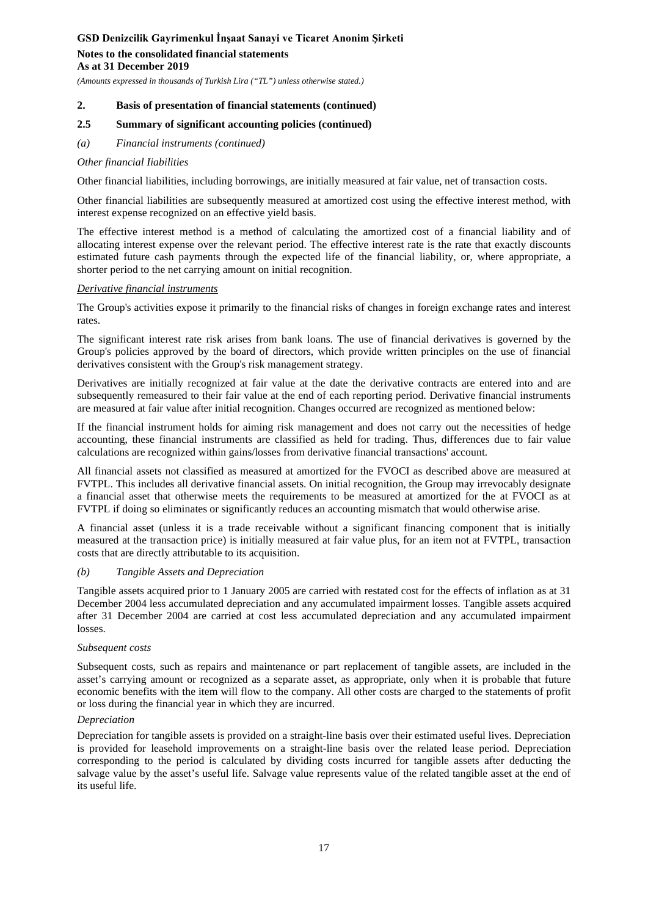**Notes to the consolidated financial statements As at 31 December 2019**

*(Amounts expressed in thousands of Turkish Lira ("TL") unless otherwise stated.)*

### **2. Basis of presentation of financial statements (continued)**

### **2.5 Summary of significant accounting policies (continued)**

*(a) Financial instruments (continued)*

#### *Other financial Iiabilities*

Other financial liabilities, including borrowings, are initially measured at fair value, net of transaction costs.

Other financial liabilities are subsequently measured at amortized cost using the effective interest method, with interest expense recognized on an effective yield basis.

The effective interest method is a method of calculating the amortized cost of a financial liability and of allocating interest expense over the relevant period. The effective interest rate is the rate that exactly discounts estimated future cash payments through the expected life of the financial liability, or, where appropriate, a shorter period to the net carrying amount on initial recognition.

#### *Derivative financial instruments*

The Group's activities expose it primarily to the financial risks of changes in foreign exchange rates and interest rates.

The significant interest rate risk arises from bank loans. The use of financial derivatives is governed by the Group's policies approved by the board of directors, which provide written principles on the use of financial derivatives consistent with the Group's risk management strategy.

Derivatives are initially recognized at fair value at the date the derivative contracts are entered into and are subsequently remeasured to their fair value at the end of each reporting period. Derivative financial instruments are measured at fair value after initial recognition. Changes occurred are recognized as mentioned below:

If the financial instrument holds for aiming risk management and does not carry out the necessities of hedge accounting, these financial instruments are classified as held for trading. Thus, differences due to fair value calculations are recognized within gains/losses from derivative financial transactions' account.

All financial assets not classified as measured at amortized for the FVOCI as described above are measured at FVTPL. This includes all derivative financial assets. On initial recognition, the Group may irrevocably designate a financial asset that otherwise meets the requirements to be measured at amortized for the at FVOCI as at FVTPL if doing so eliminates or significantly reduces an accounting mismatch that would otherwise arise.

A financial asset (unless it is a trade receivable without a significant financing component that is initially measured at the transaction price) is initially measured at fair value plus, for an item not at FVTPL, transaction costs that are directly attributable to its acquisition.

#### *(b) Tangible Assets and Depreciation*

Tangible assets acquired prior to 1 January 2005 are carried with restated cost for the effects of inflation as at 31 December 2004 less accumulated depreciation and any accumulated impairment losses. Tangible assets acquired after 31 December 2004 are carried at cost less accumulated depreciation and any accumulated impairment losses.

#### *Subsequent costs*

Subsequent costs, such as repairs and maintenance or part replacement of tangible assets, are included in the asset's carrying amount or recognized as a separate asset, as appropriate, only when it is probable that future economic benefits with the item will flow to the company. All other costs are charged to the statements of profit or loss during the financial year in which they are incurred.

### *Depreciation*

Depreciation for tangible assets is provided on a straight-line basis over their estimated useful lives. Depreciation is provided for leasehold improvements on a straight-line basis over the related lease period. Depreciation corresponding to the period is calculated by dividing costs incurred for tangible assets after deducting the salvage value by the asset's useful life. Salvage value represents value of the related tangible asset at the end of its useful life.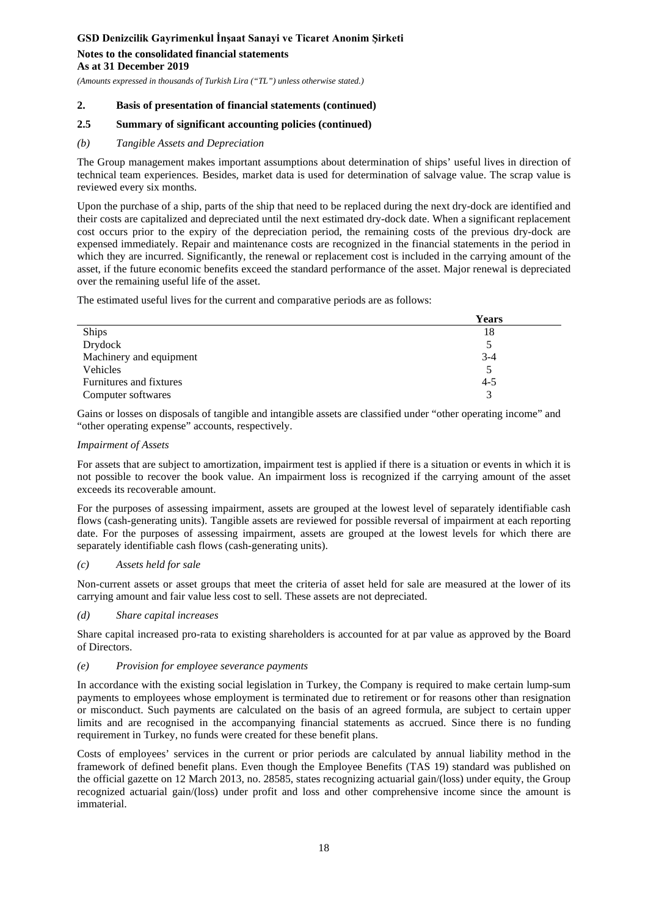### **Notes to the consolidated financial statements As at 31 December 2019**

*(Amounts expressed in thousands of Turkish Lira ("TL") unless otherwise stated.)*

### **2. Basis of presentation of financial statements (continued)**

### **2.5 Summary of significant accounting policies (continued)**

### *(b) Tangible Assets and Depreciation*

The Group management makes important assumptions about determination of ships' useful lives in direction of technical team experiences. Besides, market data is used for determination of salvage value. The scrap value is reviewed every six months.

Upon the purchase of a ship, parts of the ship that need to be replaced during the next dry-dock are identified and their costs are capitalized and depreciated until the next estimated dry-dock date. When a significant replacement cost occurs prior to the expiry of the depreciation period, the remaining costs of the previous dry-dock are expensed immediately. Repair and maintenance costs are recognized in the financial statements in the period in which they are incurred. Significantly, the renewal or replacement cost is included in the carrying amount of the asset, if the future economic benefits exceed the standard performance of the asset. Major renewal is depreciated over the remaining useful life of the asset.

The estimated useful lives for the current and comparative periods are as follows:

|                         | <b>Years</b> |
|-------------------------|--------------|
| Ships                   | 18           |
| Drydock                 |              |
| Machinery and equipment | $3 - 4$      |
| Vehicles                |              |
| Furnitures and fixtures | $4 - 5$      |
| Computer softwares      |              |

Gains or losses on disposals of tangible and intangible assets are classified under "other operating income" and "other operating expense" accounts, respectively.

#### *Impairment of Assets*

For assets that are subject to amortization, impairment test is applied if there is a situation or events in which it is not possible to recover the book value. An impairment loss is recognized if the carrying amount of the asset exceeds its recoverable amount.

For the purposes of assessing impairment, assets are grouped at the lowest level of separately identifiable cash flows (cash-generating units). Tangible assets are reviewed for possible reversal of impairment at each reporting date. For the purposes of assessing impairment, assets are grouped at the lowest levels for which there are separately identifiable cash flows (cash-generating units).

### *(c) Assets held for sale*

Non-current assets or asset groups that meet the criteria of asset held for sale are measured at the lower of its carrying amount and fair value less cost to sell. These assets are not depreciated.

### *(d) Share capital increases*

Share capital increased pro-rata to existing shareholders is accounted for at par value as approved by the Board of Directors.

### *(e) Provision for employee severance payments*

In accordance with the existing social legislation in Turkey, the Company is required to make certain lump-sum payments to employees whose employment is terminated due to retirement or for reasons other than resignation or misconduct. Such payments are calculated on the basis of an agreed formula, are subject to certain upper limits and are recognised in the accompanying financial statements as accrued. Since there is no funding requirement in Turkey, no funds were created for these benefit plans.

Costs of employees' services in the current or prior periods are calculated by annual liability method in the framework of defined benefit plans. Even though the Employee Benefits (TAS 19) standard was published on the official gazette on 12 March 2013, no. 28585, states recognizing actuarial gain/(loss) under equity, the Group recognized actuarial gain/(loss) under profit and loss and other comprehensive income since the amount is immaterial.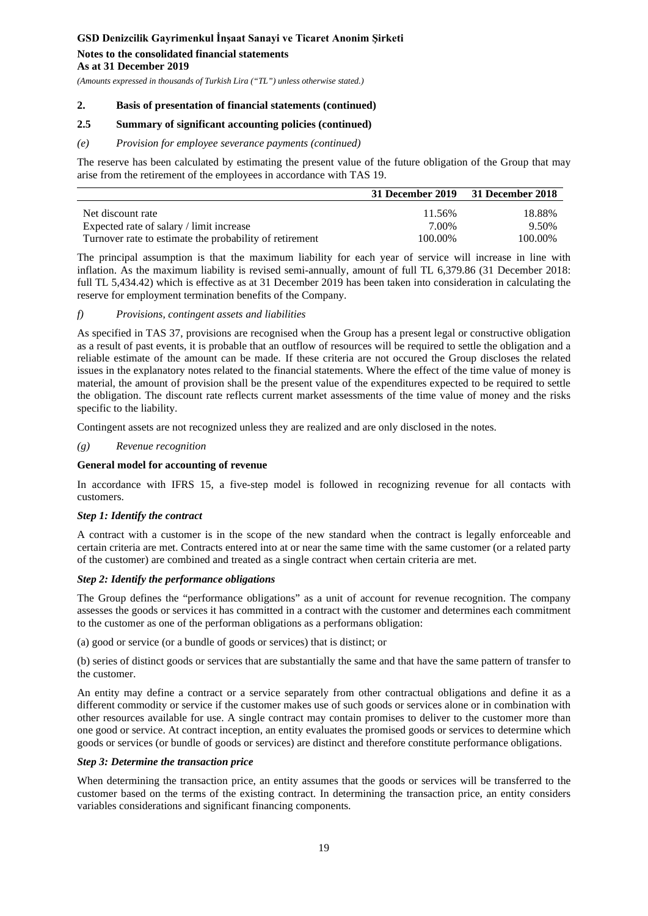### **Notes to the consolidated financial statements As at 31 December 2019**

*(Amounts expressed in thousands of Turkish Lira ("TL") unless otherwise stated.)*

### **2. Basis of presentation of financial statements (continued)**

### **2.5 Summary of significant accounting policies (continued)**

### *(e) Provision for employee severance payments (continued)*

The reserve has been calculated by estimating the present value of the future obligation of the Group that may arise from the retirement of the employees in accordance with TAS 19.

|                                                         | 31 December 2019 31 December 2018 |         |
|---------------------------------------------------------|-----------------------------------|---------|
| Net discount rate                                       | 11.56%                            | 18.88%  |
| Expected rate of salary / limit increase                | 7.00%                             | 9.50%   |
| Turnover rate to estimate the probability of retirement | 100.00%                           | 100.00% |

The principal assumption is that the maximum liability for each year of service will increase in line with inflation. As the maximum liability is revised semi-annually, amount of full TL 6,379.86 (31 December 2018: full TL 5,434.42) which is effective as at 31 December 2019 has been taken into consideration in calculating the reserve for employment termination benefits of the Company.

### *f) Provisions, contingent assets and liabilities*

As specified in TAS 37, provisions are recognised when the Group has a present legal or constructive obligation as a result of past events, it is probable that an outflow of resources will be required to settle the obligation and a reliable estimate of the amount can be made. If these criteria are not occured the Group discloses the related issues in the explanatory notes related to the financial statements. Where the effect of the time value of money is material, the amount of provision shall be the present value of the expenditures expected to be required to settle the obligation. The discount rate reflects current market assessments of the time value of money and the risks specific to the liability.

Contingent assets are not recognized unless they are realized and are only disclosed in the notes.

### *(g) Revenue recognition*

### **General model for accounting of revenue**

In accordance with IFRS 15, a five-step model is followed in recognizing revenue for all contacts with customers.

### *Step 1: Identify the contract*

A contract with a customer is in the scope of the new standard when the contract is legally enforceable and certain criteria are met. Contracts entered into at or near the same time with the same customer (or a related party of the customer) are combined and treated as a single contract when certain criteria are met.

### *Step 2: Identify the performance obligations*

The Group defines the "performance obligations" as a unit of account for revenue recognition. The company assesses the goods or services it has committed in a contract with the customer and determines each commitment to the customer as one of the performan obligations as a performans obligation:

(a) good or service (or a bundle of goods or services) that is distinct; or

(b) series of distinct goods or services that are substantially the same and that have the same pattern of transfer to the customer.

An entity may define a contract or a service separately from other contractual obligations and define it as a different commodity or service if the customer makes use of such goods or services alone or in combination with other resources available for use. A single contract may contain promises to deliver to the customer more than one good or service. At contract inception, an entity evaluates the promised goods or services to determine which goods or services (or bundle of goods or services) are distinct and therefore constitute performance obligations.

### *Step 3: Determine the transaction price*

When determining the transaction price, an entity assumes that the goods or services will be transferred to the customer based on the terms of the existing contract. In determining the transaction price, an entity considers variables considerations and significant financing components.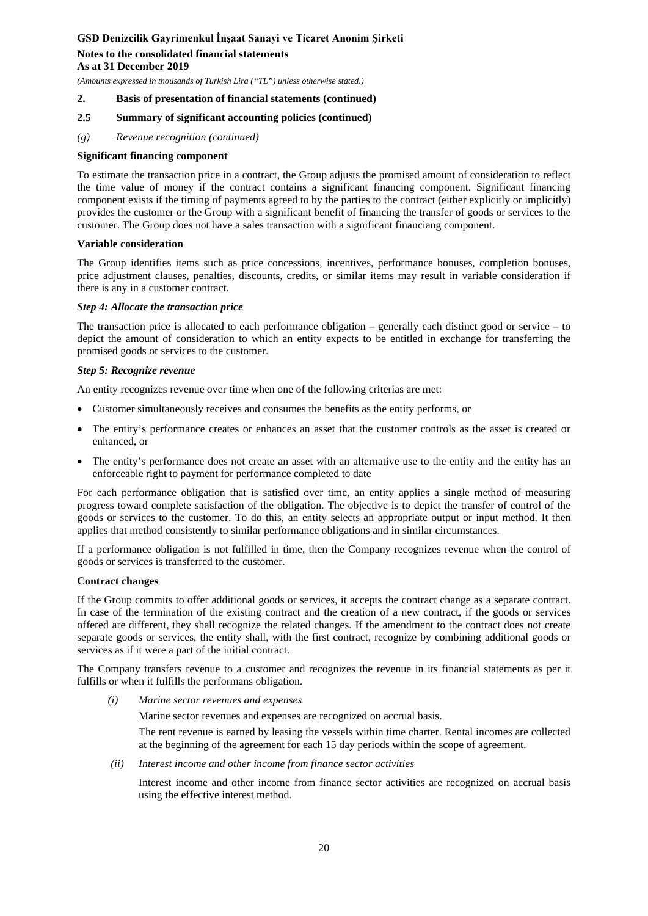**Notes to the consolidated financial statements As at 31 December 2019**

*(Amounts expressed in thousands of Turkish Lira ("TL") unless otherwise stated.)*

#### **2. Basis of presentation of financial statements (continued)**

### **2.5 Summary of significant accounting policies (continued)**

*(g) Revenue recognition (continued)*

#### **Significant financing component**

To estimate the transaction price in a contract, the Group adjusts the promised amount of consideration to reflect the time value of money if the contract contains a significant financing component. Significant financing component exists if the timing of payments agreed to by the parties to the contract (either explicitly or implicitly) provides the customer or the Group with a significant benefit of financing the transfer of goods or services to the customer. The Group does not have a sales transaction with a significant financiang component.

#### **Variable consideration**

The Group identifies items such as price concessions, incentives, performance bonuses, completion bonuses, price adjustment clauses, penalties, discounts, credits, or similar items may result in variable consideration if there is any in a customer contract.

#### *Step 4: Allocate the transaction price*

The transaction price is allocated to each performance obligation – generally each distinct good or service – to depict the amount of consideration to which an entity expects to be entitled in exchange for transferring the promised goods or services to the customer.

#### *Step 5: Recognize revenue*

An entity recognizes revenue over time when one of the following criterias are met:

- Customer simultaneously receives and consumes the benefits as the entity performs, or
- The entity's performance creates or enhances an asset that the customer controls as the asset is created or enhanced, or
- The entity's performance does not create an asset with an alternative use to the entity and the entity has an enforceable right to payment for performance completed to date

For each performance obligation that is satisfied over time, an entity applies a single method of measuring progress toward complete satisfaction of the obligation. The objective is to depict the transfer of control of the goods or services to the customer. To do this, an entity selects an appropriate output or input method. It then applies that method consistently to similar performance obligations and in similar circumstances.

If a performance obligation is not fulfilled in time, then the Company recognizes revenue when the control of goods or services is transferred to the customer.

### **Contract changes**

If the Group commits to offer additional goods or services, it accepts the contract change as a separate contract. In case of the termination of the existing contract and the creation of a new contract, if the goods or services offered are different, they shall recognize the related changes. If the amendment to the contract does not create separate goods or services, the entity shall, with the first contract, recognize by combining additional goods or services as if it were a part of the initial contract.

The Company transfers revenue to a customer and recognizes the revenue in its financial statements as per it fulfills or when it fulfills the performans obligation.

*(i) Marine sector revenues and expenses*

Marine sector revenues and expenses are recognized on accrual basis.

The rent revenue is earned by leasing the vessels within time charter. Rental incomes are collected at the beginning of the agreement for each 15 day periods within the scope of agreement.

*(ii) Interest income and other income from finance sector activities*

Interest income and other income from finance sector activities are recognized on accrual basis using the effective interest method.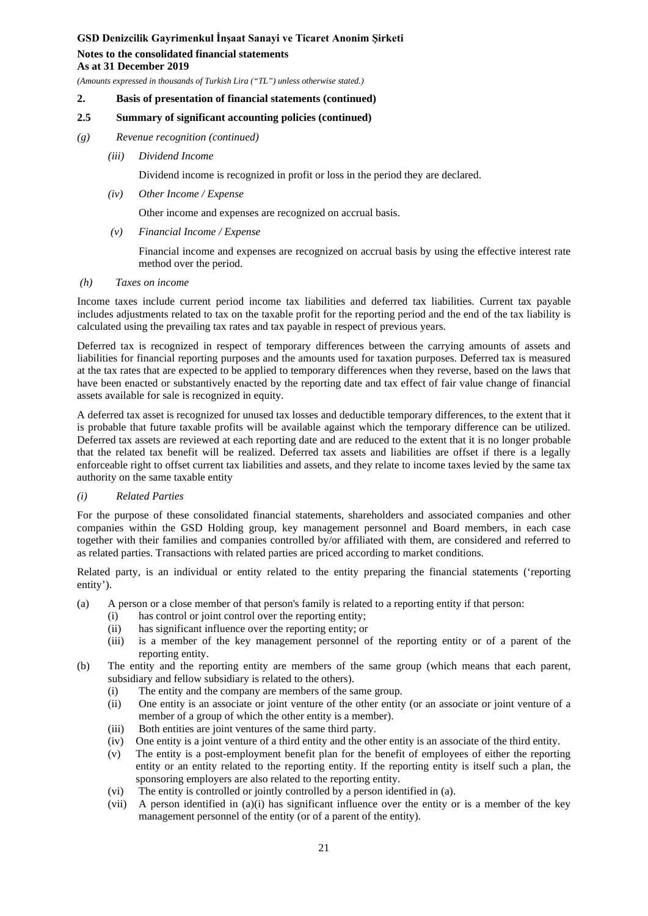**Notes to the consolidated financial statements As at 31 December 2019**

*(Amounts expressed in thousands of Turkish Lira ("TL") unless otherwise stated.)*

#### **2. Basis of presentation of financial statements (continued)**

### **2.5 Summary of significant accounting policies (continued)**

### *(g) Revenue recognition (continued)*

*(iii) Dividend Income*

Dividend income is recognized in profit or loss in the period they are declared.

*(iv) Other Income / Expense* 

Other income and expenses are recognized on accrual basis.

*(v) Financial Income / Expense*

Financial income and expenses are recognized on accrual basis by using the effective interest rate method over the period.

*(h) Taxes on income*

Income taxes include current period income tax liabilities and deferred tax liabilities. Current tax payable includes adjustments related to tax on the taxable profit for the reporting period and the end of the tax liability is calculated using the prevailing tax rates and tax payable in respect of previous years.

Deferred tax is recognized in respect of temporary differences between the carrying amounts of assets and liabilities for financial reporting purposes and the amounts used for taxation purposes. Deferred tax is measured at the tax rates that are expected to be applied to temporary differences when they reverse, based on the laws that have been enacted or substantively enacted by the reporting date and tax effect of fair value change of financial assets available for sale is recognized in equity.

A deferred tax asset is recognized for unused tax losses and deductible temporary differences, to the extent that it is probable that future taxable profits will be available against which the temporary difference can be utilized. Deferred tax assets are reviewed at each reporting date and are reduced to the extent that it is no longer probable that the related tax benefit will be realized. Deferred tax assets and liabilities are offset if there is a legally enforceable right to offset current tax liabilities and assets, and they relate to income taxes levied by the same tax authority on the same taxable entity

### *(i) Related Parties*

For the purpose of these consolidated financial statements, shareholders and associated companies and other companies within the GSD Holding group, key management personnel and Board members, in each case together with their families and companies controlled by/or affiliated with them, are considered and referred to as related parties. Transactions with related parties are priced according to market conditions.

Related party, is an individual or entity related to the entity preparing the financial statements ('reporting entity').

- (a) A person or a close member of that person's family is related to a reporting entity if that person:
	- (i) has control or joint control over the reporting entity;
	- (ii) has significant influence over the reporting entity; or
	- (iii) is a member of the key management personnel of the reporting entity or of a parent of the reporting entity.
- (b) The entity and the reporting entity are members of the same group (which means that each parent, subsidiary and fellow subsidiary is related to the others).
	- (i) The entity and the company are members of the same group.
	- (ii) One entity is an associate or joint venture of the other entity (or an associate or joint venture of a member of a group of which the other entity is a member).
	- (iii) Both entities are joint ventures of the same third party.
	- (iv) One entity is a joint venture of a third entity and the other entity is an associate of the third entity.
	- (v) The entity is a post-employment benefit plan for the benefit of employees of either the reporting entity or an entity related to the reporting entity. If the reporting entity is itself such a plan, the sponsoring employers are also related to the reporting entity.
	- (vi) The entity is controlled or jointly controlled by a person identified in (a).
	- (vii) A person identified in (a)(i) has significant influence over the entity or is a member of the key management personnel of the entity (or of a parent of the entity).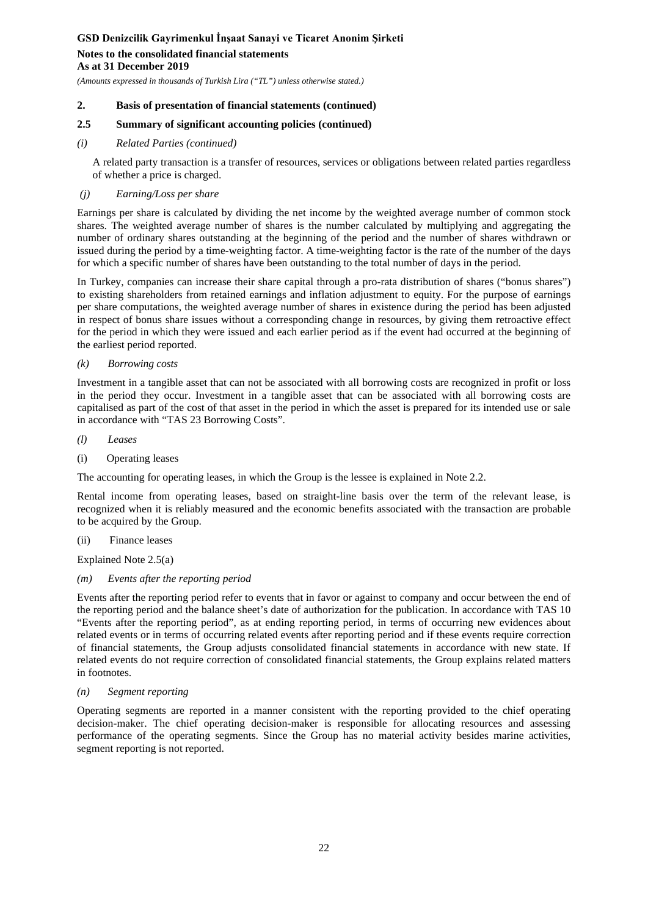### **Notes to the consolidated financial statements As at 31 December 2019**

*(Amounts expressed in thousands of Turkish Lira ("TL") unless otherwise stated.)*

### **2. Basis of presentation of financial statements (continued)**

### **2.5 Summary of significant accounting policies (continued)**

*(i) Related Parties (continued)*

A related party transaction is a transfer of resources, services or obligations between related parties regardless of whether a price is charged.

### *(j) Earning/Loss per share*

Earnings per share is calculated by dividing the net income by the weighted average number of common stock shares. The weighted average number of shares is the number calculated by multiplying and aggregating the number of ordinary shares outstanding at the beginning of the period and the number of shares withdrawn or issued during the period by a time-weighting factor. A time-weighting factor is the rate of the number of the days for which a specific number of shares have been outstanding to the total number of days in the period.

In Turkey, companies can increase their share capital through a pro-rata distribution of shares ("bonus shares") to existing shareholders from retained earnings and inflation adjustment to equity. For the purpose of earnings per share computations, the weighted average number of shares in existence during the period has been adjusted in respect of bonus share issues without a corresponding change in resources, by giving them retroactive effect for the period in which they were issued and each earlier period as if the event had occurred at the beginning of the earliest period reported.

### *(k) Borrowing costs*

Investment in a tangible asset that can not be associated with all borrowing costs are recognized in profit or loss in the period they occur. Investment in a tangible asset that can be associated with all borrowing costs are capitalised as part of the cost of that asset in the period in which the asset is prepared for its intended use or sale in accordance with "TAS 23 Borrowing Costs".

- *(l) Leases*
- (i) Operating leases

The accounting for operating leases, in which the Group is the lessee is explained in Note 2.2.

Rental income from operating leases, based on straight-line basis over the term of the relevant lease, is recognized when it is reliably measured and the economic benefits associated with the transaction are probable to be acquired by the Group.

(ii) Finance leases

Explained Note 2.5(a)

### *(m) Events after the reporting period*

Events after the reporting period refer to events that in favor or against to company and occur between the end of the reporting period and the balance sheet's date of authorization for the publication. In accordance with TAS 10 "Events after the reporting period", as at ending reporting period, in terms of occurring new evidences about related events or in terms of occurring related events after reporting period and if these events require correction of financial statements, the Group adjusts consolidated financial statements in accordance with new state. If related events do not require correction of consolidated financial statements, the Group explains related matters in footnotes.

#### *(n) Segment reporting*

Operating segments are reported in a manner consistent with the reporting provided to the chief operating decision-maker. The chief operating decision-maker is responsible for allocating resources and assessing performance of the operating segments. Since the Group has no material activity besides marine activities, segment reporting is not reported.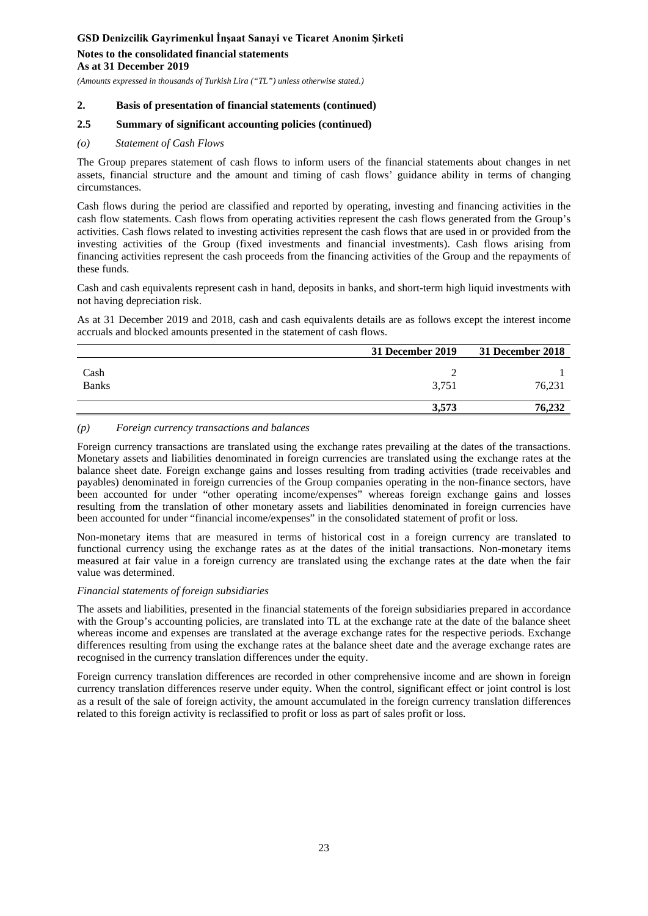### **Notes to the consolidated financial statements As at 31 December 2019**

*(Amounts expressed in thousands of Turkish Lira ("TL") unless otherwise stated.)*

#### **2. Basis of presentation of financial statements (continued)**

### **2.5 Summary of significant accounting policies (continued)**

#### *(o) Statement of Cash Flows*

The Group prepares statement of cash flows to inform users of the financial statements about changes in net assets, financial structure and the amount and timing of cash flows' guidance ability in terms of changing circumstances.

Cash flows during the period are classified and reported by operating, investing and financing activities in the cash flow statements. Cash flows from operating activities represent the cash flows generated from the Group's activities. Cash flows related to investing activities represent the cash flows that are used in or provided from the investing activities of the Group (fixed investments and financial investments). Cash flows arising from financing activities represent the cash proceeds from the financing activities of the Group and the repayments of these funds.

Cash and cash equivalents represent cash in hand, deposits in banks, and short-term high liquid investments with not having depreciation risk.

As at 31 December 2019 and 2018, cash and cash equivalents details are as follows except the interest income accruals and blocked amounts presented in the statement of cash flows.

|                      | 31 December 2019 | <b>31 December 2018</b> |
|----------------------|------------------|-------------------------|
| Cash<br><b>Banks</b> | 3,751            | 76,231                  |
|                      | 3,573            | 76,232                  |

#### *(p) Foreign currency transactions and balances*

Foreign currency transactions are translated using the exchange rates prevailing at the dates of the transactions. Monetary assets and liabilities denominated in foreign currencies are translated using the exchange rates at the balance sheet date. Foreign exchange gains and losses resulting from trading activities (trade receivables and payables) denominated in foreign currencies of the Group companies operating in the non-finance sectors, have been accounted for under "other operating income/expenses" whereas foreign exchange gains and losses resulting from the translation of other monetary assets and liabilities denominated in foreign currencies have been accounted for under "financial income/expenses" in the consolidated statement of profit or loss.

Non-monetary items that are measured in terms of historical cost in a foreign currency are translated to functional currency using the exchange rates as at the dates of the initial transactions. Non-monetary items measured at fair value in a foreign currency are translated using the exchange rates at the date when the fair value was determined.

#### *Financial statements of foreign subsidiaries*

The assets and liabilities, presented in the financial statements of the foreign subsidiaries prepared in accordance with the Group's accounting policies, are translated into TL at the exchange rate at the date of the balance sheet whereas income and expenses are translated at the average exchange rates for the respective periods. Exchange differences resulting from using the exchange rates at the balance sheet date and the average exchange rates are recognised in the currency translation differences under the equity.

Foreign currency translation differences are recorded in other comprehensive income and are shown in foreign currency translation differences reserve under equity. When the control, significant effect or joint control is lost as a result of the sale of foreign activity, the amount accumulated in the foreign currency translation differences related to this foreign activity is reclassified to profit or loss as part of sales profit or loss.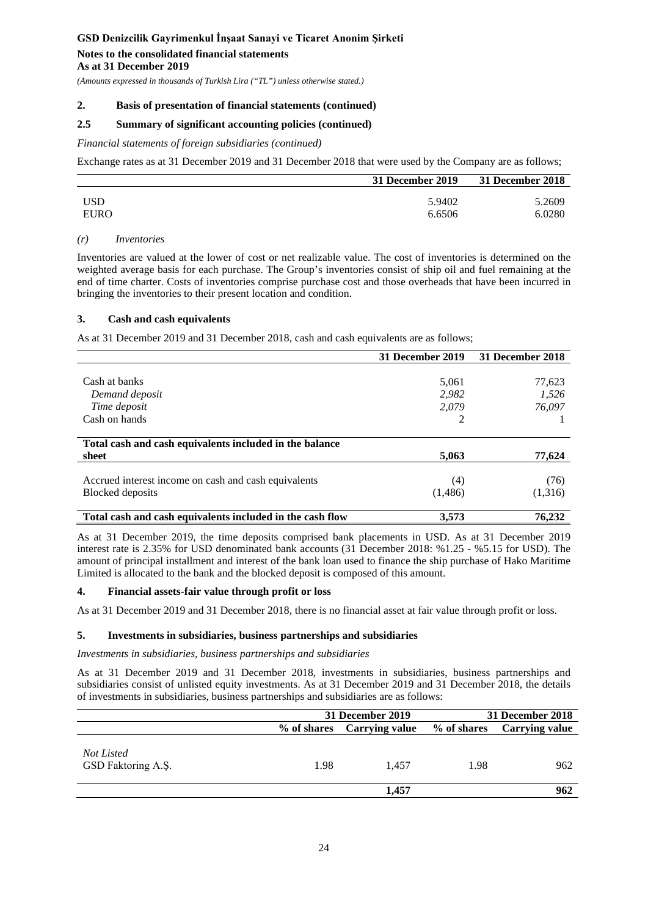### **Notes to the consolidated financial statements As at 31 December 2019**

*(Amounts expressed in thousands of Turkish Lira ("TL") unless otherwise stated.)*

#### **2. Basis of presentation of financial statements (continued)**

#### **2.5 Summary of significant accounting policies (continued)**

#### *Financial statements of foreign subsidiaries (continued)*

Exchange rates as at 31 December 2019 and 31 December 2018 that were used by the Company are as follows;

|            | 31 December 2019 | 31 December 2018 |
|------------|------------------|------------------|
| <b>USD</b> | 5.9402           | 5.2609           |
| EURO       | 6.6506           | 6.0280           |

#### *(r) Inventories*

Inventories are valued at the lower of cost or net realizable value. The cost of inventories is determined on the weighted average basis for each purchase. The Group's inventories consist of ship oil and fuel remaining at the end of time charter. Costs of inventories comprise purchase cost and those overheads that have been incurred in bringing the inventories to their present location and condition.

#### **3. Cash and cash equivalents**

As at 31 December 2019 and 31 December 2018, cash and cash equivalents are as follows;

|                                                           | 31 December 2019 | 31 December 2018 |
|-----------------------------------------------------------|------------------|------------------|
|                                                           |                  |                  |
| Cash at banks                                             | 5,061            | 77,623           |
| Demand deposit                                            | 2.982            | 1,526            |
| Time deposit                                              | 2,079            | 76,097           |
| Cash on hands                                             |                  |                  |
|                                                           |                  |                  |
| Total cash and cash equivalents included in the balance   |                  |                  |
| sheet                                                     | 5,063            | 77,624           |
|                                                           |                  |                  |
| Accrued interest income on cash and cash equivalents      | (4)              | (76)             |
| <b>Blocked</b> deposits                                   | (1,486)          | (1,316)          |
|                                                           |                  |                  |
| Total cash and cash equivalents included in the cash flow | 3,573            | 76.232           |

As at 31 December 2019, the time deposits comprised bank placements in USD. As at 31 December 2019 interest rate is 2.35% for USD denominated bank accounts (31 December 2018: %1.25 - %5.15 for USD). The amount of principal installment and interest of the bank loan used to finance the ship purchase of Hako Maritime Limited is allocated to the bank and the blocked deposit is composed of this amount.

#### **4. Financial assets-fair value through profit or loss**

As at 31 December 2019 and 31 December 2018, there is no financial asset at fair value through profit or loss.

#### **5. Investments in subsidiaries, business partnerships and subsidiaries**

*Investments in subsidiaries, business partnerships and subsidiaries* 

As at 31 December 2019 and 31 December 2018, investments in subsidiaries, business partnerships and subsidiaries consist of unlisted equity investments. As at 31 December 2019 and 31 December 2018, the details of investments in subsidiaries, business partnerships and subsidiaries are as follows:

|                                  | 31 December 2019 |                | 31 December 2018 |                |
|----------------------------------|------------------|----------------|------------------|----------------|
|                                  | % of shares      | Carrying value | % of shares      | Carrying value |
| Not Listed<br>GSD Faktoring A.Ş. | 1.98             | 1.457          | 1.98             | 962            |
|                                  |                  | 1,457          |                  | 962            |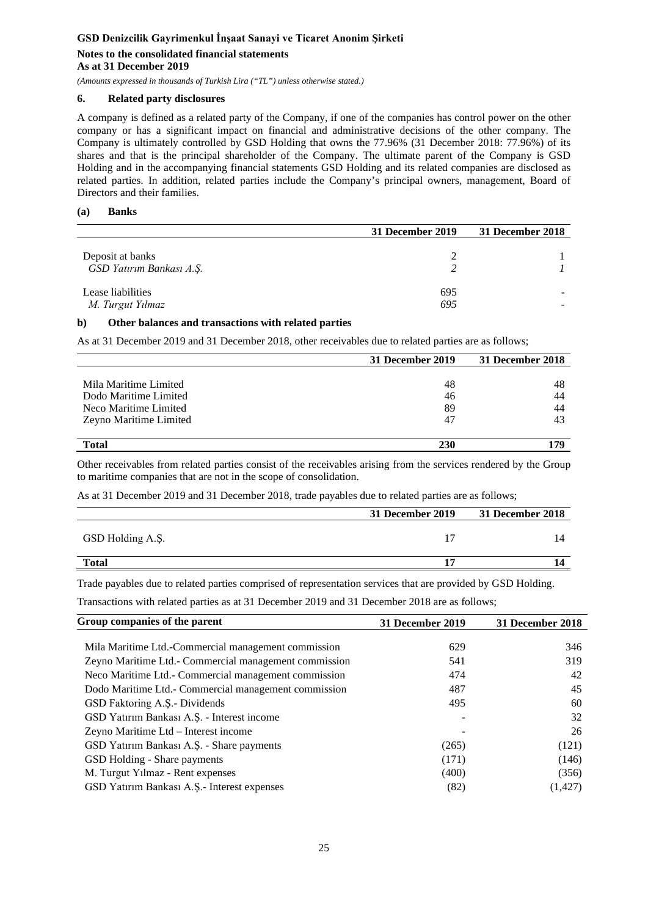### **Notes to the consolidated financial statements As at 31 December 2019**

*(Amounts expressed in thousands of Turkish Lira ("TL") unless otherwise stated.)*

### **6. Related party disclosures**

A company is defined as a related party of the Company, if one of the companies has control power on the other company or has a significant impact on financial and administrative decisions of the other company. The Company is ultimately controlled by GSD Holding that owns the 77.96% (31 December 2018: 77.96%) of its shares and that is the principal shareholder of the Company. The ultimate parent of the Company is GSD Holding and in the accompanying financial statements GSD Holding and its related companies are disclosed as related parties. In addition, related parties include the Company's principal owners, management, Board of Directors and their families.

### **(a) Banks**

|                                              | 31 December 2019 | 31 December 2018 |
|----------------------------------------------|------------------|------------------|
| Deposit at banks<br>GSD Yatırım Bankası A.Ş. |                  |                  |
| Lease liabilities<br>M. Turgut Yılmaz        | 695<br>695       |                  |

### **b) Other balances and transactions with related parties**

As at 31 December 2019 and 31 December 2018, other receivables due to related parties are as follows;

|                        | 31 December 2019 | 31 December 2018 |
|------------------------|------------------|------------------|
|                        |                  |                  |
| Mila Maritime Limited  | 48               | 48               |
| Dodo Maritime Limited  | 46               | 44               |
| Neco Maritime Limited  | 89               | 44               |
| Zeyno Maritime Limited | 47               | 43               |
|                        |                  |                  |
| <b>Total</b>           | 230              | 170              |

Other receivables from related parties consist of the receivables arising from the services rendered by the Group to maritime companies that are not in the scope of consolidation.

As at 31 December 2019 and 31 December 2018, trade payables due to related parties are as follows;

|                  | 31 December 2019 | 31 December 2018 |
|------------------|------------------|------------------|
| GSD Holding A.Ş. |                  |                  |
| <b>Total</b>     |                  |                  |

Trade payables due to related parties comprised of representation services that are provided by GSD Holding.

Transactions with related parties as at 31 December 2019 and 31 December 2018 are as follows;

| Group companies of the parent                         | 31 December 2019 | 31 December 2018 |
|-------------------------------------------------------|------------------|------------------|
|                                                       |                  |                  |
| Mila Maritime Ltd.-Commercial management commission   | 629              | 346              |
| Zeyno Maritime Ltd.- Commercial management commission | 541              | 319              |
| Neco Maritime Ltd. - Commercial management commission | 474              | 42               |
| Dodo Maritime Ltd.- Commercial management commission  | 487              | 45               |
| GSD Faktoring A.S.- Dividends                         | 495              | 60               |
| GSD Yatırım Bankası A.Ş. - Interest income            |                  | 32               |
| Zeyno Maritime Ltd - Interest income                  |                  | 26               |
| GSD Yatırım Bankası A.Ş. - Share payments             | (265)            | (121)            |
| GSD Holding - Share payments                          | (171)            | (146)            |
| M. Turgut Yılmaz - Rent expenses                      | (400)            | (356)            |
| GSD Yatırım Bankası A.Ş.- Interest expenses           | (82)             | (1, 427)         |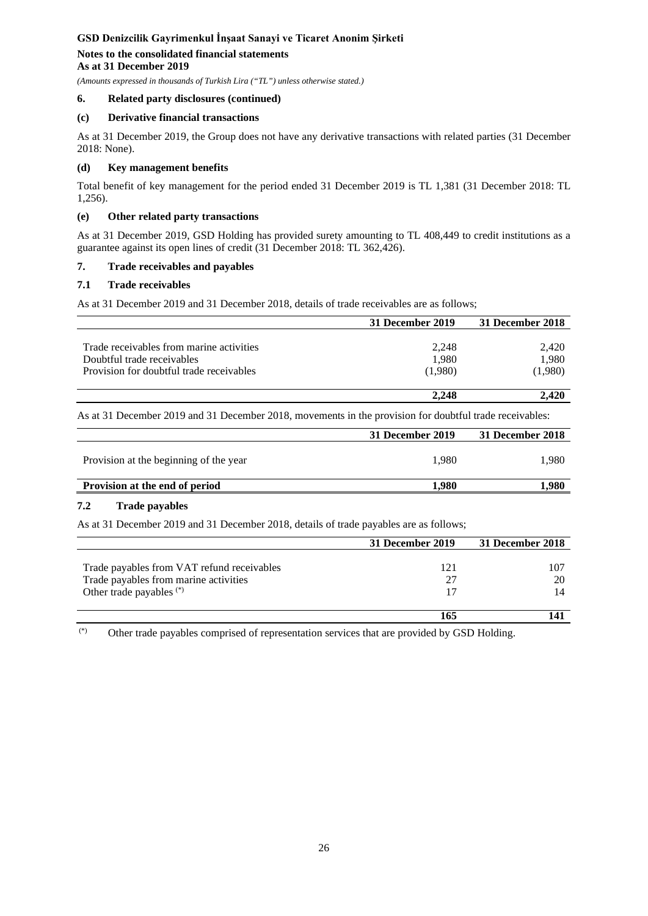### **Notes to the consolidated financial statements As at 31 December 2019**

*(Amounts expressed in thousands of Turkish Lira ("TL") unless otherwise stated.)*

### **6. Related party disclosures (continued)**

### **(c) Derivative financial transactions**

As at 31 December 2019, the Group does not have any derivative transactions with related parties (31 December 2018: None).

### **(d) Key management benefits**

Total benefit of key management for the period ended 31 December 2019 is TL 1,381 (31 December 2018: TL 1,256).

### **(e) Other related party transactions**

As at 31 December 2019, GSD Holding has provided surety amounting to TL 408,449 to credit institutions as a guarantee against its open lines of credit (31 December 2018: TL 362,426).

### **7. Trade receivables and payables**

### **7.1 Trade receivables**

As at 31 December 2019 and 31 December 2018, details of trade receivables are as follows;

|                                          | 31 December 2019 | 31 December 2018 |
|------------------------------------------|------------------|------------------|
|                                          |                  |                  |
| Trade receivables from marine activities | 2,248            | 2,420            |
| Doubtful trade receivables               | 1,980            | 1,980            |
| Provision for doubtful trade receivables | (1,980)          | (1,980)          |
|                                          | 2.248            | 2.420            |

As at 31 December 2019 and 31 December 2018, movements in the provision for doubtful trade receivables:

|                                        | 31 December 2019 | 31 December 2018 |
|----------------------------------------|------------------|------------------|
| Provision at the beginning of the year | 1.980            | 1.980            |
| Provision at the end of period         | 1.980            | .980             |

### **7.2 Trade payables**

As at 31 December 2019 and 31 December 2018, details of trade payables are as follows;

|                                            | 31 December 2019 | 31 December 2018 |
|--------------------------------------------|------------------|------------------|
|                                            |                  |                  |
| Trade payables from VAT refund receivables | 121              | 107              |
| Trade payables from marine activities      | 27               |                  |
| Other trade payables <sup>(*)</sup>        |                  |                  |
|                                            | 165              |                  |

(\*) Other trade payables comprised of representation services that are provided by GSD Holding.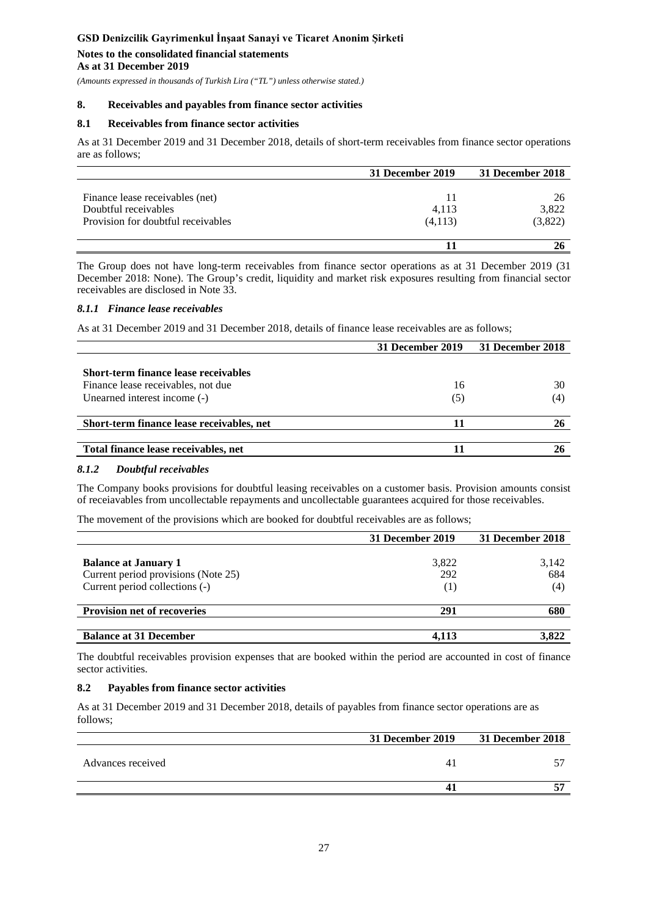### **Notes to the consolidated financial statements As at 31 December 2019**

*(Amounts expressed in thousands of Turkish Lira ("TL") unless otherwise stated.)*

#### **8. Receivables and payables from finance sector activities**

### **8.1 Receivables from finance sector activities**

As at 31 December 2019 and 31 December 2018, details of short-term receivables from finance sector operations are as follows;

|                                    | 31 December 2019 | 31 December 2018 |
|------------------------------------|------------------|------------------|
|                                    |                  |                  |
| Finance lease receivables (net)    | 11               | 26               |
| Doubtful receivables               | 4,113            | 3,822            |
| Provision for doubtful receivables | (4,113)          | (3,822)          |
|                                    |                  |                  |

The Group does not have long-term receivables from finance sector operations as at 31 December 2019 (31 December 2018: None). The Group's credit, liquidity and market risk exposures resulting from financial sector receivables are disclosed in Note 33.

#### *8.1.1 Finance lease receivables*

As at 31 December 2019 and 31 December 2018, details of finance lease receivables are as follows;

|     | 31 December 2018 |
|-----|------------------|
|     |                  |
|     |                  |
| 16  | 30               |
| (5) | (4)              |
|     |                  |
|     |                  |
|     |                  |

### *8.1.2 Doubtful receivables*

The Company books provisions for doubtful leasing receivables on a customer basis. Provision amounts consist of receiavables from uncollectable repayments and uncollectable guarantees acquired for those receivables.

The movement of the provisions which are booked for doubtful receivables are as follows;

|                                                                                                      | 31 December 2019    | 31 December 2018    |
|------------------------------------------------------------------------------------------------------|---------------------|---------------------|
| <b>Balance at January 1</b><br>Current period provisions (Note 25)<br>Current period collections (-) | 3,822<br>292<br>(1) | 3,142<br>684<br>(4) |
| <b>Provision net of recoveries</b>                                                                   | 291                 | 680                 |
| <b>Balance at 31 December</b>                                                                        | 4.113               | 3.822               |

The doubtful receivables provision expenses that are booked within the period are accounted in cost of finance sector activities.

### **8.2 Payables from finance sector activities**

As at 31 December 2019 and 31 December 2018, details of payables from finance sector operations are as follows;

|                   |   | 31 December 2019 31 December 2018 |
|-------------------|---|-----------------------------------|
| Advances received | 4 |                                   |
|                   | Д |                                   |
|                   |   |                                   |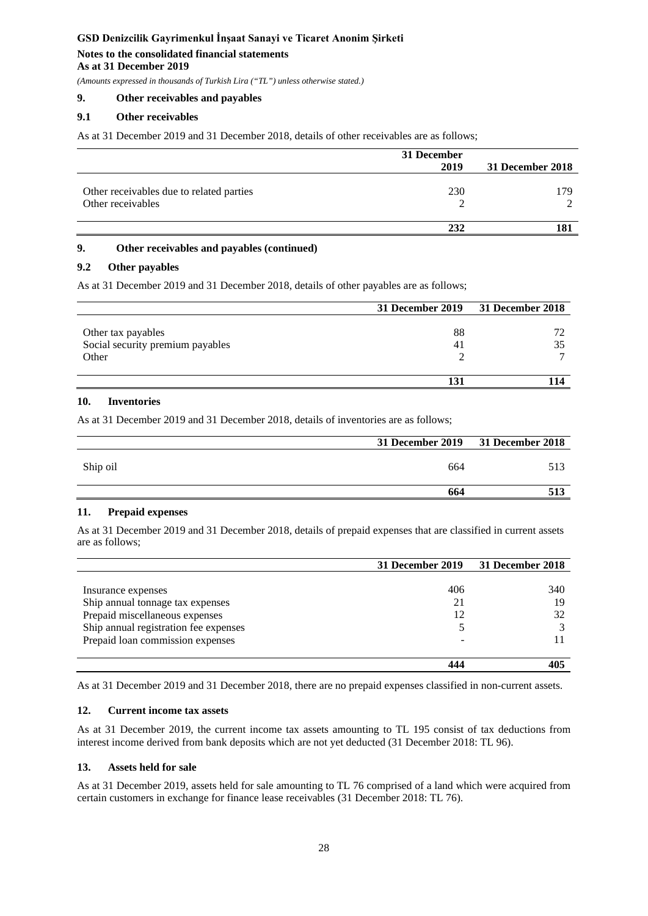### **Notes to the consolidated financial statements As at 31 December 2019**

*(Amounts expressed in thousands of Turkish Lira ("TL") unless otherwise stated.)*

### **9. Other receivables and payables**

### **9.1 Other receivables**

As at 31 December 2019 and 31 December 2018, details of other receivables are as follows;

|                                          | 31 December |                  |  |
|------------------------------------------|-------------|------------------|--|
|                                          | 2019        | 31 December 2018 |  |
|                                          |             |                  |  |
| Other receivables due to related parties | 230         | 179.             |  |
| Other receivables                        |             |                  |  |
|                                          |             |                  |  |
|                                          | 232         | .81              |  |

### **9. Other receivables and payables (continued)**

# **9.2 Other payables**

As at 31 December 2019 and 31 December 2018, details of other payables are as follows;

|                                                        | 31 December 2019 31 December 2018 |  |
|--------------------------------------------------------|-----------------------------------|--|
| Other tax payables<br>Social security premium payables | 88<br>41                          |  |
| Other                                                  |                                   |  |
|                                                        |                                   |  |

### **10. Inventories**

As at 31 December 2019 and 31 December 2018, details of inventories are as follows;

|          | 31 December 2019 31 December 2018 |     |
|----------|-----------------------------------|-----|
| Ship oil | 664                               |     |
|          | 664                               | 513 |
|          |                                   |     |

### **11. Prepaid expenses**

As at 31 December 2019 and 31 December 2018, details of prepaid expenses that are classified in current assets are as follows;

|                                       | 31 December 2019 | 31 December 2018 |
|---------------------------------------|------------------|------------------|
|                                       |                  |                  |
| Insurance expenses                    | 406              | 340              |
| Ship annual tonnage tax expenses      | 21               | 19               |
| Prepaid miscellaneous expenses        | 12               | 32               |
| Ship annual registration fee expenses |                  |                  |
| Prepaid loan commission expenses      |                  |                  |
|                                       |                  |                  |
|                                       |                  |                  |

As at 31 December 2019 and 31 December 2018, there are no prepaid expenses classified in non-current assets.

### **12. Current income tax assets**

As at 31 December 2019, the current income tax assets amounting to TL 195 consist of tax deductions from interest income derived from bank deposits which are not yet deducted (31 December 2018: TL 96).

### **13. Assets held for sale**

As at 31 December 2019, assets held for sale amounting to TL 76 comprised of a land which were acquired from certain customers in exchange for finance lease receivables (31 December 2018: TL 76).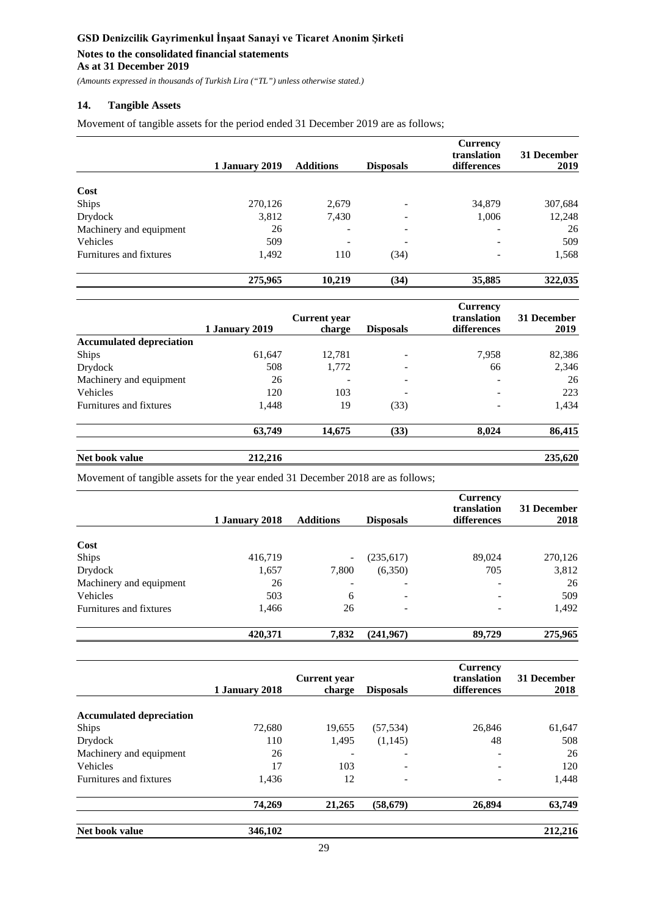### **Notes to the consolidated financial statements As at 31 December 2019**

*(Amounts expressed in thousands of Turkish Lira ("TL") unless otherwise stated.)*

## **14. Tangible Assets**

Movement of tangible assets for the period ended 31 December 2019 are as follows;

|                         | 1 January 2019 | <b>Additions</b>         | <b>Disposals</b>             | <b>Currency</b><br>translation<br>differences | 31 December<br>2019 |
|-------------------------|----------------|--------------------------|------------------------------|-----------------------------------------------|---------------------|
|                         |                |                          |                              |                                               |                     |
| Cost                    |                |                          |                              |                                               |                     |
| Ships                   | 270,126        | 2,679                    | $\qquad \qquad \blacksquare$ | 34,879                                        | 307,684             |
| Drydock                 | 3,812          | 7,430                    |                              | 1,006                                         | 12,248              |
| Machinery and equipment | 26             | $\overline{\phantom{a}}$ |                              | ٠                                             | 26                  |
| Vehicles                | 509            | -                        | -                            | $\overline{\phantom{a}}$                      | 509                 |
| Furnitures and fixtures | 1,492          | 110                      | (34)                         | $\overline{\phantom{a}}$                      | 1,568               |
|                         | 275,965        | 10.219                   | (34)                         | 35,885                                        | 322,035             |

|                                 |                | <b>Current</b> year |                          | <b>Currency</b><br>translation | 31 December |
|---------------------------------|----------------|---------------------|--------------------------|--------------------------------|-------------|
|                                 | 1 January 2019 | charge              | <b>Disposals</b>         | differences                    | 2019        |
| <b>Accumulated depreciation</b> |                |                     |                          |                                |             |
| <b>Ships</b>                    | 61,647         | 12,781              |                          | 7,958                          | 82,386      |
| Drydock                         | 508            | 1,772               | $\overline{\phantom{a}}$ | 66                             | 2,346       |
| Machinery and equipment         | 26             | -                   | $\overline{\phantom{a}}$ | $\overline{\phantom{a}}$       | 26          |
| Vehicles                        | 120            | 103                 |                          | $\overline{\phantom{a}}$       | 223         |
| Furnitures and fixtures         | 1,448          | 19                  | (33)                     | $\overline{\phantom{a}}$       | 1,434       |
|                                 | 63,749         | 14,675              | (33)                     | 8,024                          | 86,415      |
| Net book value                  | 212,216        |                     |                          |                                | 235,620     |

Movement of tangible assets for the year ended 31 December 2018 are as follows;

|                         | 1 January 2018 | <b>Additions</b> | <b>Disposals</b> | <b>Currency</b><br>translation<br>differences | 31 December<br>2018 |
|-------------------------|----------------|------------------|------------------|-----------------------------------------------|---------------------|
|                         |                |                  |                  |                                               |                     |
| Cost                    |                |                  |                  |                                               |                     |
| Ships                   | 416,719        | ۰                | (235,617)        | 89,024                                        | 270,126             |
| Drydock                 | 1,657          | 7,800            | (6,350)          | 705                                           | 3,812               |
| Machinery and equipment | 26             | -                | -                |                                               | 26                  |
| Vehicles                | 503            | 6                | -                |                                               | 509                 |
| Furnitures and fixtures | 1,466          | 26               | -                |                                               | 1,492               |
|                         | 420,371        | 7,832            | (241,967)        | 89,729                                        | 275,965             |

|                                 | 1 January 2018 | <b>Current</b> year<br>charge | <b>Disposals</b> | <b>Currency</b><br>translation<br>differences | 31 December<br>2018 |
|---------------------------------|----------------|-------------------------------|------------------|-----------------------------------------------|---------------------|
| <b>Accumulated depreciation</b> |                |                               |                  |                                               |                     |
| Ships                           | 72,680         | 19,655                        | (57, 534)        | 26,846                                        | 61,647              |
| Drydock                         | 110            | 1,495                         | (1,145)          | 48                                            | 508                 |
| Machinery and equipment         | 26             |                               | -                |                                               | 26                  |
| <b>Vehicles</b>                 | 17             | 103                           | -                |                                               | 120                 |
| Furnitures and fixtures         | 1,436          | 12                            | -                |                                               | 1,448               |
|                                 | 74.269         | 21,265                        | (58, 679)        | 26,894                                        | 63,749              |
| Net book value                  | 346,102        |                               |                  |                                               | 212,216             |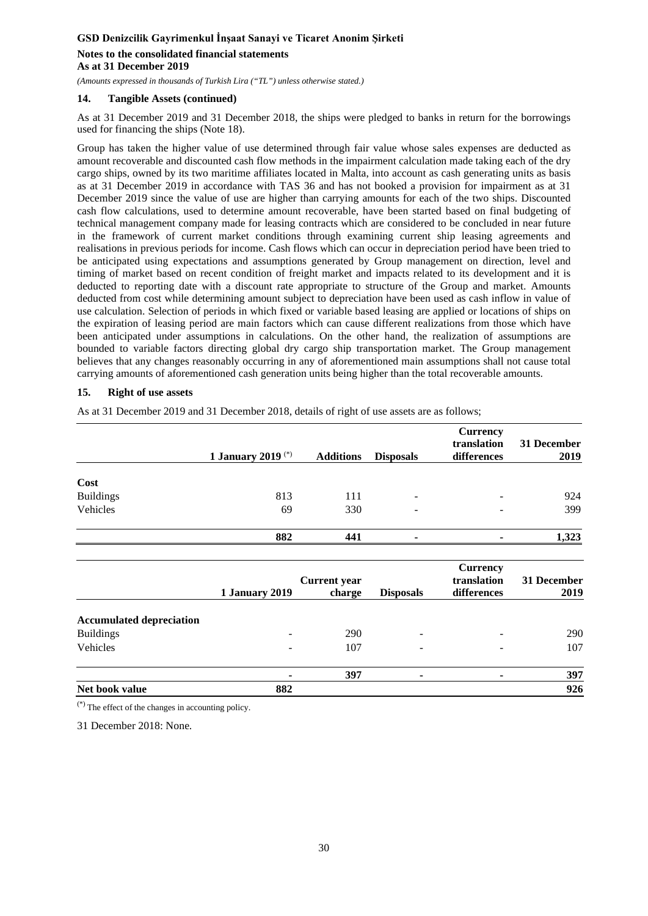### **Notes to the consolidated financial statements As at 31 December 2019**

*(Amounts expressed in thousands of Turkish Lira ("TL") unless otherwise stated.)*

### **14. Tangible Assets (continued)**

As at 31 December 2019 and 31 December 2018, the ships were pledged to banks in return for the borrowings used for financing the ships (Note 18).

Group has taken the higher value of use determined through fair value whose sales expenses are deducted as amount recoverable and discounted cash flow methods in the impairment calculation made taking each of the dry cargo ships, owned by its two maritime affiliates located in Malta, into account as cash generating units as basis as at 31 December 2019 in accordance with TAS 36 and has not booked a provision for impairment as at 31 December 2019 since the value of use are higher than carrying amounts for each of the two ships. Discounted cash flow calculations, used to determine amount recoverable, have been started based on final budgeting of technical management company made for leasing contracts which are considered to be concluded in near future in the framework of current market conditions through examining current ship leasing agreements and realisations in previous periods for income. Cash flows which can occur in depreciation period have been tried to be anticipated using expectations and assumptions generated by Group management on direction, level and timing of market based on recent condition of freight market and impacts related to its development and it is deducted to reporting date with a discount rate appropriate to structure of the Group and market. Amounts deducted from cost while determining amount subject to depreciation have been used as cash inflow in value of use calculation. Selection of periods in which fixed or variable based leasing are applied or locations of ships on the expiration of leasing period are main factors which can cause different realizations from those which have been anticipated under assumptions in calculations. On the other hand, the realization of assumptions are bounded to variable factors directing global dry cargo ship transportation market. The Group management believes that any changes reasonably occurring in any of aforementioned main assumptions shall not cause total carrying amounts of aforementioned cash generation units being higher than the total recoverable amounts.

### **15. Right of use assets**

As at 31 December 2019 and 31 December 2018, details of right of use assets are as follows;

|                  | 1 January 2019 <sup>(*)</sup> | <b>Additions</b> | <b>Disposals</b> | <b>Currency</b><br>translation<br>differences | 31 December<br>2019 |
|------------------|-------------------------------|------------------|------------------|-----------------------------------------------|---------------------|
|                  |                               |                  |                  |                                               |                     |
| Cost             |                               |                  |                  |                                               |                     |
| <b>Buildings</b> | 813                           | 111              | -                |                                               | 924                 |
| Vehicles         | 69                            | 330              | -                |                                               | 399                 |
|                  | 882                           | 441              |                  |                                               | 1,323               |

|                                 |                | <b>Current</b> year |                          | <b>Currency</b><br>translation | 31 December |
|---------------------------------|----------------|---------------------|--------------------------|--------------------------------|-------------|
|                                 | 1 January 2019 | charge              | <b>Disposals</b>         | differences                    | 2019        |
| <b>Accumulated depreciation</b> |                |                     |                          |                                |             |
| <b>Buildings</b>                |                | 290                 |                          | $\overline{\phantom{0}}$       | 290         |
| Vehicles                        | -              | 107                 | -                        | $\overline{\phantom{a}}$       | 107         |
|                                 |                | 397                 | $\overline{\phantom{a}}$ | ٠                              | 397         |
| Net book value                  | 882            |                     |                          |                                | 926         |

(\*) The effect of the changes in accounting policy.

31 December 2018: None.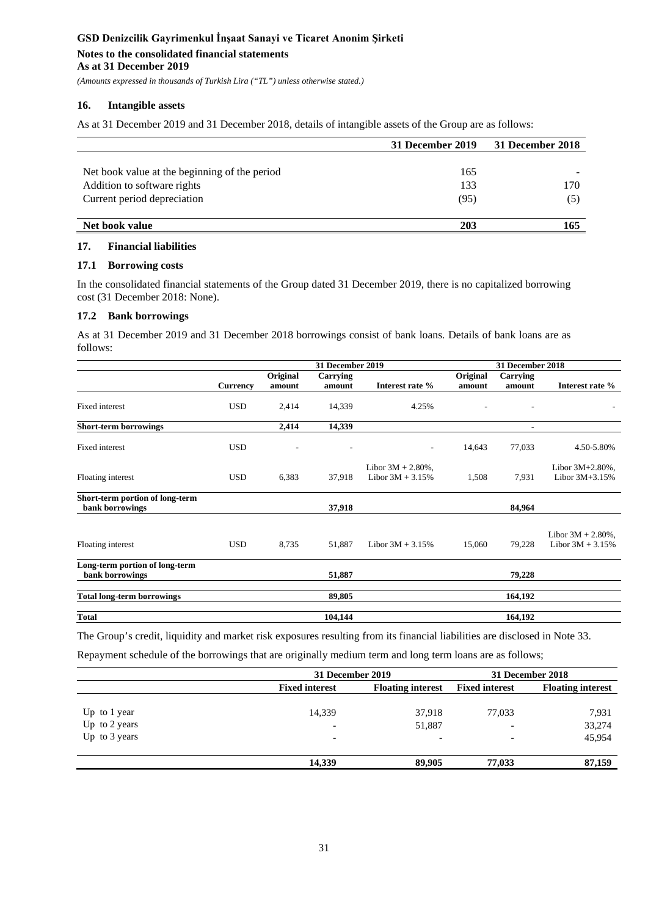# **Notes to the consolidated financial statements**

**As at 31 December 2019**

*(Amounts expressed in thousands of Turkish Lira ("TL") unless otherwise stated.)*

### **16. Intangible assets**

As at 31 December 2019 and 31 December 2018, details of intangible assets of the Group are as follows:

|                                               | 31 December 2019 | 31 December 2018 |
|-----------------------------------------------|------------------|------------------|
|                                               |                  |                  |
| Net book value at the beginning of the period | 165              |                  |
| Addition to software rights                   | 133              | 170              |
| Current period depreciation                   | (95)             | (5)              |
|                                               |                  |                  |
| Net book value                                | 203              | 165              |

### **17. Financial liabilities**

#### **17.1 Borrowing costs**

In the consolidated financial statements of the Group dated 31 December 2019, there is no capitalized borrowing cost (31 December 2018: None).

### **17.2 Bank borrowings**

As at 31 December 2019 and 31 December 2018 borrowings consist of bank loans. Details of bank loans are as follows:

|                                                    |                 | <b>31 December 2019</b> |                    |                                             |                    | 31 December 2018         |                                             |  |
|----------------------------------------------------|-----------------|-------------------------|--------------------|---------------------------------------------|--------------------|--------------------------|---------------------------------------------|--|
|                                                    | <b>Currency</b> | Original<br>amount      | Carrying<br>amount | Interest rate %                             | Original<br>amount | Carrying<br>amount       | Interest rate %                             |  |
| Fixed interest                                     | <b>USD</b>      | 2,414                   | 14,339             | 4.25%                                       |                    | ٠                        |                                             |  |
| <b>Short-term borrowings</b>                       |                 | 2,414                   | 14,339             |                                             |                    | $\overline{\phantom{a}}$ |                                             |  |
| Fixed interest                                     | <b>USD</b>      | ٠                       |                    | $\overline{\phantom{a}}$                    | 14,643             | 77,033                   | 4.50-5.80%                                  |  |
| Floating interest                                  | <b>USD</b>      | 6,383                   | 37,918             | Libor $3M + 2.80\%$ ,<br>Libor $3M + 3.15%$ | 1,508              | 7,931                    | Libor 3M+2.80%,<br>Libor $3M+3.15%$         |  |
| Short-term portion of long-term<br>bank borrowings |                 |                         | 37,918             |                                             |                    | 84,964                   |                                             |  |
| Floating interest                                  | <b>USD</b>      | 8,735                   | 51,887             | Libor $3M + 3.15%$                          | 15,060             | 79,228                   | Libor $3M + 2.80\%$ ,<br>Libor $3M + 3.15%$ |  |
| Long-term portion of long-term<br>bank borrowings  |                 |                         | 51,887             |                                             |                    | 79,228                   |                                             |  |
| <b>Total long-term borrowings</b>                  |                 |                         | 89,805             |                                             |                    | 164,192                  |                                             |  |
| Total                                              |                 |                         | 104,144            |                                             |                    | 164.192                  |                                             |  |

The Group's credit, liquidity and market risk exposures resulting from its financial liabilities are disclosed in Note 33.

Repayment schedule of the borrowings that are originally medium term and long term loans are as follows;

|               | 31 December 2019         | 31 December 2018         |                       |                          |
|---------------|--------------------------|--------------------------|-----------------------|--------------------------|
|               | <b>Fixed interest</b>    | <b>Floating interest</b> | <b>Fixed interest</b> | <b>Floating interest</b> |
|               |                          |                          |                       |                          |
| Up to 1 year  | 14,339                   | 37,918                   | 77,033                | 7,931                    |
| Up to 2 years | $\overline{\phantom{0}}$ | 51,887                   |                       | 33,274                   |
| Up to 3 years | $\overline{\phantom{0}}$ | $\overline{\phantom{0}}$ | ۰                     | 45,954                   |
|               | 14.339                   | 89,905                   | 77,033                | 87,159                   |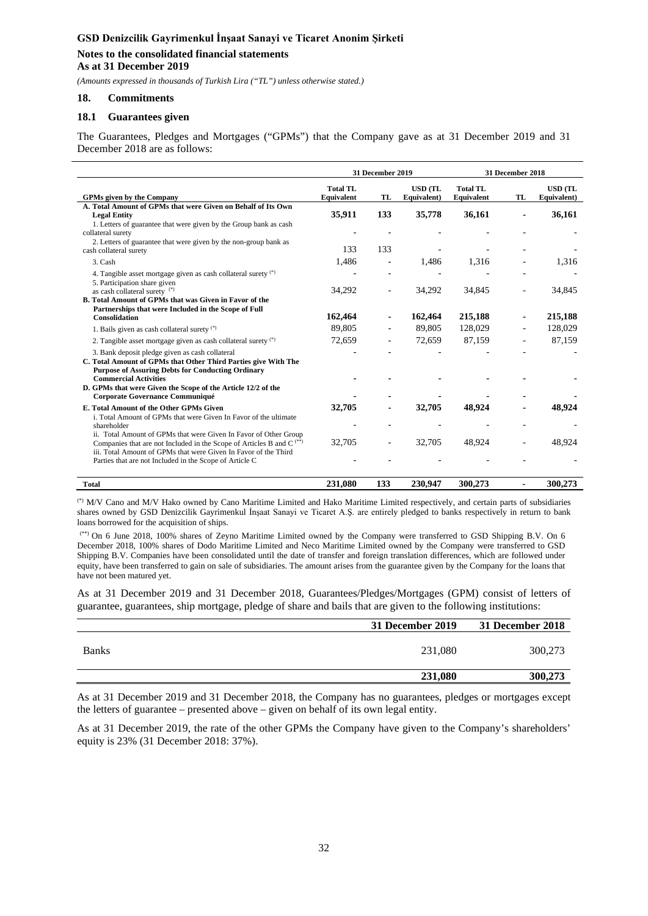### **Notes to the consolidated financial statements As at 31 December 2019**

*(Amounts expressed in thousands of Turkish Lira ("TL") unless otherwise stated.)*

#### **18. Commitments**

#### **18.1 Guarantees given**

The Guarantees, Pledges and Mortgages ("GPMs") that the Company gave as at 31 December 2019 and 31 December 2018 are as follows:

|                                                                                                                                                                               |                               | 31 December 2019 |                               |                               | 31 December 2018 |                               |
|-------------------------------------------------------------------------------------------------------------------------------------------------------------------------------|-------------------------------|------------------|-------------------------------|-------------------------------|------------------|-------------------------------|
| <b>GPMs given by the Company</b>                                                                                                                                              | <b>Total TL</b><br>Equivalent | <b>TL</b>        | <b>USD (TL</b><br>Equivalent) | <b>Total TL</b><br>Equivalent | TL               | <b>USD</b> (TL<br>Equivalent) |
| A. Total Amount of GPMs that were Given on Behalf of Its Own<br><b>Legal Entity</b>                                                                                           | 35,911                        | 133              | 35,778                        | 36,161                        |                  | 36,161                        |
| 1. Letters of guarantee that were given by the Group bank as cash<br>collateral surety<br>2. Letters of guarantee that were given by the non-group bank as                    |                               |                  |                               |                               |                  |                               |
| cash collateral surety                                                                                                                                                        | 133                           | 133              |                               |                               |                  |                               |
| 3. Cash                                                                                                                                                                       | 1,486                         |                  | 1.486                         | 1,316                         |                  | 1.316                         |
| 4. Tangible asset mortgage given as cash collateral surety (*)<br>5. Participation share given                                                                                |                               |                  |                               |                               |                  |                               |
| as cash collateral surety (*)<br>B. Total Amount of GPMs that was Given in Favor of the                                                                                       | 34,292                        |                  | 34,292                        | 34,845                        |                  | 34,845                        |
| Partnerships that were Included in the Scope of Full<br><b>Consolidation</b>                                                                                                  | 162,464                       |                  | 162,464                       | 215,188                       |                  | 215,188                       |
| 1. Bails given as cash collateral surety (*)                                                                                                                                  | 89.805                        |                  | 89.805                        | 128,029                       |                  | 128,029                       |
| 2. Tangible asset mortgage given as cash collateral surety (*)                                                                                                                | 72,659                        |                  | 72,659                        | 87,159                        |                  | 87,159                        |
| 3. Bank deposit pledge given as cash collateral<br>C. Total Amount of GPMs that Other Third Parties give With The<br><b>Purpose of Assuring Debts for Conducting Ordinary</b> |                               |                  |                               |                               |                  |                               |
| <b>Commercial Activities</b><br>D. GPMs that were Given the Scope of the Article 12/2 of the<br>Corporate Governance Communiqué                                               |                               |                  |                               |                               |                  |                               |
| E. Total Amount of the Other GPMs Given<br>i. Total Amount of GPMs that were Given In Favor of the ultimate                                                                   | 32,705                        |                  | 32,705                        | 48,924                        |                  | 48,924                        |
| shareholder<br>ii. Total Amount of GPMs that were Given In Favor of Other Group                                                                                               |                               |                  |                               |                               |                  |                               |
| Companies that are not Included in the Scope of Articles B and $C^{(*)}$<br>iii. Total Amount of GPMs that were Given In Favor of the Third                                   | 32,705                        |                  | 32,705                        | 48,924                        |                  | 48,924                        |
| Parties that are not Included in the Scope of Article C                                                                                                                       |                               |                  |                               |                               |                  |                               |
| <b>Total</b>                                                                                                                                                                  | 231,080                       | 133              | 230,947                       | 300,273                       |                  | 300,273                       |

(\*) M/V Cano and M/V Hako owned by Cano Maritime Limited and Hako Maritime Limited respectively, and certain parts of subsidiaries shares owned by GSD Denizcilik Gayrimenkul İnşaat Sanayi ve Ticaret A.Ş. are entirely pledged to banks respectively in return to bank loans borrowed for the acquisition of ships.

(\*\*) On 6 June 2018, 100% shares of Zeyno Maritime Limited owned by the Company were transferred to GSD Shipping B.V. On 6 December 2018, 100% shares of Dodo Maritime Limited and Neco Maritime Limited owned by the Company were transferred to GSD Shipping B.V. Companies have been consolidated until the date of transfer and foreign translation differences, which are followed under equity, have been transferred to gain on sale of subsidiaries. The amount arises from the guarantee given by the Company for the loans that have not been matured yet.

As at 31 December 2019 and 31 December 2018, Guarantees/Pledges/Mortgages (GPM) consist of letters of guarantee, guarantees, ship mortgage, pledge of share and bails that are given to the following institutions:

|              | 31 December 2019 | 31 December 2018 |
|--------------|------------------|------------------|
| <b>Banks</b> | 231,080          | 300,273          |
|              | 231,080          | 300,273          |

As at 31 December 2019 and 31 December 2018, the Company has no guarantees, pledges or mortgages except the letters of guarantee – presented above – given on behalf of its own legal entity.

As at 31 December 2019, the rate of the other GPMs the Company have given to the Company's shareholders' equity is 23% (31 December 2018: 37%).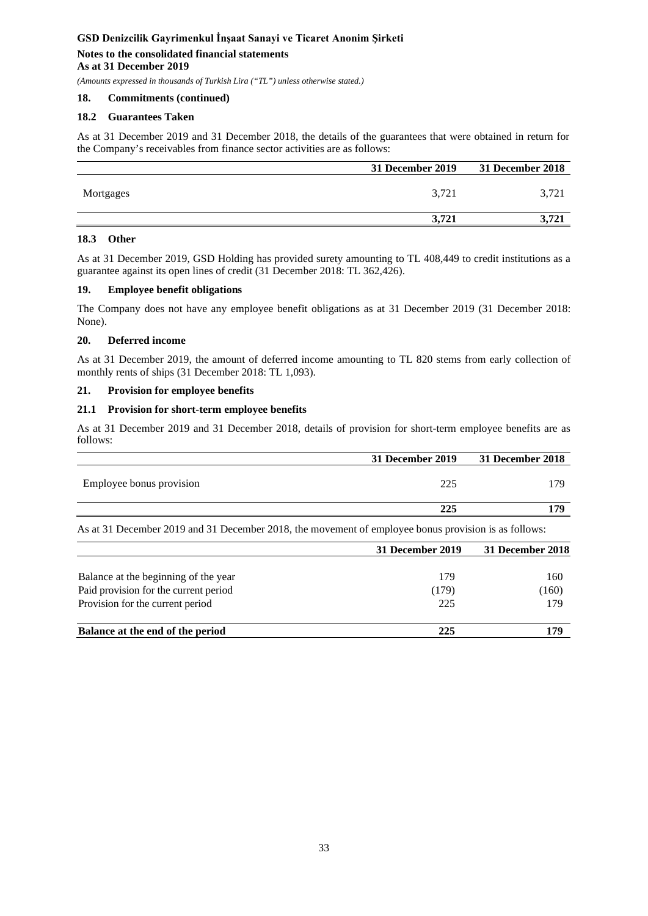# **Notes to the consolidated financial statements As at 31 December 2019**

*(Amounts expressed in thousands of Turkish Lira ("TL") unless otherwise stated.)*

### **18. Commitments (continued)**

### **18.2 Guarantees Taken**

As at 31 December 2019 and 31 December 2018, the details of the guarantees that were obtained in return for the Company's receivables from finance sector activities are as follows:

|           | 31 December 2019 | <b>31 December 2018</b> |
|-----------|------------------|-------------------------|
| Mortgages | 3,721            | 3.721                   |
|           | 3.721            | ີ                       |

### **18.3 Other**

As at 31 December 2019, GSD Holding has provided surety amounting to TL 408,449 to credit institutions as a guarantee against its open lines of credit (31 December 2018: TL 362,426).

### **19. Employee benefit obligations**

The Company does not have any employee benefit obligations as at 31 December 2019 (31 December 2018: None).

### **20. Deferred income**

As at 31 December 2019, the amount of deferred income amounting to TL 820 stems from early collection of monthly rents of ships (31 December 2018: TL 1,093).

### **21. Provision for employee benefits**

### **21.1 Provision for short-term employee benefits**

As at 31 December 2019 and 31 December 2018, details of provision for short-term employee benefits are as follows:

|                          | 31 December 2019 | 31 December 2018 |
|--------------------------|------------------|------------------|
| Employee bonus provision | 225              | 179              |
|                          | 225              | 179              |
|                          |                  |                  |

As at 31 December 2019 and 31 December 2018, the movement of employee bonus provision is as follows:

|                                       | 31 December 2019 | 31 December 2018 |
|---------------------------------------|------------------|------------------|
| Balance at the beginning of the year  | 179              | 160              |
| Paid provision for the current period | (179)            | (160)            |
| Provision for the current period      | 225              | 179              |
| Balance at the end of the period      | 225              | 179              |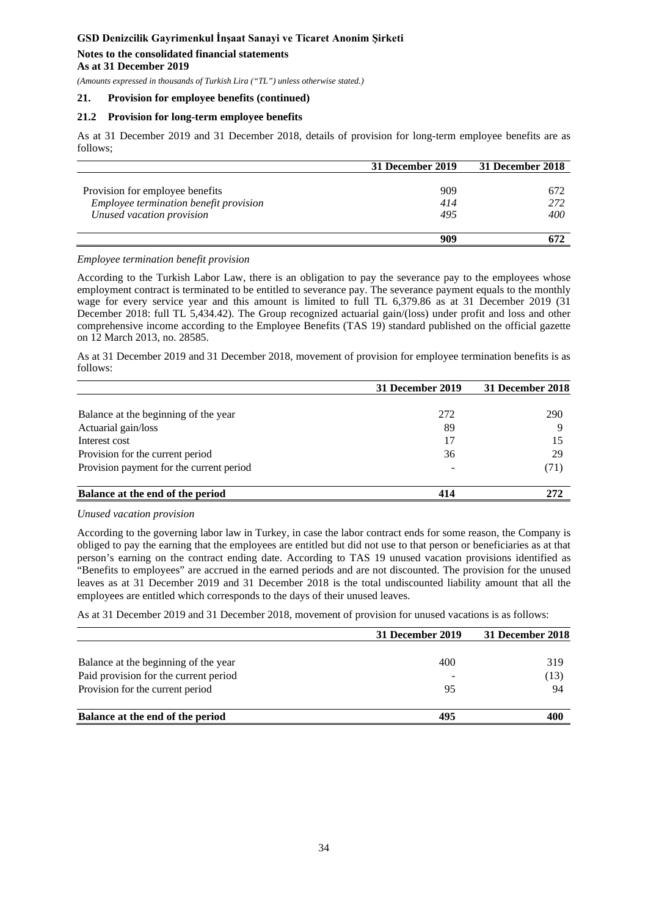### **Notes to the consolidated financial statements As at 31 December 2019**

*(Amounts expressed in thousands of Turkish Lira ("TL") unless otherwise stated.)*

### **21. Provision for employee benefits (continued)**

### **21.2 Provision for long-term employee benefits**

As at 31 December 2019 and 31 December 2018, details of provision for long-term employee benefits are as follows;

|                                        | 31 December 2019 | 31 December 2018 |
|----------------------------------------|------------------|------------------|
|                                        |                  |                  |
| Provision for employee benefits        | 909              | 672              |
| Employee termination benefit provision | 414              | 272              |
| Unused vacation provision              | 495              | 400              |
|                                        |                  |                  |
|                                        | 909              |                  |

#### *Employee termination benefit provision*

According to the Turkish Labor Law, there is an obligation to pay the severance pay to the employees whose employment contract is terminated to be entitled to severance pay. The severance payment equals to the monthly wage for every service year and this amount is limited to full TL 6,379.86 as at 31 December 2019 (31 December 2018: full TL 5,434.42). The Group recognized actuarial gain/(loss) under profit and loss and other comprehensive income according to the Employee Benefits (TAS 19) standard published on the official gazette on 12 March 2013, no. 28585.

As at 31 December 2019 and 31 December 2018, movement of provision for employee termination benefits is as follows:

|                                          | 31 December 2019 | 31 December 2018 |
|------------------------------------------|------------------|------------------|
|                                          |                  |                  |
| Balance at the beginning of the year     | 272              | 290              |
| Actuarial gain/loss                      | 89               | Q                |
| Interest cost                            | 17               |                  |
| Provision for the current period         | 36               | 29               |
| Provision payment for the current period |                  | (71)             |
| Balance at the end of the period         | 414              | 272              |

#### *Unused vacation provision*

According to the governing labor law in Turkey, in case the labor contract ends for some reason, the Company is obliged to pay the earning that the employees are entitled but did not use to that person or beneficiaries as at that person's earning on the contract ending date. According to TAS 19 unused vacation provisions identified as "Benefits to employees" are accrued in the earned periods and are not discounted. The provision for the unused leaves as at 31 December 2019 and 31 December 2018 is the total undiscounted liability amount that all the employees are entitled which corresponds to the days of their unused leaves.

As at 31 December 2019 and 31 December 2018, movement of provision for unused vacations is as follows:

|                                       | 31 December 2019 | 31 December 2018 |
|---------------------------------------|------------------|------------------|
| Balance at the beginning of the year  | 400              | 319              |
| Paid provision for the current period |                  | (13)             |
| Provision for the current period      | 95               | 94               |
| Balance at the end of the period      | 495              | 400              |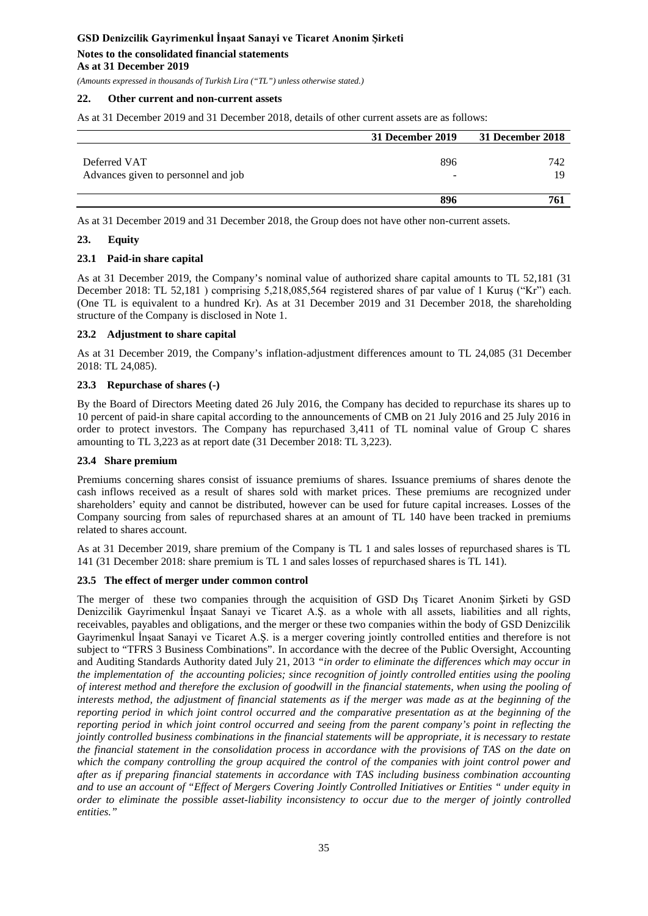#### **Notes to the consolidated financial statements As at 31 December 2019**

*(Amounts expressed in thousands of Turkish Lira ("TL") unless otherwise stated.)*

### **22. Other current and non-current assets**

As at 31 December 2019 and 31 December 2018, details of other current assets are as follows:

|                                                     | 31 December 2019                | 31 December 2018 |
|-----------------------------------------------------|---------------------------------|------------------|
| Deferred VAT<br>Advances given to personnel and job | 896<br>$\overline{\phantom{0}}$ | 742<br>19        |
|                                                     | 896                             | 761              |

As at 31 December 2019 and 31 December 2018, the Group does not have other non-current assets.

### **23. Equity**

### **23.1 Paid-in share capital**

As at 31 December 2019, the Company's nominal value of authorized share capital amounts to TL 52,181 (31 December 2018: TL 52,181 ) comprising 5,218,085,564 registered shares of par value of 1 Kuruş ("Kr") each. (One TL is equivalent to a hundred Kr). As at 31 December 2019 and 31 December 2018, the shareholding structure of the Company is disclosed in Note 1.

### **23.2 Adjustment to share capital**

As at 31 December 2019, the Company's inflation-adjustment differences amount to TL 24,085 (31 December 2018: TL 24,085).

### **23.3 Repurchase of shares (-)**

By the Board of Directors Meeting dated 26 July 2016, the Company has decided to repurchase its shares up to 10 percent of paid-in share capital according to the announcements of CMB on 21 July 2016 and 25 July 2016 in order to protect investors. The Company has repurchased 3,411 of TL nominal value of Group C shares amounting to TL 3,223 as at report date (31 December 2018: TL 3,223).

### **23.4 Share premium**

Premiums concerning shares consist of issuance premiums of shares. Issuance premiums of shares denote the cash inflows received as a result of shares sold with market prices. These premiums are recognized under shareholders' equity and cannot be distributed, however can be used for future capital increases. Losses of the Company sourcing from sales of repurchased shares at an amount of TL 140 have been tracked in premiums related to shares account.

As at 31 December 2019, share premium of the Company is TL 1 and sales losses of repurchased shares is TL 141 (31 December 2018: share premium is TL 1 and sales losses of repurchased shares is TL 141).

### **23.5 The effect of merger under common control**

The merger of these two companies through the acquisition of GSD Dış Ticaret Anonim Şirketi by GSD Denizcilik Gayrimenkul İnşaat Sanayi ve Ticaret A.Ş. as a whole with all assets, liabilities and all rights, receivables, payables and obligations, and the merger or these two companies within the body of GSD Denizcilik Gayrimenkul İnşaat Sanayi ve Ticaret A.Ş. is a merger covering jointly controlled entities and therefore is not subject to "TFRS 3 Business Combinations". In accordance with the decree of the Public Oversight, Accounting and Auditing Standards Authority dated July 21, 2013 *"in order to eliminate the differences which may occur in the implementation of the accounting policies; since recognition of jointly controlled entities using the pooling of interest method and therefore the exclusion of goodwill in the financial statements, when using the pooling of*  interests method, the adjustment of financial statements as if the merger was made as at the beginning of the *reporting period in which joint control occurred and the comparative presentation as at the beginning of the reporting period in which joint control occurred and seeing from the parent company's point in reflecting the jointly controlled business combinations in the financial statements will be appropriate, it is necessary to restate the financial statement in the consolidation process in accordance with the provisions of TAS on the date on which the company controlling the group acquired the control of the companies with joint control power and after as if preparing financial statements in accordance with TAS including business combination accounting and to use an account of "Effect of Mergers Covering Jointly Controlled Initiatives or Entities " under equity in order to eliminate the possible asset-liability inconsistency to occur due to the merger of jointly controlled entities."*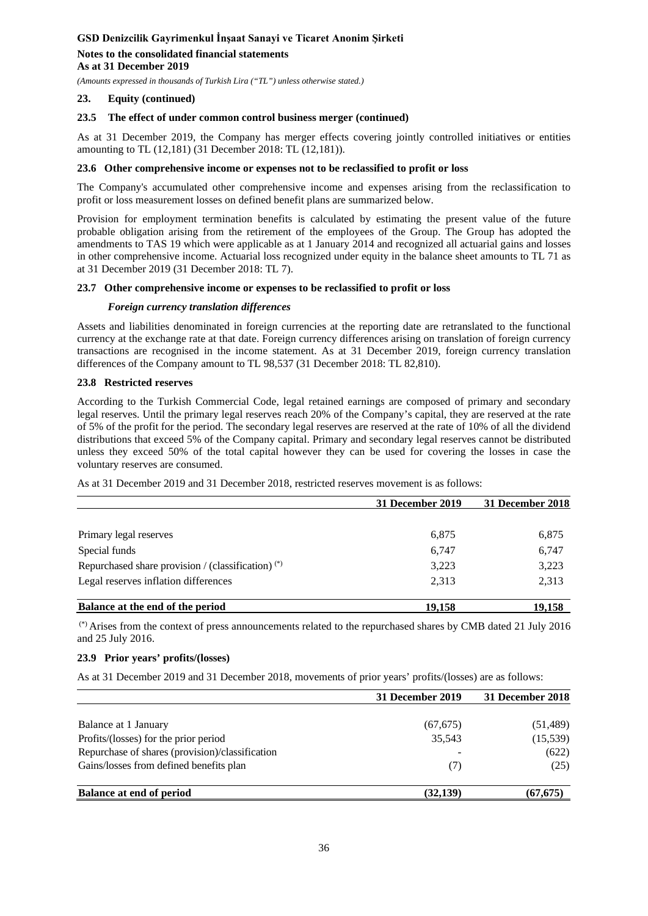# **Notes to the consolidated financial statements As at 31 December 2019**

*(Amounts expressed in thousands of Turkish Lira ("TL") unless otherwise stated.)*

### **23. Equity (continued)**

### **23.5 The effect of under common control business merger (continued)**

As at 31 December 2019, the Company has merger effects covering jointly controlled initiatives or entities amounting to TL (12,181) (31 December 2018: TL (12,181)).

### **23.6 Other comprehensive income or expenses not to be reclassified to profit or loss**

The Company's accumulated other comprehensive income and expenses arising from the reclassification to profit or loss measurement losses on defined benefit plans are summarized below.

Provision for employment termination benefits is calculated by estimating the present value of the future probable obligation arising from the retirement of the employees of the Group. The Group has adopted the amendments to TAS 19 which were applicable as at 1 January 2014 and recognized all actuarial gains and losses in other comprehensive income. Actuarial loss recognized under equity in the balance sheet amounts to TL 71 as at 31 December 2019 (31 December 2018: TL 7).

#### **23.7 Other comprehensive income or expenses to be reclassified to profit or loss**

#### *Foreign currency translation differences*

Assets and liabilities denominated in foreign currencies at the reporting date are retranslated to the functional currency at the exchange rate at that date. Foreign currency differences arising on translation of foreign currency transactions are recognised in the income statement. As at 31 December 2019, foreign currency translation differences of the Company amount to TL 98,537 (31 December 2018: TL 82,810).

#### **23.8 Restricted reserves**

According to the Turkish Commercial Code, legal retained earnings are composed of primary and secondary legal reserves. Until the primary legal reserves reach 20% of the Company's capital, they are reserved at the rate of 5% of the profit for the period. The secondary legal reserves are reserved at the rate of 10% of all the dividend distributions that exceed 5% of the Company capital. Primary and secondary legal reserves cannot be distributed unless they exceed 50% of the total capital however they can be used for covering the losses in case the voluntary reserves are consumed.

As at 31 December 2019 and 31 December 2018, restricted reserves movement is as follows:

|                                                      | 31 December 2019 | 31 December 2018 |
|------------------------------------------------------|------------------|------------------|
|                                                      |                  |                  |
| Primary legal reserves                               | 6,875            | 6,875            |
| Special funds                                        | 6,747            | 6,747            |
| Repurchased share provision / (classification) $(*)$ | 3,223            | 3,223            |
| Legal reserves inflation differences                 | 2,313            | 2,313            |
| Balance at the end of the period                     | 19,158           | 19,158           |

(\*) Arises from the context of press announcements related to the repurchased shares by CMB dated 21 July 2016 and 25 July 2016.

### **23.9 Prior years' profits/(losses)**

As at 31 December 2019 and 31 December 2018, movements of prior years' profits/(losses) are as follows:

|                                                 | 31 December 2019 | 31 December 2018 |
|-------------------------------------------------|------------------|------------------|
| Balance at 1 January                            | (67, 675)        | (51, 489)        |
| Profits/(losses) for the prior period           | 35,543           | (15,539)         |
| Repurchase of shares (provision)/classification |                  | (622)            |
| Gains/losses from defined benefits plan         | (7)              | (25)             |
| <b>Balance at end of period</b>                 | (32, 139)        | (67, 675)        |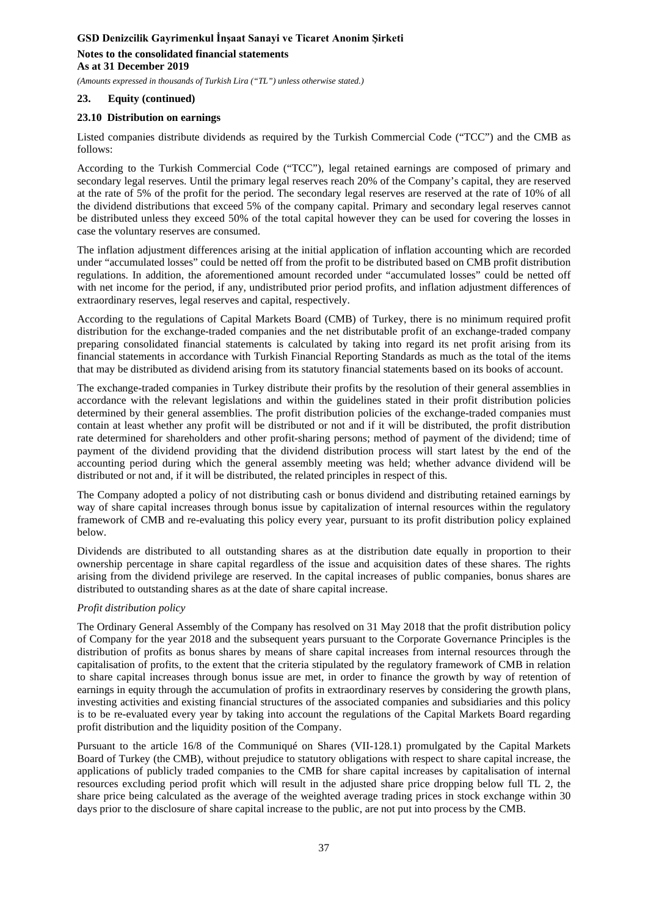# **Notes to the consolidated financial statements As at 31 December 2019**

*(Amounts expressed in thousands of Turkish Lira ("TL") unless otherwise stated.)*

### **23. Equity (continued)**

### **23.10 Distribution on earnings**

Listed companies distribute dividends as required by the Turkish Commercial Code ("TCC") and the CMB as follows:

According to the Turkish Commercial Code ("TCC"), legal retained earnings are composed of primary and secondary legal reserves. Until the primary legal reserves reach 20% of the Company's capital, they are reserved at the rate of 5% of the profit for the period. The secondary legal reserves are reserved at the rate of 10% of all the dividend distributions that exceed 5% of the company capital. Primary and secondary legal reserves cannot be distributed unless they exceed 50% of the total capital however they can be used for covering the losses in case the voluntary reserves are consumed.

The inflation adjustment differences arising at the initial application of inflation accounting which are recorded under "accumulated losses" could be netted off from the profit to be distributed based on CMB profit distribution regulations. In addition, the aforementioned amount recorded under "accumulated losses" could be netted off with net income for the period, if any, undistributed prior period profits, and inflation adjustment differences of extraordinary reserves, legal reserves and capital, respectively.

According to the regulations of Capital Markets Board (CMB) of Turkey, there is no minimum required profit distribution for the exchange-traded companies and the net distributable profit of an exchange-traded company preparing consolidated financial statements is calculated by taking into regard its net profit arising from its financial statements in accordance with Turkish Financial Reporting Standards as much as the total of the items that may be distributed as dividend arising from its statutory financial statements based on its books of account.

The exchange-traded companies in Turkey distribute their profits by the resolution of their general assemblies in accordance with the relevant legislations and within the guidelines stated in their profit distribution policies determined by their general assemblies. The profit distribution policies of the exchange-traded companies must contain at least whether any profit will be distributed or not and if it will be distributed, the profit distribution rate determined for shareholders and other profit-sharing persons; method of payment of the dividend; time of payment of the dividend providing that the dividend distribution process will start latest by the end of the accounting period during which the general assembly meeting was held; whether advance dividend will be distributed or not and, if it will be distributed, the related principles in respect of this.

The Company adopted a policy of not distributing cash or bonus dividend and distributing retained earnings by way of share capital increases through bonus issue by capitalization of internal resources within the regulatory framework of CMB and re-evaluating this policy every year, pursuant to its profit distribution policy explained below.

Dividends are distributed to all outstanding shares as at the distribution date equally in proportion to their ownership percentage in share capital regardless of the issue and acquisition dates of these shares. The rights arising from the dividend privilege are reserved. In the capital increases of public companies, bonus shares are distributed to outstanding shares as at the date of share capital increase.

### *Profit distribution policy*

The Ordinary General Assembly of the Company has resolved on 31 May 2018 that the profit distribution policy of Company for the year 2018 and the subsequent years pursuant to the Corporate Governance Principles is the distribution of profits as bonus shares by means of share capital increases from internal resources through the capitalisation of profits, to the extent that the criteria stipulated by the regulatory framework of CMB in relation to share capital increases through bonus issue are met, in order to finance the growth by way of retention of earnings in equity through the accumulation of profits in extraordinary reserves by considering the growth plans, investing activities and existing financial structures of the associated companies and subsidiaries and this policy is to be re-evaluated every year by taking into account the regulations of the Capital Markets Board regarding profit distribution and the liquidity position of the Company.

Pursuant to the article 16/8 of the Communiqué on Shares (VII-128.1) promulgated by the Capital Markets Board of Turkey (the CMB), without prejudice to statutory obligations with respect to share capital increase, the applications of publicly traded companies to the CMB for share capital increases by capitalisation of internal resources excluding period profit which will result in the adjusted share price dropping below full TL 2, the share price being calculated as the average of the weighted average trading prices in stock exchange within 30 days prior to the disclosure of share capital increase to the public, are not put into process by the CMB.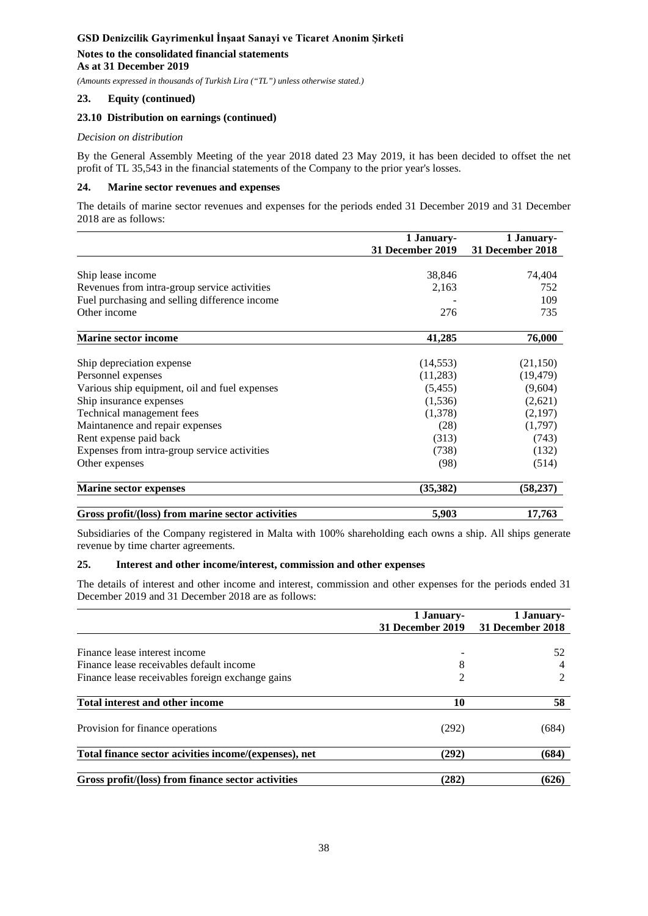# **Notes to the consolidated financial statements As at 31 December 2019**

*(Amounts expressed in thousands of Turkish Lira ("TL") unless otherwise stated.)*

### **23. Equity (continued)**

### **23.10 Distribution on earnings (continued)**

#### *Decision on distribution*

By the General Assembly Meeting of the year 2018 dated 23 May 2019, it has been decided to offset the net profit of TL 35,543 in the financial statements of the Company to the prior year's losses.

### **24. Marine sector revenues and expenses**

The details of marine sector revenues and expenses for the periods ended 31 December 2019 and 31 December 2018 are as follows:

|                                                   | 1 January-       | 1 January-       |
|---------------------------------------------------|------------------|------------------|
|                                                   | 31 December 2019 | 31 December 2018 |
|                                                   |                  |                  |
| Ship lease income                                 | 38,846           | 74,404           |
| Revenues from intra-group service activities      | 2,163            | 752              |
| Fuel purchasing and selling difference income     |                  | 109              |
| Other income                                      | 276              | 735              |
| <b>Marine sector income</b>                       | 41,285           | 76,000           |
|                                                   |                  |                  |
| Ship depreciation expense                         | (14, 553)        | (21, 150)        |
| Personnel expenses                                | (11,283)         | (19, 479)        |
| Various ship equipment, oil and fuel expenses     | (5, 455)         | (9,604)          |
| Ship insurance expenses                           | (1, 536)         | (2,621)          |
| Technical management fees                         | (1,378)          | (2,197)          |
| Maintanence and repair expenses                   | (28)             | (1,797)          |
| Rent expense paid back                            | (313)            | (743)            |
| Expenses from intra-group service activities      | (738)            | (132)            |
| Other expenses                                    | (98)             | (514)            |
| <b>Marine sector expenses</b>                     | (35, 382)        | (58, 237)        |
| Gross profit/(loss) from marine sector activities | 5,903            | 17,763           |

Subsidiaries of the Company registered in Malta with 100% shareholding each owns a ship. All ships generate revenue by time charter agreements.

### **25. Interest and other income/interest, commission and other expenses**

The details of interest and other income and interest, commission and other expenses for the periods ended 31 December 2019 and 31 December 2018 are as follows:

|                                                       | 1 January-<br>31 December 2019 | 1 January-<br>31 December 2018 |
|-------------------------------------------------------|--------------------------------|--------------------------------|
|                                                       |                                |                                |
| Finance lease interest income                         |                                | 52                             |
| Finance lease receivables default income              | 8                              |                                |
| Finance lease receivables foreign exchange gains      | $\overline{c}$                 | 2                              |
| Total interest and other income                       | 10                             | 58                             |
| Provision for finance operations                      | (292)                          | (684)                          |
| Total finance sector acivities income/(expenses), net | (292)                          | (684)                          |
| Gross profit/(loss) from finance sector activities    | (282)                          | (626)                          |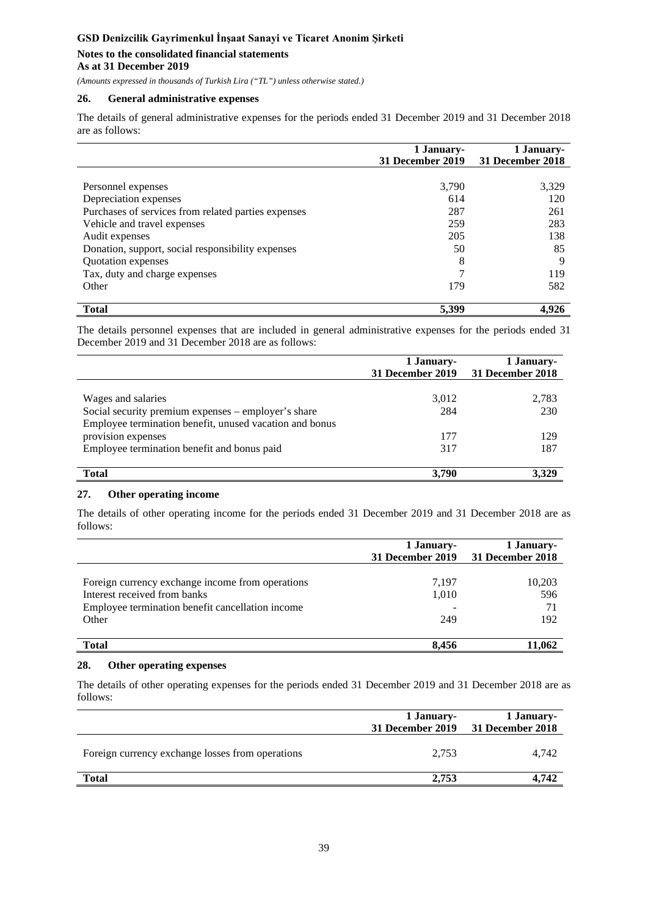### **Notes to the consolidated financial statements As at 31 December 2019**

*(Amounts expressed in thousands of Turkish Lira ("TL") unless otherwise stated.)*

### **26. General administrative expenses**

The details of general administrative expenses for the periods ended 31 December 2019 and 31 December 2018 are as follows:

|                                                     | 1 January-<br>31 December 2019 | 1 January-<br>31 December 2018 |
|-----------------------------------------------------|--------------------------------|--------------------------------|
|                                                     |                                |                                |
| Personnel expenses                                  | 3,790                          | 3,329                          |
| Depreciation expenses                               | 614                            | 120                            |
| Purchases of services from related parties expenses | 287                            | 261                            |
| Vehicle and travel expenses                         | 259                            | 283                            |
| Audit expenses                                      | 205                            | 138                            |
| Donation, support, social responsibility expenses   | 50                             | 85                             |
| Quotation expenses                                  | 8                              | 9                              |
| Tax, duty and charge expenses                       | 7                              | 119                            |
| Other                                               | 179                            | 582                            |
| <b>Total</b>                                        | 5,399                          | 4.926                          |

The details personnel expenses that are included in general administrative expenses for the periods ended 31 December 2019 and 31 December 2018 are as follows:

|                                                                                                                                                                                                           | 1 January-<br>31 December 2019 | 1 January-<br>31 December 2018 |
|-----------------------------------------------------------------------------------------------------------------------------------------------------------------------------------------------------------|--------------------------------|--------------------------------|
| Wages and salaries<br>Social security premium expenses – employer's share<br>Employee termination benefit, unused vacation and bonus<br>provision expenses<br>Employee termination benefit and bonus paid | 3,012<br>284<br>177<br>317     | 2,783<br>230<br>129<br>187     |
| <b>Total</b>                                                                                                                                                                                              | 3.790                          |                                |

### **27. Other operating income**

The details of other operating income for the periods ended 31 December 2019 and 31 December 2018 are as follows:

|                                                                                                                                               | 1 January-<br>31 December 2019 | 1 January-<br>31 December 2018 |
|-----------------------------------------------------------------------------------------------------------------------------------------------|--------------------------------|--------------------------------|
| Foreign currency exchange income from operations<br>Interest received from banks<br>Employee termination benefit cancellation income<br>Other | 7,197<br>1,010<br>249          | 10,203<br>596<br>71<br>192     |
| <b>Total</b>                                                                                                                                  | 8.456                          | 11.062                         |

### **28. Other operating expenses**

The details of other operating expenses for the periods ended 31 December 2019 and 31 December 2018 are as follows:

|                                                  | 1 January- | 1 January-<br>31 December 2019 31 December 2018 |
|--------------------------------------------------|------------|-------------------------------------------------|
| Foreign currency exchange losses from operations | 2,753      | 4.742                                           |
| <b>Total</b>                                     | 2.753      | 4.742                                           |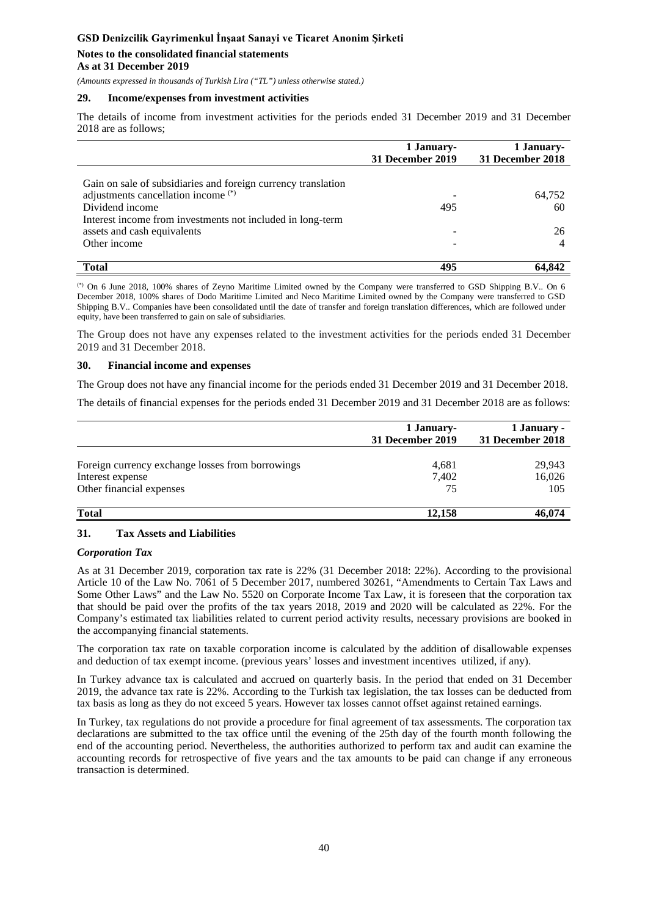### **Notes to the consolidated financial statements As at 31 December 2019**

*(Amounts expressed in thousands of Turkish Lira ("TL") unless otherwise stated.)*

#### **29. Income/expenses from investment activities**

The details of income from investment activities for the periods ended 31 December 2019 and 31 December 2018 are as follows;

|                                                               | 1 January-<br>31 December 2019 | 1 January-<br>31 December 2018 |
|---------------------------------------------------------------|--------------------------------|--------------------------------|
|                                                               |                                |                                |
| Gain on sale of subsidiaries and foreign currency translation |                                |                                |
| adjustments cancellation income <sup>(*)</sup>                |                                | 64,752                         |
| Dividend income                                               | 495                            | 60                             |
| Interest income from investments not included in long-term    |                                |                                |
| assets and cash equivalents                                   |                                | 26                             |
| Other income                                                  |                                |                                |
|                                                               |                                |                                |
| <b>Total</b>                                                  | 495                            | 64.842                         |

(\*) On 6 June 2018, 100% shares of Zeyno Maritime Limited owned by the Company were transferred to GSD Shipping B.V.. On 6 December 2018, 100% shares of Dodo Maritime Limited and Neco Maritime Limited owned by the Company were transferred to GSD Shipping B.V.. Companies have been consolidated until the date of transfer and foreign translation differences, which are followed under equity, have been transferred to gain on sale of subsidiaries.

The Group does not have any expenses related to the investment activities for the periods ended 31 December 2019 and 31 December 2018.

#### **30. Financial income and expenses**

The Group does not have any financial income for the periods ended 31 December 2019 and 31 December 2018.

The details of financial expenses for the periods ended 31 December 2019 and 31 December 2018 are as follows:

|                                                                      | 1 January-<br>31 December 2019 | 1 January -<br>31 December 2018 |
|----------------------------------------------------------------------|--------------------------------|---------------------------------|
|                                                                      |                                |                                 |
| Foreign currency exchange losses from borrowings<br>Interest expense | 4,681<br>7,402                 | 29,943<br>16,026                |
| Other financial expenses                                             | 75                             | 105                             |
| <b>Total</b>                                                         | 12,158                         | 46,074                          |

### **31. Tax Assets and Liabilities**

### *Corporation Tax*

As at 31 December 2019, corporation tax rate is 22% (31 December 2018: 22%). According to the provisional Article 10 of the Law No. 7061 of 5 December 2017, numbered 30261, "Amendments to Certain Tax Laws and Some Other Laws" and the Law No. 5520 on Corporate Income Tax Law, it is foreseen that the corporation tax that should be paid over the profits of the tax years 2018, 2019 and 2020 will be calculated as 22%. For the Company's estimated tax liabilities related to current period activity results, necessary provisions are booked in the accompanying financial statements.

The corporation tax rate on taxable corporation income is calculated by the addition of disallowable expenses and deduction of tax exempt income. (previous years' losses and investment incentives utilized, if any).

In Turkey advance tax is calculated and accrued on quarterly basis. In the period that ended on 31 December 2019, the advance tax rate is 22%. According to the Turkish tax legislation, the tax losses can be deducted from tax basis as long as they do not exceed 5 years. However tax losses cannot offset against retained earnings.

In Turkey, tax regulations do not provide a procedure for final agreement of tax assessments. The corporation tax declarations are submitted to the tax office until the evening of the 25th day of the fourth month following the end of the accounting period. Nevertheless, the authorities authorized to perform tax and audit can examine the accounting records for retrospective of five years and the tax amounts to be paid can change if any erroneous transaction is determined.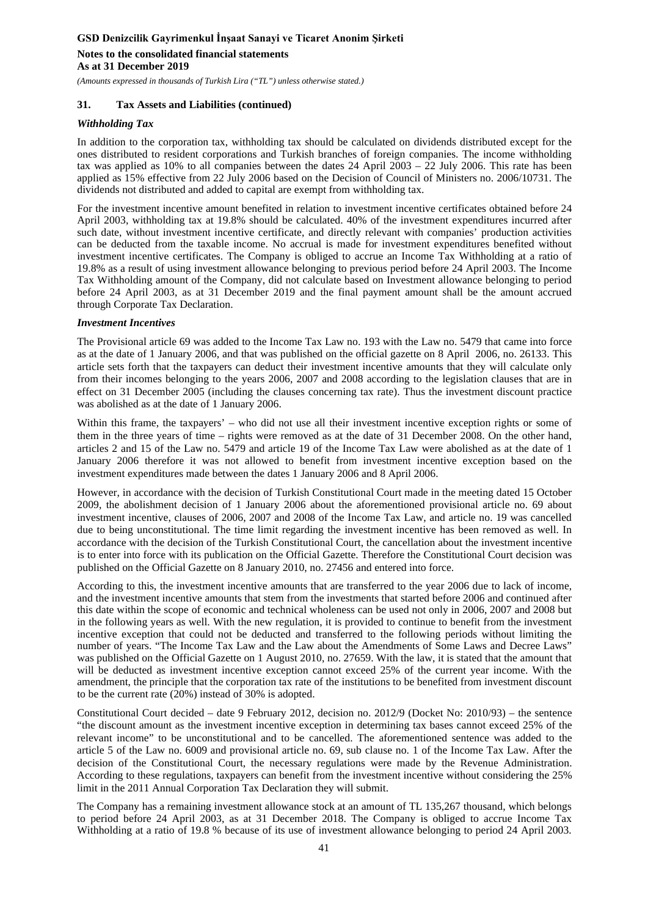**Notes to the consolidated financial statements As at 31 December 2019**

*(Amounts expressed in thousands of Turkish Lira ("TL") unless otherwise stated.)*

### **31. Tax Assets and Liabilities (continued)**

#### *Withholding Tax*

In addition to the corporation tax, withholding tax should be calculated on dividends distributed except for the ones distributed to resident corporations and Turkish branches of foreign companies. The income withholding tax was applied as 10% to all companies between the dates  $24$  April  $2003 - 22$  July 2006. This rate has been applied as 15% effective from 22 July 2006 based on the Decision of Council of Ministers no. 2006/10731. The dividends not distributed and added to capital are exempt from withholding tax.

For the investment incentive amount benefited in relation to investment incentive certificates obtained before 24 April 2003, withholding tax at 19.8% should be calculated. 40% of the investment expenditures incurred after such date, without investment incentive certificate, and directly relevant with companies' production activities can be deducted from the taxable income. No accrual is made for investment expenditures benefited without investment incentive certificates. The Company is obliged to accrue an Income Tax Withholding at a ratio of 19.8% as a result of using investment allowance belonging to previous period before 24 April 2003. The Income Tax Withholding amount of the Company, did not calculate based on Investment allowance belonging to period before 24 April 2003, as at 31 December 2019 and the final payment amount shall be the amount accrued through Corporate Tax Declaration.

#### *Investment Incentives*

The Provisional article 69 was added to the Income Tax Law no. 193 with the Law no. 5479 that came into force as at the date of 1 January 2006, and that was published on the official gazette on 8 April 2006, no. 26133. This article sets forth that the taxpayers can deduct their investment incentive amounts that they will calculate only from their incomes belonging to the years 2006, 2007 and 2008 according to the legislation clauses that are in effect on 31 December 2005 (including the clauses concerning tax rate). Thus the investment discount practice was abolished as at the date of 1 January 2006.

Within this frame, the taxpayers' – who did not use all their investment incentive exception rights or some of them in the three years of time – rights were removed as at the date of 31 December 2008. On the other hand, articles 2 and 15 of the Law no. 5479 and article 19 of the Income Tax Law were abolished as at the date of 1 January 2006 therefore it was not allowed to benefit from investment incentive exception based on the investment expenditures made between the dates 1 January 2006 and 8 April 2006.

However, in accordance with the decision of Turkish Constitutional Court made in the meeting dated 15 October 2009, the abolishment decision of 1 January 2006 about the aforementioned provisional article no. 69 about investment incentive, clauses of 2006, 2007 and 2008 of the Income Tax Law, and article no. 19 was cancelled due to being unconstitutional. The time limit regarding the investment incentive has been removed as well. In accordance with the decision of the Turkish Constitutional Court, the cancellation about the investment incentive is to enter into force with its publication on the Official Gazette. Therefore the Constitutional Court decision was published on the Official Gazette on 8 January 2010, no. 27456 and entered into force.

According to this, the investment incentive amounts that are transferred to the year 2006 due to lack of income, and the investment incentive amounts that stem from the investments that started before 2006 and continued after this date within the scope of economic and technical wholeness can be used not only in 2006, 2007 and 2008 but in the following years as well. With the new regulation, it is provided to continue to benefit from the investment incentive exception that could not be deducted and transferred to the following periods without limiting the number of years. "The Income Tax Law and the Law about the Amendments of Some Laws and Decree Laws" was published on the Official Gazette on 1 August 2010, no. 27659. With the law, it is stated that the amount that will be deducted as investment incentive exception cannot exceed 25% of the current year income. With the amendment, the principle that the corporation tax rate of the institutions to be benefited from investment discount to be the current rate (20%) instead of 30% is adopted.

Constitutional Court decided – date 9 February 2012, decision no. 2012/9 (Docket No: 2010/93) – the sentence "the discount amount as the investment incentive exception in determining tax bases cannot exceed 25% of the relevant income" to be unconstitutional and to be cancelled. The aforementioned sentence was added to the article 5 of the Law no. 6009 and provisional article no. 69, sub clause no. 1 of the Income Tax Law. After the decision of the Constitutional Court, the necessary regulations were made by the Revenue Administration. According to these regulations, taxpayers can benefit from the investment incentive without considering the 25% limit in the 2011 Annual Corporation Tax Declaration they will submit.

The Company has a remaining investment allowance stock at an amount of TL 135,267 thousand, which belongs to period before 24 April 2003, as at 31 December 2018. The Company is obliged to accrue Income Tax Withholding at a ratio of 19.8 % because of its use of investment allowance belonging to period 24 April 2003.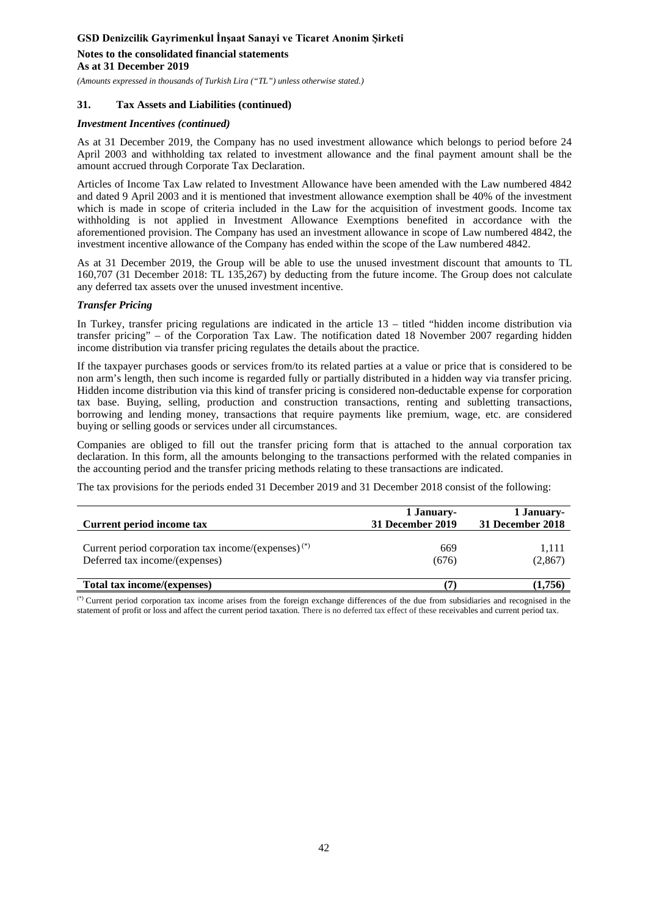# **Notes to the consolidated financial statements As at 31 December 2019**

*(Amounts expressed in thousands of Turkish Lira ("TL") unless otherwise stated.)*

### **31. Tax Assets and Liabilities (continued)**

#### *Investment Incentives (continued)*

As at 31 December 2019, the Company has no used investment allowance which belongs to period before 24 April 2003 and withholding tax related to investment allowance and the final payment amount shall be the amount accrued through Corporate Tax Declaration.

Articles of Income Tax Law related to Investment Allowance have been amended with the Law numbered 4842 and dated 9 April 2003 and it is mentioned that investment allowance exemption shall be 40% of the investment which is made in scope of criteria included in the Law for the acquisition of investment goods. Income tax withholding is not applied in Investment Allowance Exemptions benefited in accordance with the aforementioned provision. The Company has used an investment allowance in scope of Law numbered 4842, the investment incentive allowance of the Company has ended within the scope of the Law numbered 4842.

As at 31 December 2019, the Group will be able to use the unused investment discount that amounts to TL 160,707 (31 December 2018: TL 135,267) by deducting from the future income. The Group does not calculate any deferred tax assets over the unused investment incentive.

#### *Transfer Pricing*

In Turkey, transfer pricing regulations are indicated in the article 13 – titled "hidden income distribution via transfer pricing" – of the Corporation Tax Law. The notification dated 18 November 2007 regarding hidden income distribution via transfer pricing regulates the details about the practice.

If the taxpayer purchases goods or services from/to its related parties at a value or price that is considered to be non arm's length, then such income is regarded fully or partially distributed in a hidden way via transfer pricing. Hidden income distribution via this kind of transfer pricing is considered non-deductable expense for corporation tax base. Buying, selling, production and construction transactions, renting and subletting transactions, borrowing and lending money, transactions that require payments like premium, wage, etc. are considered buying or selling goods or services under all circumstances.

Companies are obliged to fill out the transfer pricing form that is attached to the annual corporation tax declaration. In this form, all the amounts belonging to the transactions performed with the related companies in the accounting period and the transfer pricing methods relating to these transactions are indicated.

The tax provisions for the periods ended 31 December 2019 and 31 December 2018 consist of the following:

| Current period income tax                                       | 1 January-<br>31 December 2019 | 1 January-<br>31 December 2018 |  |
|-----------------------------------------------------------------|--------------------------------|--------------------------------|--|
|                                                                 |                                |                                |  |
| Current period corporation tax income/(expenses) <sup>(*)</sup> | 669                            | 1.111                          |  |
| Deferred tax income/(expenses)                                  | (676)                          | (2,867)                        |  |
| Total tax income/(expenses)                                     |                                | (1,756)                        |  |

(\*) Current period corporation tax income arises from the foreign exchange differences of the due from subsidiaries and recognised in the statement of profit or loss and affect the current period taxation. There is no deferred tax effect of these receivables and current period tax.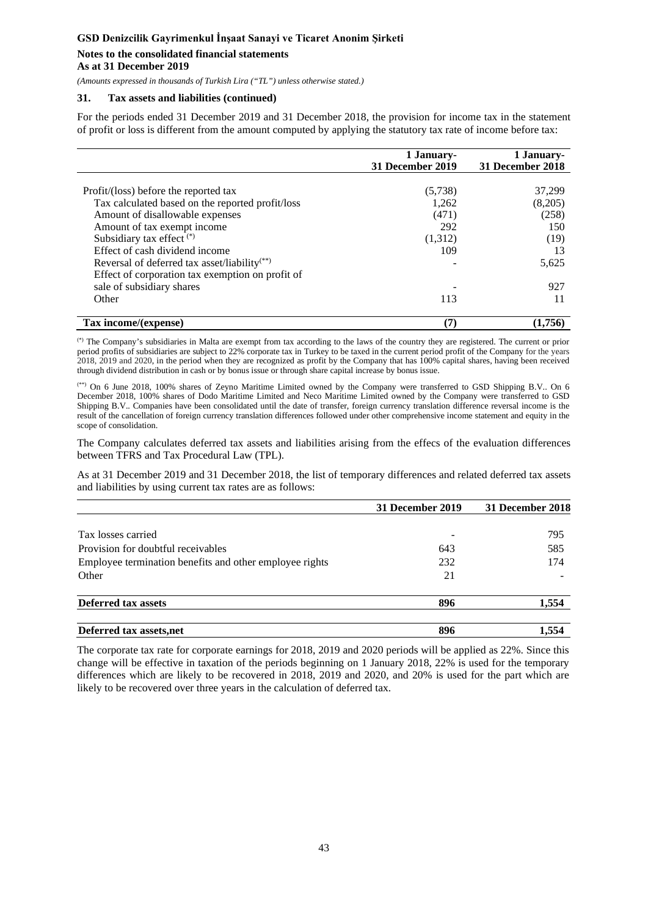### **Notes to the consolidated financial statements As at 31 December 2019**

*(Amounts expressed in thousands of Turkish Lira ("TL") unless otherwise stated.)*

### **31. Tax assets and liabilities (continued)**

For the periods ended 31 December 2019 and 31 December 2018, the provision for income tax in the statement of profit or loss is different from the amount computed by applying the statutory tax rate of income before tax:

|                                                          | 1 January-<br>31 December 2019 | 1 January-<br>31 December 2018 |
|----------------------------------------------------------|--------------------------------|--------------------------------|
|                                                          |                                |                                |
| Profit/(loss) before the reported tax                    | (5,738)                        | 37,299                         |
| Tax calculated based on the reported profit/loss         | 1,262                          | (8,205)                        |
| Amount of disallowable expenses                          | (471)                          | (258)                          |
| Amount of tax exempt income                              | 292                            | 150                            |
| Subsidiary tax effect $(*)$                              | (1,312)                        | (19)                           |
| Effect of cash dividend income                           | 109                            | 13                             |
| Reversal of deferred tax asset/liability <sup>(**)</sup> |                                | 5,625                          |
| Effect of corporation tax exemption on profit of         |                                |                                |
| sale of subsidiary shares                                |                                | 927                            |
| Other                                                    | 113                            | 11                             |
|                                                          |                                |                                |
| Tax income/(expense)                                     | (7)                            | (1.756)                        |

(\*) The Company's subsidiaries in Malta are exempt from tax according to the laws of the country they are registered. The current or prior period profits of subsidiaries are subject to 22% corporate tax in Turkey to be taxed in the current period profit of the Company for the years 2018, 2019 and 2020, in the period when they are recognized as profit by the Company that has 100% capital shares, having been received through dividend distribution in cash or by bonus issue or through share capital increase by bonus issue.

(\*\*) On 6 June 2018, 100% shares of Zeyno Maritime Limited owned by the Company were transferred to GSD Shipping B.V.. On 6 December 2018, 100% shares of Dodo Maritime Limited and Neco Maritime Limited owned by the Company were transferred to GSD Shipping B.V.. Companies have been consolidated until the date of transfer, foreign currency translation difference reversal income is the result of the cancellation of foreign currency translation differences followed under other comprehensive income statement and equity in the scope of consolidation.

The Company calculates deferred tax assets and liabilities arising from the effecs of the evaluation differences between TFRS and Tax Procedural Law (TPL).

As at 31 December 2019 and 31 December 2018, the list of temporary differences and related deferred tax assets and liabilities by using current tax rates are as follows:

|                                                         | 31 December 2019 | 31 December 2018 |  |
|---------------------------------------------------------|------------------|------------------|--|
|                                                         |                  |                  |  |
| Tax losses carried                                      |                  | 795              |  |
| Provision for doubtful receivables                      | 643              | 585              |  |
| Employee termination benefits and other employee rights | 232              | 174              |  |
| Other                                                   | 21               |                  |  |
| <b>Deferred tax assets</b>                              | 896              | 1.554            |  |
| Deferred tax assets, net                                | 896              | 1.554            |  |

The corporate tax rate for corporate earnings for 2018, 2019 and 2020 periods will be applied as 22%. Since this change will be effective in taxation of the periods beginning on 1 January 2018, 22% is used for the temporary differences which are likely to be recovered in 2018, 2019 and 2020, and 20% is used for the part which are likely to be recovered over three years in the calculation of deferred tax.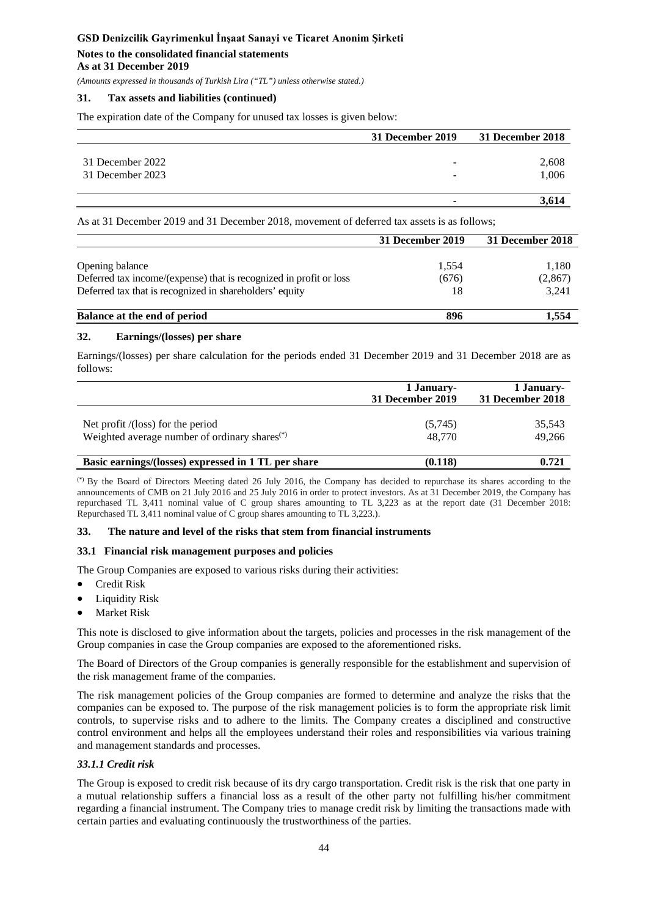### **Notes to the consolidated financial statements As at 31 December 2019**

*(Amounts expressed in thousands of Turkish Lira ("TL") unless otherwise stated.)*

### **31. Tax assets and liabilities (continued)**

The expiration date of the Company for unused tax losses is given below:

|                  | 31 December 2019         | 31 December 2018 |
|------------------|--------------------------|------------------|
| 31 December 2022 | -                        | 2,608            |
| 31 December 2023 | $\overline{\phantom{0}}$ | 1,006            |
|                  |                          | 3.614            |

As at 31 December 2019 and 31 December 2018, movement of deferred tax assets is as follows;

|                                                                    | 31 December 2019 | 31 December 2018 |
|--------------------------------------------------------------------|------------------|------------------|
|                                                                    |                  |                  |
| Opening balance                                                    | 1,554            | 1,180            |
| Deferred tax income/(expense) that is recognized in profit or loss | (676)            | (2,867)          |
| Deferred tax that is recognized in shareholders' equity            | 18               | 3,241            |
| Balance at the end of period                                       | 896              | l.554            |

### **32. Earnings/(losses) per share**

Earnings/(losses) per share calculation for the periods ended 31 December 2019 and 31 December 2018 are as follows:

|                                                                                                | 1 January-<br>31 December 2019 | 1 January-<br>31 December 2018 |  |
|------------------------------------------------------------------------------------------------|--------------------------------|--------------------------------|--|
| Net profit /(loss) for the period<br>Weighted average number of ordinary shares <sup>(*)</sup> | (5,745)<br>48,770              | 35,543<br>49.266               |  |
| Basic earnings/(losses) expressed in 1 TL per share                                            | (0.118)                        | 0.721                          |  |

(\*) By the Board of Directors Meeting dated 26 July 2016, the Company has decided to repurchase its shares according to the announcements of CMB on 21 July 2016 and 25 July 2016 in order to protect investors. As at 31 December 2019, the Company has repurchased TL 3,411 nominal value of C group shares amounting to TL 3,223 as at the report date (31 December 2018: Repurchased TL 3,411 nominal value of C group shares amounting to TL 3,223.).

### **33. The nature and level of the risks that stem from financial instruments**

### **33.1 Financial risk management purposes and policies**

The Group Companies are exposed to various risks during their activities:

- Credit Risk
- Liquidity Risk
- **Market Risk**

This note is disclosed to give information about the targets, policies and processes in the risk management of the Group companies in case the Group companies are exposed to the aforementioned risks.

The Board of Directors of the Group companies is generally responsible for the establishment and supervision of the risk management frame of the companies.

The risk management policies of the Group companies are formed to determine and analyze the risks that the companies can be exposed to. The purpose of the risk management policies is to form the appropriate risk limit controls, to supervise risks and to adhere to the limits. The Company creates a disciplined and constructive control environment and helps all the employees understand their roles and responsibilities via various training and management standards and processes.

### *33.1.1 Credit risk*

The Group is exposed to credit risk because of its dry cargo transportation. Credit risk is the risk that one party in a mutual relationship suffers a financial loss as a result of the other party not fulfilling his/her commitment regarding a financial instrument. The Company tries to manage credit risk by limiting the transactions made with certain parties and evaluating continuously the trustworthiness of the parties.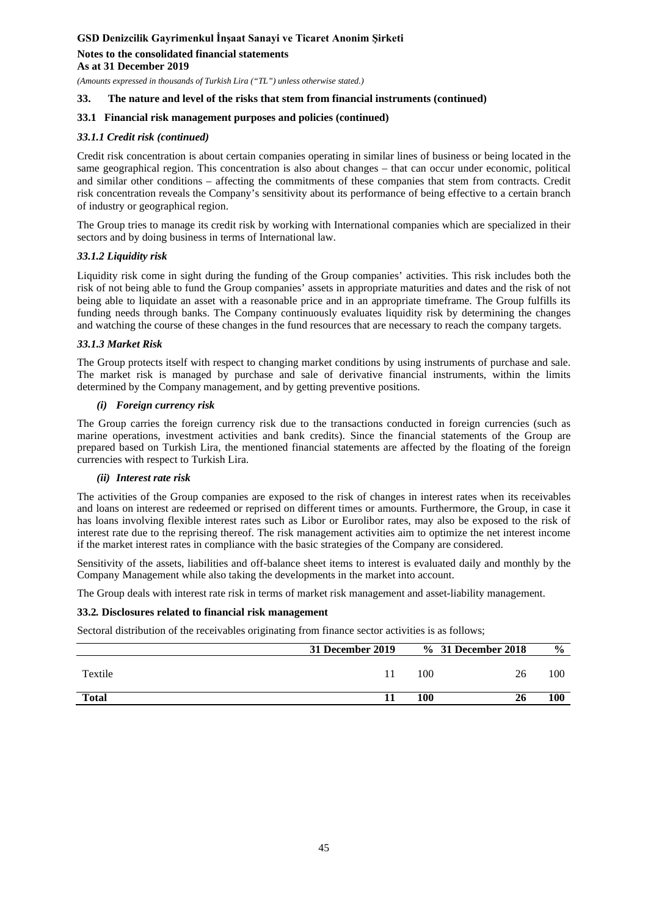**Notes to the consolidated financial statements As at 31 December 2019**

*(Amounts expressed in thousands of Turkish Lira ("TL") unless otherwise stated.)*

### **33. The nature and level of the risks that stem from financial instruments (continued)**

### **33.1 Financial risk management purposes and policies (continued)**

### *33.1.1 Credit risk (continued)*

Credit risk concentration is about certain companies operating in similar lines of business or being located in the same geographical region. This concentration is also about changes – that can occur under economic, political and similar other conditions – affecting the commitments of these companies that stem from contracts. Credit risk concentration reveals the Company's sensitivity about its performance of being effective to a certain branch of industry or geographical region.

The Group tries to manage its credit risk by working with International companies which are specialized in their sectors and by doing business in terms of International law.

### *33.1.2 Liquidity risk*

Liquidity risk come in sight during the funding of the Group companies' activities. This risk includes both the risk of not being able to fund the Group companies' assets in appropriate maturities and dates and the risk of not being able to liquidate an asset with a reasonable price and in an appropriate timeframe. The Group fulfills its funding needs through banks. The Company continuously evaluates liquidity risk by determining the changes and watching the course of these changes in the fund resources that are necessary to reach the company targets.

#### *33.1.3 Market Risk*

The Group protects itself with respect to changing market conditions by using instruments of purchase and sale. The market risk is managed by purchase and sale of derivative financial instruments, within the limits determined by the Company management, and by getting preventive positions.

#### *(i) Foreign currency risk*

The Group carries the foreign currency risk due to the transactions conducted in foreign currencies (such as marine operations, investment activities and bank credits). Since the financial statements of the Group are prepared based on Turkish Lira, the mentioned financial statements are affected by the floating of the foreign currencies with respect to Turkish Lira.

#### *(ii) Interest rate risk*

The activities of the Group companies are exposed to the risk of changes in interest rates when its receivables and loans on interest are redeemed or reprised on different times or amounts. Furthermore, the Group, in case it has loans involving flexible interest rates such as Libor or Eurolibor rates, may also be exposed to the risk of interest rate due to the reprising thereof. The risk management activities aim to optimize the net interest income if the market interest rates in compliance with the basic strategies of the Company are considered.

Sensitivity of the assets, liabilities and off-balance sheet items to interest is evaluated daily and monthly by the Company Management while also taking the developments in the market into account.

The Group deals with interest rate risk in terms of market risk management and asset-liability management.

#### **33.2***.* **Disclosures related to financial risk management**

Sectoral distribution of the receivables originating from finance sector activities is as follows;

|              | 31 December 2019 |     | % 31 December 2018 | $\frac{6}{9}$ |
|--------------|------------------|-----|--------------------|---------------|
| Textile      |                  | 100 | 26                 | 100           |
| <b>Total</b> |                  | 100 |                    | 100           |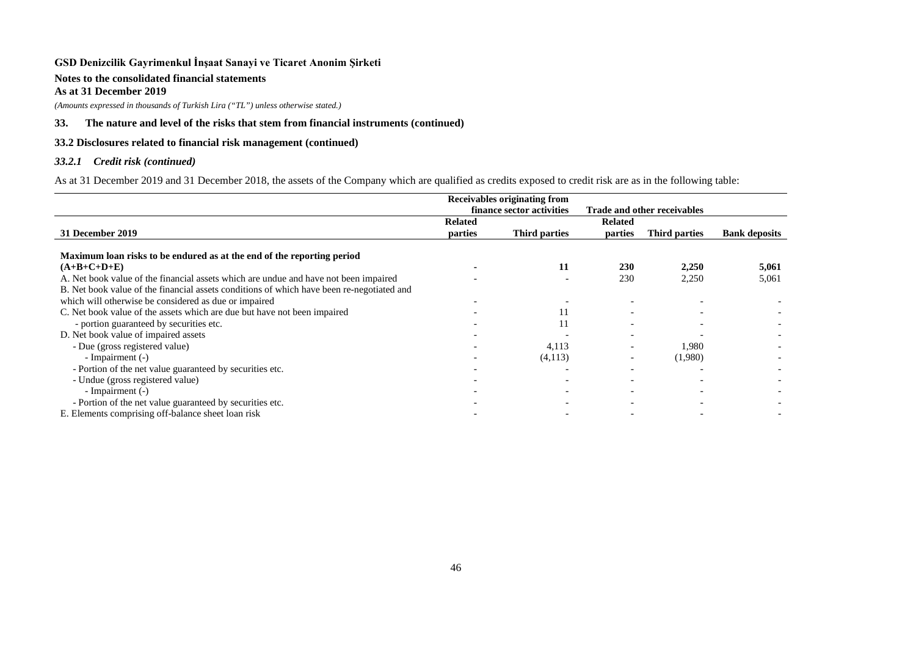#### **Notes to the consolidated financial statements As at 31 December 2019**

*(Amounts expressed in thousands of Turkish Lira ("TL") unless otherwise stated.)*

### **33. The nature and level of the risks that stem from financial instruments (continued)**

### **33.2 Disclosures related to financial risk management (continued)**

### *33.2.1 Credit risk (continued)*

As at 31 December 2019 and 31 December 2018, the assets of the Company which are qualified as credits exposed to credit risk are as in the following table:

|                                                                                           | Receivables originating from |               |                                    |               |                      |
|-------------------------------------------------------------------------------------------|------------------------------|---------------|------------------------------------|---------------|----------------------|
|                                                                                           | finance sector activities    |               | <b>Trade and other receivables</b> |               |                      |
|                                                                                           | <b>Related</b>               |               | <b>Related</b>                     |               |                      |
| 31 December 2019                                                                          | parties                      | Third parties | parties                            | Third parties | <b>Bank deposits</b> |
|                                                                                           |                              |               |                                    |               |                      |
| Maximum loan risks to be endured as at the end of the reporting period                    |                              |               |                                    |               |                      |
| $(A+B+C+D+E)$                                                                             |                              | 11            | 230                                | 2,250         | 5,061                |
| A. Net book value of the financial assets which are undue and have not been impaired      |                              |               | 230                                | 2,250         | 5,061                |
| B. Net book value of the financial assets conditions of which have been re-negotiated and |                              |               |                                    |               |                      |
| which will otherwise be considered as due or impaired                                     |                              |               |                                    |               |                      |
| C. Net book value of the assets which are due but have not been impaired                  |                              |               |                                    |               |                      |
| - portion guaranteed by securities etc.                                                   |                              |               |                                    |               |                      |
| D. Net book value of impaired assets                                                      |                              |               |                                    |               |                      |
| - Due (gross registered value)                                                            |                              | 4,113         |                                    | 1,980         |                      |
| - Impairment (-)                                                                          |                              | (4,113)       |                                    | (1,980)       |                      |
| - Portion of the net value guaranteed by securities etc.                                  |                              |               | $\overline{\phantom{0}}$           |               |                      |
| - Undue (gross registered value)                                                          |                              |               |                                    |               |                      |
| - Impairment (-)                                                                          |                              |               |                                    |               |                      |
| - Portion of the net value guaranteed by securities etc.                                  |                              |               |                                    |               |                      |
| E. Elements comprising off-balance sheet loan risk                                        |                              |               |                                    |               |                      |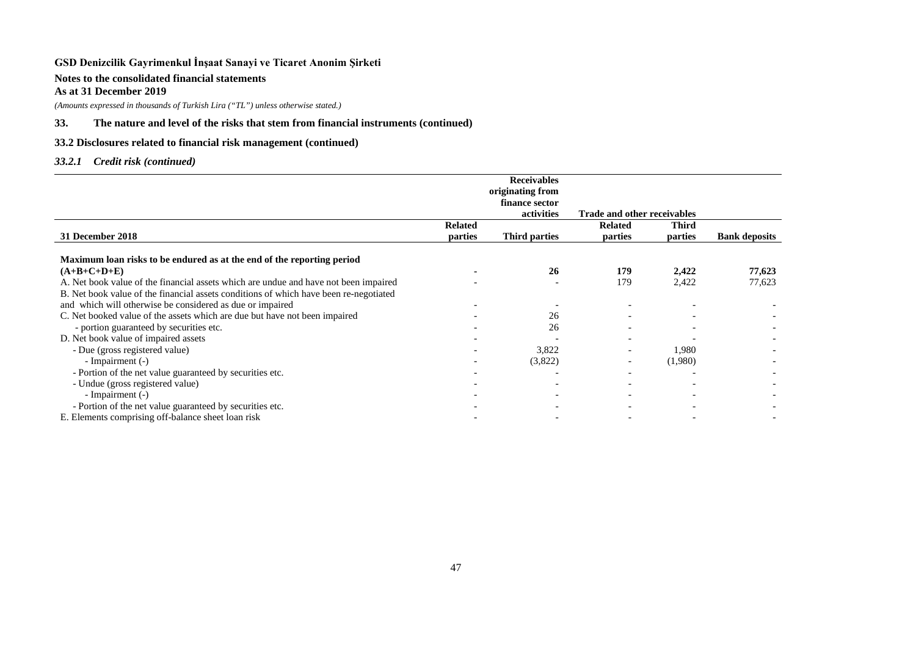### **Notes to the consolidated financial statements As at 31 December 2019**

*(Amounts expressed in thousands of Turkish Lira ("TL") unless otherwise stated.)*

### **33. The nature and level of the risks that stem from financial instruments (continued)**

### **33.2 Disclosures related to financial risk management (continued)**

### *33.2.1 Credit risk (continued)*

|                                                                                       |                | <b>Receivables</b> |                                    |              |                      |
|---------------------------------------------------------------------------------------|----------------|--------------------|------------------------------------|--------------|----------------------|
|                                                                                       |                | originating from   |                                    |              |                      |
|                                                                                       |                | finance sector     |                                    |              |                      |
|                                                                                       |                | activities         | <b>Trade and other receivables</b> |              |                      |
|                                                                                       | <b>Related</b> |                    | <b>Related</b>                     | <b>Third</b> |                      |
| 31 December 2018                                                                      | parties        | Third parties      | parties                            | parties      | <b>Bank deposits</b> |
| Maximum loan risks to be endured as at the end of the reporting period                |                |                    |                                    |              |                      |
| $(A+B+C+D+E)$                                                                         |                | 26                 | 179                                | 2,422        | 77,623               |
| A. Net book value of the financial assets which are undue and have not been impaired  |                |                    | 179                                | 2,422        | 77,623               |
| B. Net book value of the financial assets conditions of which have been re-negotiated |                |                    |                                    |              |                      |
| and which will otherwise be considered as due or impaired                             |                |                    |                                    |              |                      |
| C. Net booked value of the assets which are due but have not been impaired            |                | 26                 |                                    |              |                      |
| - portion guaranteed by securities etc.                                               |                | 26                 |                                    |              |                      |
| D. Net book value of impaired assets                                                  |                |                    |                                    |              |                      |
| - Due (gross registered value)                                                        |                | 3,822              |                                    | 1,980        |                      |
| - Impairment (-)                                                                      |                | (3,822)            |                                    | (1,980)      |                      |
| - Portion of the net value guaranteed by securities etc.                              |                |                    |                                    |              |                      |
| - Undue (gross registered value)                                                      |                |                    |                                    |              |                      |
| - Impairment (-)                                                                      |                |                    | $\overline{\phantom{0}}$           |              |                      |
| - Portion of the net value guaranteed by securities etc.                              |                |                    |                                    |              |                      |
| E. Elements comprising off-balance sheet loan risk                                    |                |                    |                                    |              |                      |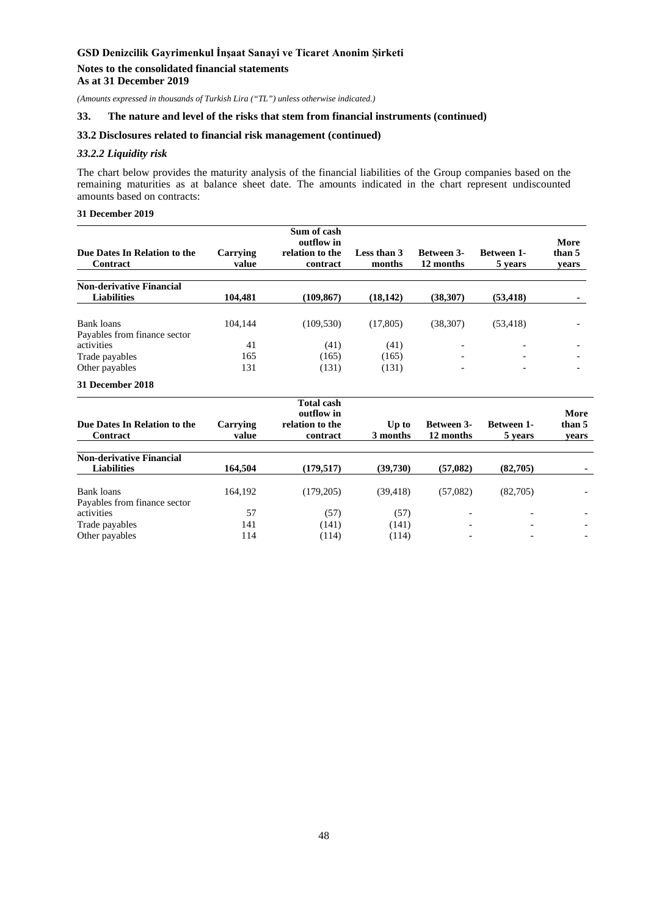#### **Notes to the consolidated financial statements As at 31 December 2019**

*(Amounts expressed in thousands of Turkish Lira ("TL") unless otherwise indicated.)*

#### **33. The nature and level of the risks that stem from financial instruments (continued)**

### **33.2 Disclosures related to financial risk management (continued)**

### *33.2.2 Liquidity risk*

The chart below provides the maturity analysis of the financial liabilities of the Group companies based on the remaining maturities as at balance sheet date. The amounts indicated in the chart represent undiscounted amounts based on contracts:

### **31 December 2019**

| Due Dates In Relation to the<br>Contract              | Carrying<br>value | Sum of cash<br>outflow in<br>relation to the<br>contract | Less than 3<br>months | <b>Between 3-</b><br>12 months | <b>Between 1-</b><br>5 years | More<br>than 5<br>vears  |
|-------------------------------------------------------|-------------------|----------------------------------------------------------|-----------------------|--------------------------------|------------------------------|--------------------------|
|                                                       |                   |                                                          |                       |                                |                              |                          |
| <b>Non-derivative Financial</b><br><b>Liabilities</b> | 104.481           | (109, 867)                                               | (18, 142)             | (38.307)                       | (53, 418)                    |                          |
|                                                       |                   |                                                          |                       |                                |                              |                          |
| Bank loans                                            | 104.144           | (109, 530)                                               | (17,805)              | (38, 307)                      | (53, 418)                    |                          |
| Payables from finance sector                          |                   |                                                          |                       |                                |                              |                          |
| activities                                            | 41                | (41)                                                     | (41)                  | $\overline{\phantom{0}}$       | $\overline{\phantom{0}}$     |                          |
| Trade payables                                        | 165               | (165)                                                    | (165)                 | $\overline{\phantom{0}}$       | $\overline{\phantom{0}}$     | $\overline{\phantom{0}}$ |
| Other payables                                        | 131               | (131)                                                    | (131)                 | $\overline{\phantom{a}}$       | $\overline{\phantom{a}}$     | $\overline{\phantom{a}}$ |
| 31 December 2018                                      |                   |                                                          |                       |                                |                              |                          |

| Due Dates In Relation to the<br>Contract              | Carrying<br>value | <b>Total cash</b><br>outflow in<br>relation to the<br>contract | Up to<br>3 months | <b>Between 3-</b><br>12 months | <b>Between 1-</b><br>5 years | More<br>than 5<br>vears |
|-------------------------------------------------------|-------------------|----------------------------------------------------------------|-------------------|--------------------------------|------------------------------|-------------------------|
| <b>Non-derivative Financial</b><br><b>Liabilities</b> | 164,504           | (179, 517)                                                     | (39,730)          | (57,082)                       | (82,705)                     |                         |
| Bank loans<br>Payables from finance sector            | 164.192           | (179, 205)                                                     | (39, 418)         | (57,082)                       | (82,705)                     |                         |
| activities                                            | 57                | (57)                                                           | (57)              | $\overline{\phantom{0}}$       | -                            |                         |
| Trade payables                                        | 141               | (141)                                                          | (141)             |                                |                              |                         |
| Other payables                                        | 114               | (114)                                                          | (114)             |                                |                              |                         |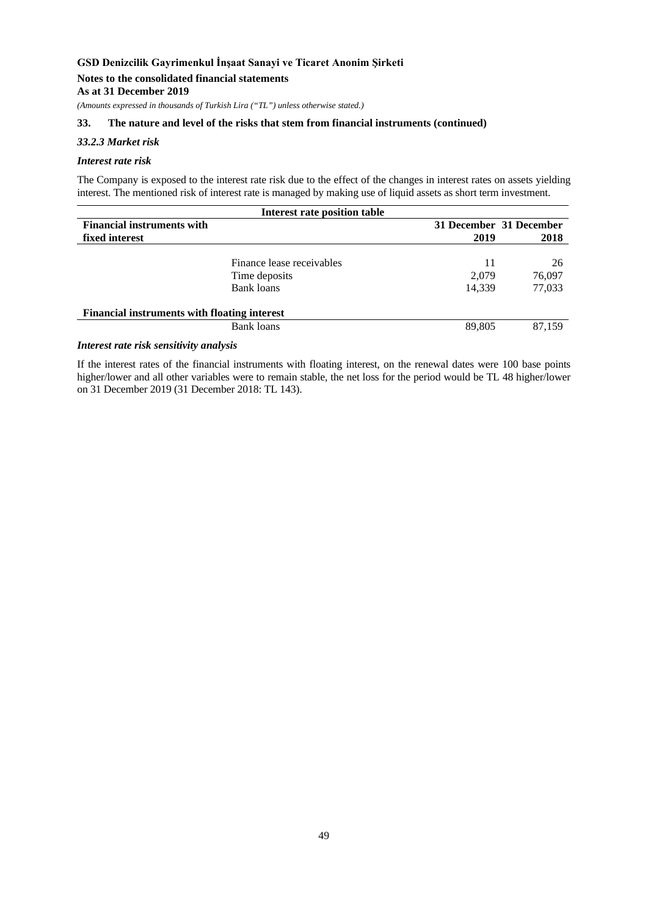### **Notes to the consolidated financial statements As at 31 December 2019**

*(Amounts expressed in thousands of Turkish Lira ("TL") unless otherwise stated.)*

### **33. The nature and level of the risks that stem from financial instruments (continued)**

### *33.2.3 Market risk*

#### *Interest rate risk*

The Company is exposed to the interest rate risk due to the effect of the changes in interest rates on assets yielding interest. The mentioned risk of interest rate is managed by making use of liquid assets as short term investment.

|                                                     | Interest rate position table |        |                         |
|-----------------------------------------------------|------------------------------|--------|-------------------------|
| <b>Financial instruments with</b>                   |                              |        | 31 December 31 December |
| fixed interest                                      |                              | 2019   | 2018                    |
|                                                     |                              |        |                         |
|                                                     | Finance lease receivables    | 11     | 26                      |
|                                                     | Time deposits                | 2,079  | 76,097                  |
|                                                     | Bank loans                   | 14.339 | 77,033                  |
| <b>Financial instruments with floating interest</b> |                              |        |                         |
|                                                     | Bank loans                   | 89,805 | 87,159                  |
|                                                     |                              |        |                         |

### *Interest rate risk sensitivity analysis*

If the interest rates of the financial instruments with floating interest, on the renewal dates were 100 base points higher/lower and all other variables were to remain stable, the net loss for the period would be TL 48 higher/lower on 31 December 2019 (31 December 2018: TL 143).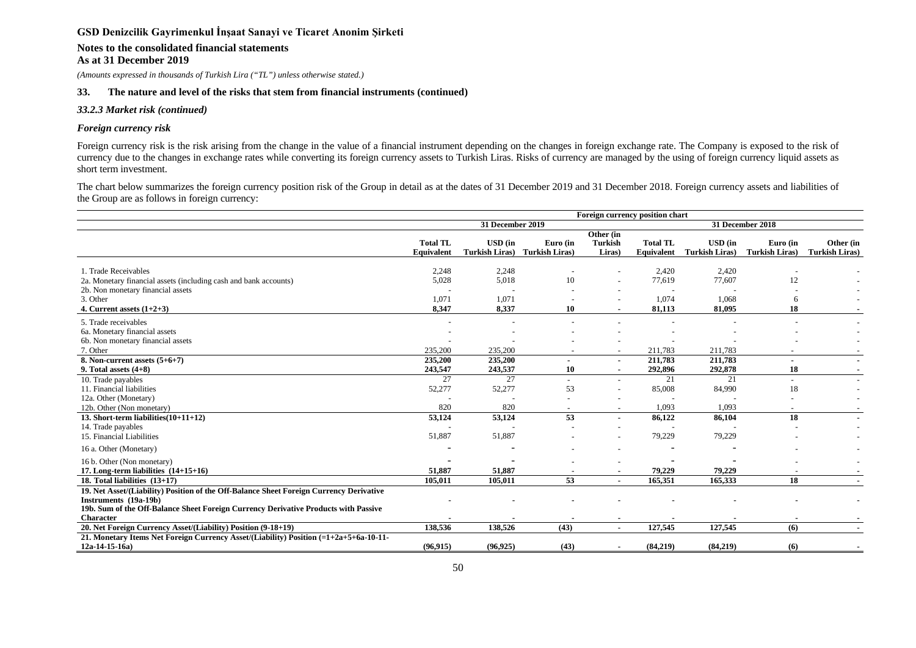# **Notes to the consolidated financial statements**

**As at 31 December 2019**

*(Amounts expressed in thousands of Turkish Lira ("TL") unless otherwise stated.)*

#### **33. The nature and level of the risks that stem from financial instruments (continued)**

#### *33.2.3 Market risk (continued)*

#### *Foreign currency risk*

Foreign currency risk is the risk arising from the change in the value of a financial instrument depending on the changes in foreign exchange rate. The Company is exposed to the risk of currency due to the changes in exchange rates while converting its foreign currency assets to Turkish Liras. Risks of currency are managed by the using of foreign currency liquid assets as short term investment.

The chart below summarizes the foreign currency position risk of the Group in detail as at the dates of 31 December 2019 and 31 December 2018. Foreign currency assets and liabilities of the Group are as follows in foreign currency:

|                                                                                                                                                                                                                             | Foreign currency position chart  |                                         |                                   |                                |                                    |                                         |                                   |                                    |
|-----------------------------------------------------------------------------------------------------------------------------------------------------------------------------------------------------------------------------|----------------------------------|-----------------------------------------|-----------------------------------|--------------------------------|------------------------------------|-----------------------------------------|-----------------------------------|------------------------------------|
|                                                                                                                                                                                                                             |                                  | 31 December 2019                        |                                   |                                |                                    |                                         | 31 December 2018                  |                                    |
|                                                                                                                                                                                                                             | <b>Total TL</b><br>Equivalent    | <b>USD</b> (in<br><b>Turkish Liras)</b> | Euro (in<br><b>Turkish Liras)</b> | Other (in<br>Turkish<br>Liras) | <b>Total TL</b><br>Equivalent      | <b>USD</b> (in<br><b>Turkish Liras)</b> | Euro (in<br><b>Turkish Liras)</b> | Other (in<br><b>Turkish Liras)</b> |
| 1. Trade Receivables<br>2a. Monetary financial assets (including cash and bank accounts)<br>2b. Non monetary financial assets<br>3. Other<br>4. Current assets $(1+2+3)$                                                    | 2.248<br>5,028<br>1,071<br>8,347 | 2,248<br>5,018<br>1,071<br>8,337        | 10<br>10                          |                                | 2.420<br>77,619<br>1,074<br>81,113 | 2.420<br>77,607<br>1,068<br>81.095      | 12<br>6<br>18                     |                                    |
| 5. Trade receivables<br>6a. Monetary financial assets<br>6b. Non monetary financial assets<br>7. Other<br>8. Non-current assets $(5+6+7)$                                                                                   | 235,200<br>235,200               | 235,200<br>235,200                      |                                   |                                | 211,783<br>211,783                 | 211,783<br>211,783                      |                                   | $\blacksquare$                     |
| 9. Total assets $(4+8)$                                                                                                                                                                                                     | 243,547<br>27                    | 243,537<br>27                           | 10                                |                                | 292,896<br>21                      | 292,878<br>21                           | 18                                |                                    |
| 10. Trade payables<br>11. Financial liabilities<br>12a. Other (Monetary)<br>12b. Other (Non monetary)                                                                                                                       | 52,277<br>820                    | 52,277<br>820                           | 53                                |                                | 85,008<br>1,093                    | 84,990<br>1.093                         | 18                                |                                    |
| $13.$ Short-term liabilities $(10+11+12)$<br>14. Trade payables<br>15. Financial Liabilities                                                                                                                                | 53,124<br>51,887                 | 53,124<br>51,887                        | 53                                |                                | 86,122<br>79,229                   | 86,104<br>79,229                        | 18                                | . .                                |
| 16 a. Other (Monetary)                                                                                                                                                                                                      |                                  |                                         |                                   |                                |                                    |                                         |                                   |                                    |
| 16 b. Other (Non monetary)<br>17. Long-term liabilities $(14+15+16)$                                                                                                                                                        | 51,887                           | 51,887                                  |                                   |                                | 79,229                             | 79,229                                  |                                   |                                    |
| 18. Total liabilities $(13+17)$                                                                                                                                                                                             | 105,011                          | 105,011                                 | 53                                |                                | 165,351                            | 165,333                                 | 18                                | $\sim$                             |
| 19. Net Asset/(Liability) Position of the Off-Balance Sheet Foreign Currency Derivative<br>Instruments (19a-19b)<br>19b. Sum of the Off-Balance Sheet Foreign Currency Derivative Products with Passive<br><b>Character</b> |                                  |                                         |                                   | $\blacksquare$                 |                                    |                                         |                                   |                                    |
| 20. Net Foreign Currency Asset/(Liability) Position (9-18+19)                                                                                                                                                               | 138,536                          | 138,526                                 | (43)                              | $\blacksquare$                 | 127,545                            | 127,545                                 | (6)                               | $\sim$                             |
| 21. Monetary Items Net Foreign Currency Asset/(Liability) Position (=1+2a+5+6a-10-11-<br>$12a-14-15-16a$                                                                                                                    | (96, 915)                        | (96, 925)                               | (43)                              |                                | (84,219)                           | (84,219)                                | (6)                               | $\blacksquare$                     |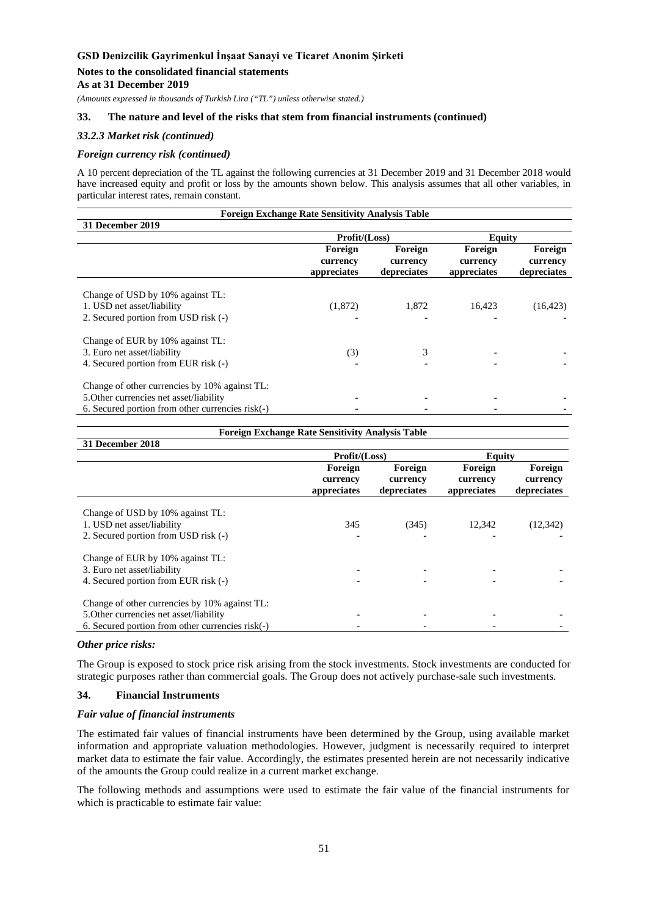### **Notes to the consolidated financial statements**

**As at 31 December 2019**

*(Amounts expressed in thousands of Turkish Lira ("TL") unless otherwise stated.)*

### **33. The nature and level of the risks that stem from financial instruments (continued)**

### *33.2.3 Market risk (continued)*

#### *Foreign currency risk (continued)*

A 10 percent depreciation of the TL against the following currencies at 31 December 2019 and 31 December 2018 would have increased equity and profit or loss by the amounts shown below. This analysis assumes that all other variables, in particular interest rates, remain constant.

| <b>Foreign Exchange Rate Sensitivity Analysis Table</b>                                                                                      |                                    |                                    |                                    |                                    |  |
|----------------------------------------------------------------------------------------------------------------------------------------------|------------------------------------|------------------------------------|------------------------------------|------------------------------------|--|
| 31 December 2019                                                                                                                             |                                    |                                    |                                    |                                    |  |
|                                                                                                                                              | Profit/(Loss)                      |                                    | Equity                             |                                    |  |
|                                                                                                                                              | Foreign<br>currency<br>appreciates | Foreign<br>currency<br>depreciates | Foreign<br>currency<br>appreciates | Foreign<br>currency<br>depreciates |  |
| Change of USD by 10% against TL:<br>1. USD net asset/liability<br>2. Secured portion from USD risk (-)                                       | (1,872)                            | 1,872                              | 16,423                             | (16, 423)                          |  |
| Change of EUR by 10% against TL:<br>3. Euro net asset/liability<br>4. Secured portion from EUR risk (-)                                      | (3)                                | 3                                  |                                    |                                    |  |
| Change of other currencies by 10% against TL:<br>5. Other currencies net asset/liability<br>6. Secured portion from other currencies risk(-) |                                    |                                    |                                    |                                    |  |

|                                                                                                                                              | <b>Foreign Exchange Rate Sensitivity Analysis Table</b> |                                    |                                    |                                    |  |  |
|----------------------------------------------------------------------------------------------------------------------------------------------|---------------------------------------------------------|------------------------------------|------------------------------------|------------------------------------|--|--|
| 31 December 2018                                                                                                                             |                                                         |                                    |                                    |                                    |  |  |
|                                                                                                                                              | Profit/(Loss)                                           |                                    | <b>Equity</b>                      |                                    |  |  |
|                                                                                                                                              | Foreign<br>currency<br>appreciates                      | Foreign<br>currency<br>depreciates | Foreign<br>currency<br>appreciates | Foreign<br>currency<br>depreciates |  |  |
| Change of USD by 10% against TL:<br>1. USD net asset/liability<br>2. Secured portion from USD risk (-)                                       | 345                                                     | (345)                              | 12,342                             | (12, 342)                          |  |  |
| Change of EUR by 10% against TL:<br>3. Euro net asset/liability<br>4. Secured portion from EUR risk (-)                                      |                                                         |                                    |                                    |                                    |  |  |
| Change of other currencies by 10% against TL:<br>5. Other currencies net asset/liability<br>6. Secured portion from other currencies risk(-) |                                                         |                                    |                                    |                                    |  |  |

#### *Other price risks:*

The Group is exposed to stock price risk arising from the stock investments. Stock investments are conducted for strategic purposes rather than commercial goals. The Group does not actively purchase-sale such investments.

### **34. Financial Instruments**

#### *Fair value of financial instruments*

The estimated fair values of financial instruments have been determined by the Group, using available market information and appropriate valuation methodologies. However, judgment is necessarily required to interpret market data to estimate the fair value. Accordingly, the estimates presented herein are not necessarily indicative of the amounts the Group could realize in a current market exchange.

The following methods and assumptions were used to estimate the fair value of the financial instruments for which is practicable to estimate fair value: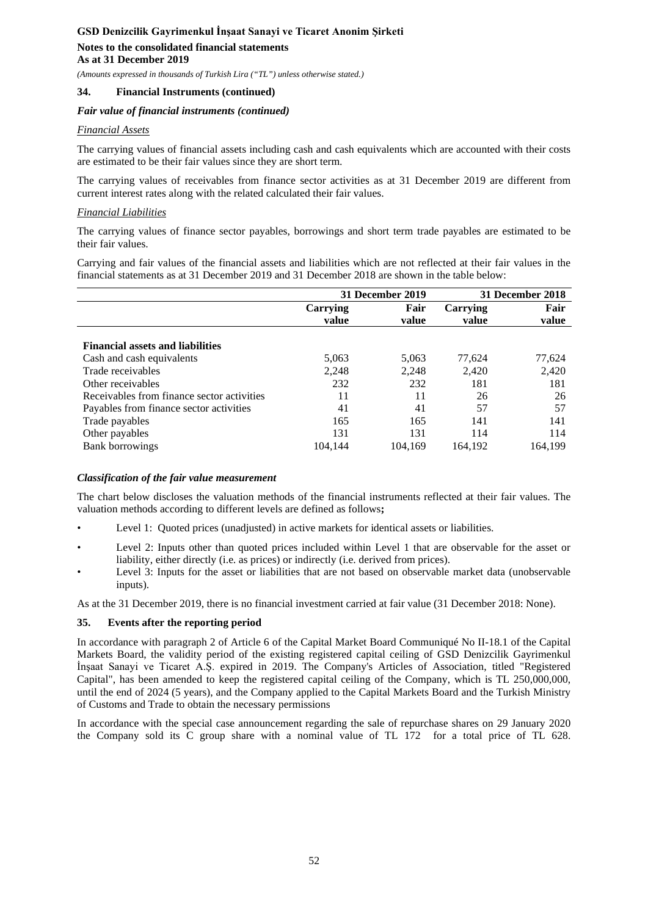*(Amounts expressed in thousands of Turkish Lira ("TL") unless otherwise stated.)*

### **34. Financial Instruments (continued)**

#### *Fair value of financial instruments (continued)*

### *Financial Assets*

The carrying values of financial assets including cash and cash equivalents which are accounted with their costs are estimated to be their fair values since they are short term.

The carrying values of receivables from finance sector activities as at 31 December 2019 are different from current interest rates along with the related calculated their fair values.

#### *Financial Liabilities*

The carrying values of finance sector payables, borrowings and short term trade payables are estimated to be their fair values.

Carrying and fair values of the financial assets and liabilities which are not reflected at their fair values in the financial statements as at 31 December 2019 and 31 December 2018 are shown in the table below:

|                                            |                   | 31 December 2019 | 31 December 2018  |               |
|--------------------------------------------|-------------------|------------------|-------------------|---------------|
|                                            | Carrying<br>value | Fair<br>value    | Carrying<br>value | Fair<br>value |
|                                            |                   |                  |                   |               |
| <b>Financial assets and liabilities</b>    |                   |                  |                   |               |
| Cash and cash equivalents                  | 5,063             | 5,063            | 77,624            | 77,624        |
| Trade receivables                          | 2,248             | 2,248            | 2,420             | 2,420         |
| Other receivables                          | 232               | 232              | 181               | 181           |
| Receivables from finance sector activities | 11                | 11               | 26                | 26            |
| Payables from finance sector activities    | 41                | 41               | 57                | 57            |
| Trade payables                             | 165               | 165              | 141               | 141           |
| Other payables                             | 131               | 131              | 114               | 114           |
| <b>Bank borrowings</b>                     | 104.144           | 104,169          | 164.192           | 164.199       |

#### *Classification of the fair value measurement*

The chart below discloses the valuation methods of the financial instruments reflected at their fair values. The valuation methods according to different levels are defined as follows**;**

- Level 1: Quoted prices (unadjusted) in active markets for identical assets or liabilities.
- Level 2: Inputs other than quoted prices included within Level 1 that are observable for the asset or liability, either directly (i.e. as prices) or indirectly (i.e. derived from prices).
- Level 3: Inputs for the asset or liabilities that are not based on observable market data (unobservable inputs).

As at the 31 December 2019, there is no financial investment carried at fair value (31 December 2018: None).

#### **35. Events after the reporting period**

In accordance with paragraph 2 of Article 6 of the Capital Market Board Communiqué No II-18.1 of the Capital Markets Board, the validity period of the existing registered capital ceiling of GSD Denizcilik Gayrimenkul İnşaat Sanayi ve Ticaret A.Ş. expired in 2019. The Company's Articles of Association, titled "Registered Capital", has been amended to keep the registered capital ceiling of the Company, which is TL 250,000,000, until the end of 2024 (5 years), and the Company applied to the Capital Markets Board and the Turkish Ministry of Customs and Trade to obtain the necessary permissions

In accordance with the special case announcement regarding the sale of repurchase shares on 29 January 2020 the Company sold its C group share with a nominal value of TL 172 for a total price of TL 628.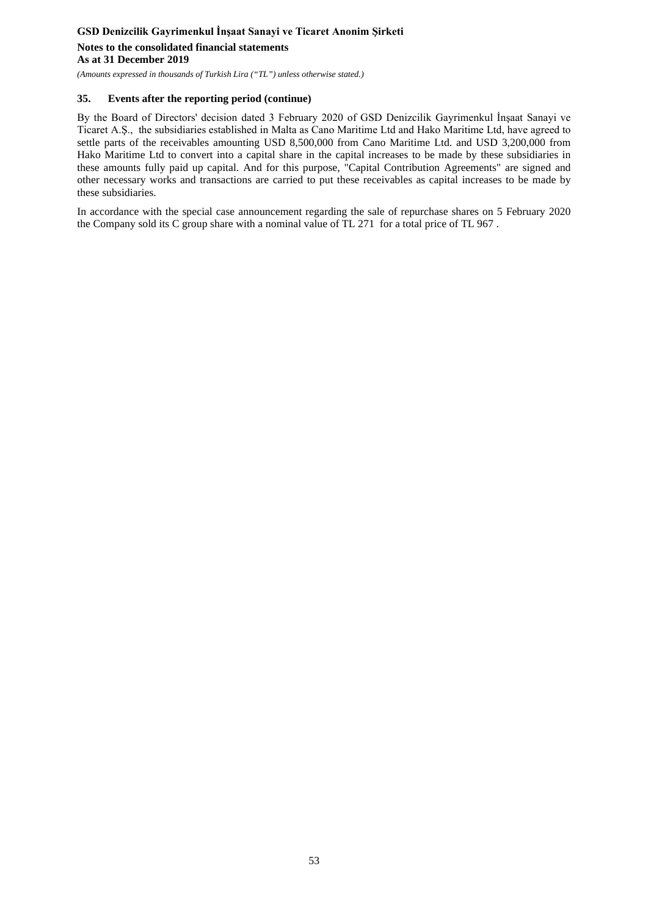# **GSD Denizcilik Gayrimenkul İnşaat Sanayi ve Ticaret Anonim Şirketi Notes to the consolidated financial statements As at 31 December 2019**

*(Amounts expressed in thousands of Turkish Lira ("TL") unless otherwise stated.)*

### **35. Events after the reporting period (continue)**

By the Board of Directors' decision dated 3 February 2020 of GSD Denizcilik Gayrimenkul İnşaat Sanayi ve Ticaret A.Ş., the subsidiaries established in Malta as Cano Maritime Ltd and Hako Maritime Ltd, have agreed to settle parts of the receivables amounting USD 8,500,000 from Cano Maritime Ltd. and USD 3,200,000 from Hako Maritime Ltd to convert into a capital share in the capital increases to be made by these subsidiaries in these amounts fully paid up capital. And for this purpose, "Capital Contribution Agreements" are signed and other necessary works and transactions are carried to put these receivables as capital increases to be made by these subsidiaries.

In accordance with the special case announcement regarding the sale of repurchase shares on 5 February 2020 the Company sold its C group share with a nominal value of TL 271 for a total price of TL 967 .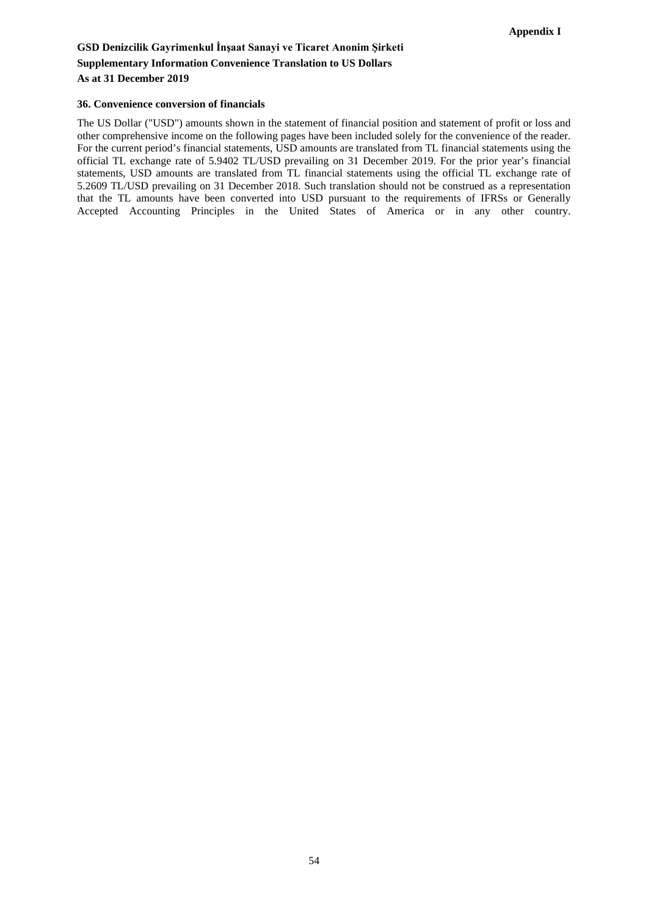# **GSD Denizcilik Gayrimenkul İnşaat Sanayi ve Ticaret Anonim Şirketi Supplementary Information Convenience Translation to US Dollars As at 31 December 2019**

#### **36. Convenience conversion of financials**

The US Dollar ("USD") amounts shown in the statement of financial position and statement of profit or loss and other comprehensive income on the following pages have been included solely for the convenience of the reader. For the current period's financial statements, USD amounts are translated from TL financial statements using the official TL exchange rate of 5.9402 TL/USD prevailing on 31 December 2019. For the prior year's financial statements, USD amounts are translated from TL financial statements using the official TL exchange rate of 5.2609 TL/USD prevailing on 31 December 2018. Such translation should not be construed as a representation that the TL amounts have been converted into USD pursuant to the requirements of IFRSs or Generally Accepted Accounting Principles in the United States of America or in any other country.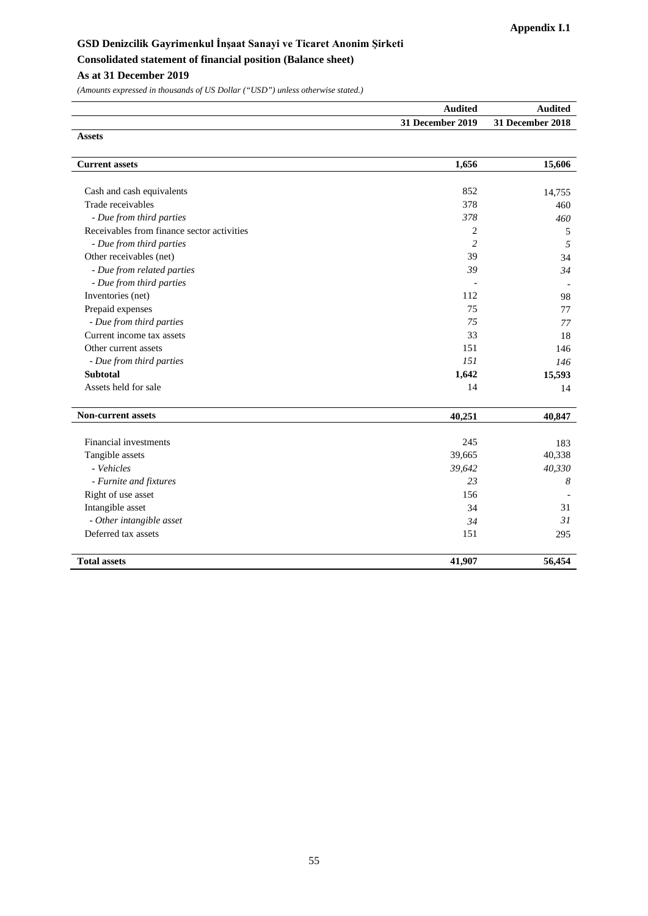# **GSD Denizcilik Gayrimenkul İnşaat Sanayi ve Ticaret Anonim Şirketi Consolidated statement of financial position (Balance sheet)**

# **As at 31 December 2019**

| Audited          | Audited          |
|------------------|------------------|
| 31 December 2019 | 31 December 2018 |
| <b>Assets</b>    |                  |

| <b>Current assets</b>                      | 1,656          | 15,606 |
|--------------------------------------------|----------------|--------|
|                                            |                |        |
| Cash and cash equivalents                  | 852            | 14,755 |
| Trade receivables                          | 378            | 460    |
| - Due from third parties                   | 378            | 460    |
| Receivables from finance sector activities | 2              | 5      |
| - Due from third parties                   | $\overline{c}$ | 5      |
| Other receivables (net)                    | 39             | 34     |
| - Due from related parties                 | 39             | 34     |
| - Due from third parties                   |                |        |
| Inventories (net)                          | 112            | 98     |
| Prepaid expenses                           | 75             | 77     |
| - Due from third parties                   | 75             | 77     |
| Current income tax assets                  | 33             | 18     |
| Other current assets                       | 151            | 146    |
| - Due from third parties                   | 151            | 146    |
| <b>Subtotal</b>                            | 1,642          | 15,593 |
| Assets held for sale                       | 14             | 14     |
| <b>Non-current assets</b>                  | 40,251         | 40,847 |
| Financial investments                      | 245            | 183    |
| Tangible assets                            | 39,665         | 40,338 |
| - Vehicles                                 | 39,642         | 40,330 |
| - Furnite and fixtures                     | 23             | 8      |
| Right of use asset                         | 156            |        |
| Intangible asset                           | 34             | 31     |
| - Other intangible asset                   | 34             | 31     |
| Deferred tax assets                        | 151            | 295    |
| <b>Total assets</b>                        | 41,907         | 56,454 |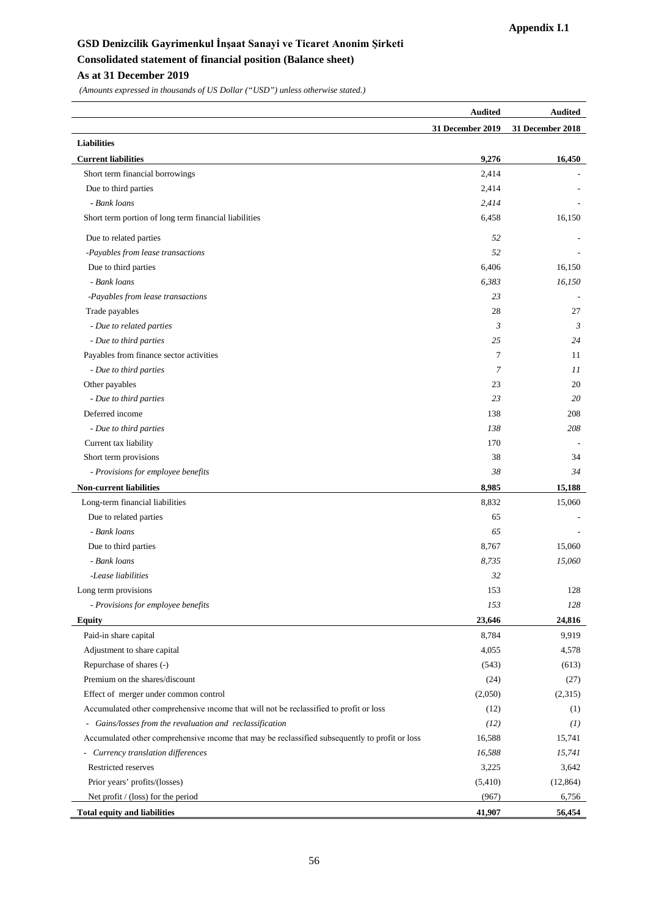# **GSD Denizcilik Gayrimenkul İnşaat Sanayi ve Ticaret Anonim Şirketi Consolidated statement of financial position (Balance sheet) As at 31 December 2019**

|                                                                                                | <b>Audited</b>   | <b>Audited</b>   |
|------------------------------------------------------------------------------------------------|------------------|------------------|
|                                                                                                | 31 December 2019 | 31 December 2018 |
| <b>Liabilities</b>                                                                             |                  |                  |
| <b>Current liabilities</b>                                                                     | 9,276            | 16,450           |
| Short term financial borrowings                                                                | 2,414            |                  |
| Due to third parties                                                                           | 2,414            |                  |
| - Bank loans                                                                                   | 2,414            |                  |
| Short term portion of long term financial liabilities                                          | 6,458            | 16,150           |
| Due to related parties                                                                         | 52               |                  |
| -Payables from lease transactions                                                              | 52               |                  |
| Due to third parties                                                                           | 6,406            | 16,150           |
| - Bank loans                                                                                   | 6,383            | 16,150           |
| -Payables from lease transactions                                                              | 23               |                  |
| Trade payables                                                                                 | 28               | 27               |
| - Due to related parties                                                                       | 3                | 3                |
| - Due to third parties                                                                         | 25               | 24               |
| Payables from finance sector activities                                                        | 7                | 11               |
| - Due to third parties                                                                         | 7                | 11               |
| Other payables                                                                                 | 23               | 20               |
| - Due to third parties                                                                         | 23               | 20               |
| Deferred income                                                                                | 138              | 208              |
| - Due to third parties                                                                         | 138              | 208              |
| Current tax liability                                                                          | 170              |                  |
| Short term provisions                                                                          | 38               | 34               |
| - Provisions for employee benefits                                                             | 38               | 34               |
| <b>Non-current liabilities</b>                                                                 | 8,985            | 15,188           |
| Long-term financial liabilities                                                                | 8,832            | 15,060           |
| Due to related parties                                                                         | 65               |                  |
| - Bank loans                                                                                   | 65               |                  |
| Due to third parties                                                                           | 8,767            | 15,060           |
| - Bank loans                                                                                   | 8,735            | 15,060           |
| -Lease liabilities                                                                             | 32               |                  |
| Long term provisions                                                                           | 153              | 128              |
| - Provisions for employee benefits                                                             | 153              | 128              |
| Equity                                                                                         | 23,646           | 24,816           |
| Paid-in share capital                                                                          | 8,784            | 9,919            |
| Adjustment to share capital                                                                    | 4,055            | 4,578            |
| Repurchase of shares (-)                                                                       | (543)            | (613)            |
| Premium on the shares/discount                                                                 | (24)             | (27)             |
| Effect of merger under common control                                                          | (2,050)          | (2,315)          |
| Accumulated other comprehensive income that will not be reclassified to profit or loss         | (12)             | (1)              |
| - Gains/losses from the revaluation and reclassification                                       | (12)             | (1)              |
| Accumulated other comprehensive income that may be reclassified subsequently to profit or loss | 16,588           | 15,741           |
| - Currency translation differences                                                             | 16,588           | 15,741           |
| Restricted reserves                                                                            | 3,225            | 3,642            |
| Prior years' profits/(losses)                                                                  | (5,410)          | (12, 864)        |
| Net profit / (loss) for the period                                                             | (967)            | 6,756            |
| <b>Total equity and liabilities</b>                                                            | 41,907           | 56,454           |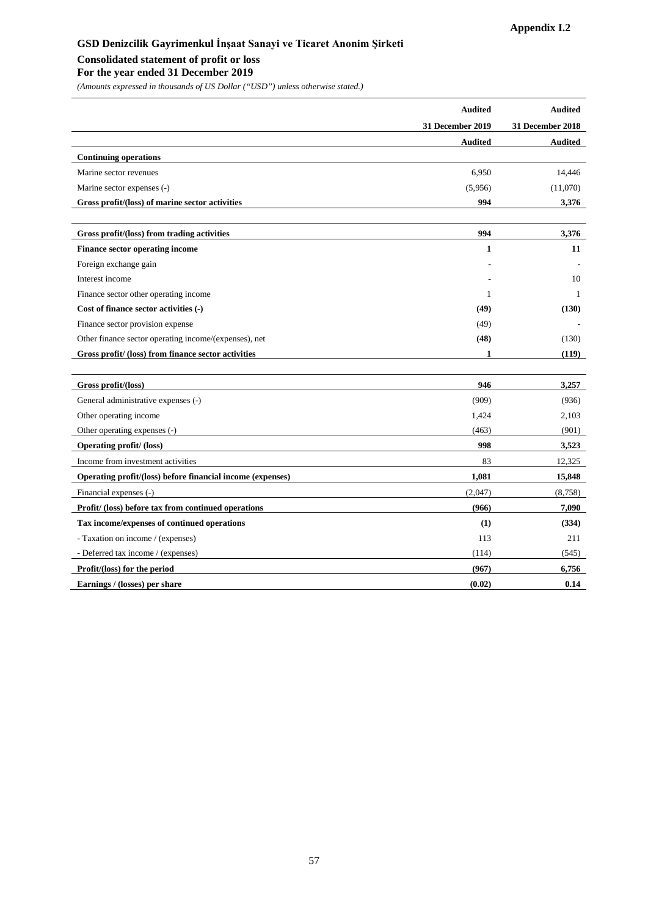#### **Consolidated statement of profit or loss**

#### **For the year ended 31 December 2019**

|                                                            | <b>Audited</b>   | <b>Audited</b>   |
|------------------------------------------------------------|------------------|------------------|
|                                                            | 31 December 2019 | 31 December 2018 |
|                                                            | <b>Audited</b>   | <b>Audited</b>   |
| <b>Continuing operations</b>                               |                  |                  |
| Marine sector revenues                                     | 6,950            | 14,446           |
| Marine sector expenses (-)                                 | (5,956)          | (11,070)         |
| Gross profit/(loss) of marine sector activities            | 994              | 3,376            |
|                                                            |                  |                  |
| Gross profit/(loss) from trading activities                | 994              | 3,376            |
| Finance sector operating income                            | $\mathbf{1}$     | 11               |
| Foreign exchange gain                                      |                  |                  |
| Interest income                                            |                  | 10               |
| Finance sector other operating income                      | 1                | -1               |
| Cost of finance sector activities (-)                      | (49)             | (130)            |
| Finance sector provision expense                           | (49)             |                  |
| Other finance sector operating income/(expenses), net      | (48)             | (130)            |
| Gross profit/ (loss) from finance sector activities        | $\mathbf{1}$     | (119)            |
|                                                            |                  |                  |
| Gross profit/(loss)                                        | 946              | 3,257            |
| General administrative expenses (-)                        | (909)            | (936)            |
| Other operating income                                     | 1,424            | 2,103            |
| Other operating expenses (-)                               | (463)            | (901)            |
| <b>Operating profit/ (loss)</b>                            | 998              | 3,523            |
| Income from investment activities                          | 83               | 12,325           |
| Operating profit/(loss) before financial income (expenses) | 1,081            | 15,848           |
| Financial expenses (-)                                     | (2,047)          | (8,758)          |
| Profit/ (loss) before tax from continued operations        | (966)            | 7,090            |
| Tax income/expenses of continued operations                | (1)              | (334)            |
| - Taxation on income / (expenses)                          | 113              | 211              |
| - Deferred tax income / (expenses)                         | (114)            | (545)            |
| Profit/(loss) for the period                               | (967)            | 6,756            |
| Earnings / (losses) per share                              | (0.02)           | 0.14             |